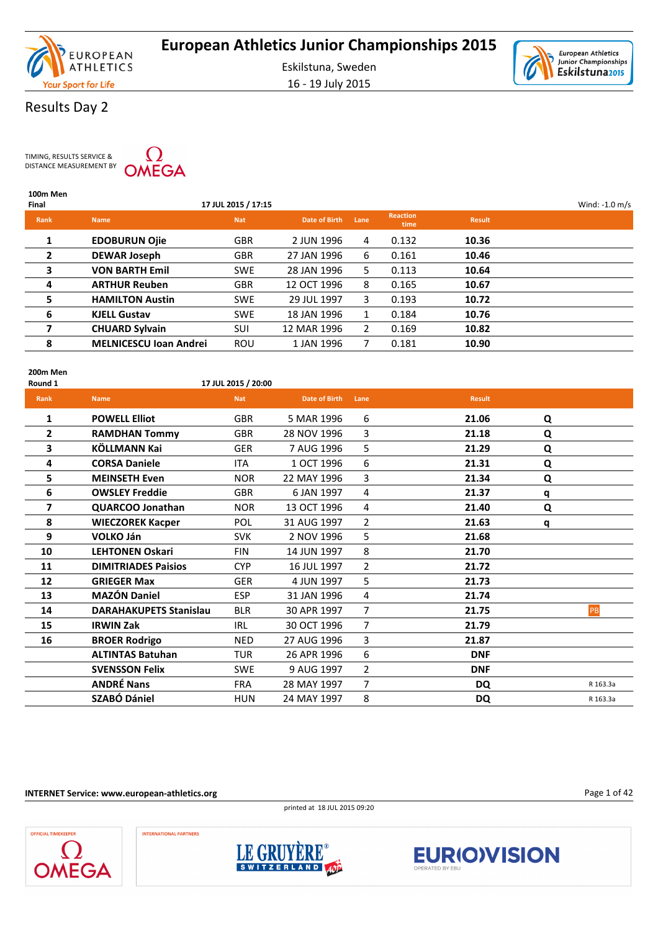

16 - 19 July 2015



### Results Day 2

TIMING, RESULTS SERVICE & DISTANCE MEASUREMENT BY

**100m Men**



### **Final 17 JUL 2015 / 17:15** Wind: -1.0 m/s **Rank Name Nat Date of Birth Lane Reaction time Result 1 EDOBURUN Ojie** GBR 2 JUN 1996 4 0.132 **10.36 2 DEWAR Joseph** GBR 27 JAN 1996 6 0.161 **10.46 3 VON BARTH Emil** SWE 28 JAN 1996 5 0.113 **10.64 4 ARTHUR Reuben** GBR 12 OCT 1996 8 0.165 **10.67 5 HAMILTON Austin** SWE 29 JUL 1997 3 0.193 **10.72 6 KJELL Gustav** SWE 18 JAN 1996 1 0.184 **10.76 7 CHUARD Sylvain** SUI 12 MAR 1996 2 0.169 **10.82 8 MELNICESCU Ioan Andrei** ROU 1 JAN 1996 7 0.181 **10.90**

**200m Men**

### **Round 1 17 JUL 2015 / 20:00**

| Rank                     | <b>Name</b>                   | <b>Nat</b> | <b>Date of Birth</b> | Lane           | <b>Result</b> |   |          |
|--------------------------|-------------------------------|------------|----------------------|----------------|---------------|---|----------|
| 1                        | <b>POWELL Elliot</b>          | <b>GBR</b> | 5 MAR 1996           | 6              | 21.06         | Q |          |
| $\overline{2}$           | <b>RAMDHAN Tommy</b>          | <b>GBR</b> | 28 NOV 1996          | $\overline{3}$ | 21.18         | Q |          |
| 3                        | KÖLLMANN Kai                  | <b>GER</b> | 7 AUG 1996           | 5              | 21.29         | Q |          |
| 4                        | <b>CORSA Daniele</b>          | <b>ITA</b> | 1 OCT 1996           | 6              | 21.31         | Q |          |
| 5                        | <b>MEINSETH Even</b>          | <b>NOR</b> | 22 MAY 1996          | 3              | 21.34         | Q |          |
| 6                        | <b>OWSLEY Freddie</b>         | <b>GBR</b> | 6 JAN 1997           | 4              | 21.37         | q |          |
| $\overline{\phantom{a}}$ | QUARCOO Jonathan              | <b>NOR</b> | 13 OCT 1996          | 4              | 21.40         | Q |          |
| 8                        | <b>WIECZOREK Kacper</b>       | <b>POL</b> | 31 AUG 1997          | $\overline{2}$ | 21.63         | q |          |
| 9                        | <b>VOLKO Ján</b>              | <b>SVK</b> | 2 NOV 1996           | 5              | 21.68         |   |          |
| 10                       | <b>LEHTONEN Oskari</b>        | <b>FIN</b> | 14 JUN 1997          | 8              | 21.70         |   |          |
| 11                       | <b>DIMITRIADES Paisios</b>    | <b>CYP</b> | 16 JUL 1997          | $\overline{2}$ | 21.72         |   |          |
| 12                       | <b>GRIEGER Max</b>            | <b>GER</b> | 4 JUN 1997           | 5              | 21.73         |   |          |
| 13                       | <b>MAZÓN Daniel</b>           | <b>ESP</b> | 31 JAN 1996          | 4              | 21.74         |   |          |
| 14                       | <b>DARAHAKUPETS Stanislau</b> | <b>BLR</b> | 30 APR 1997          | 7              | 21.75         |   | PB       |
| 15                       | <b>IRWIN Zak</b>              | <b>IRL</b> | 30 OCT 1996          | $\overline{7}$ | 21.79         |   |          |
| 16                       | <b>BROER Rodrigo</b>          | <b>NED</b> | 27 AUG 1996          | 3              | 21.87         |   |          |
|                          | <b>ALTINTAS Batuhan</b>       | <b>TUR</b> | 26 APR 1996          | 6              | <b>DNF</b>    |   |          |
|                          | <b>SVENSSON Felix</b>         | <b>SWE</b> | 9 AUG 1997           | $\overline{2}$ | <b>DNF</b>    |   |          |
|                          | <b>ANDRÉ Nans</b>             | <b>FRA</b> | 28 MAY 1997          | $\overline{7}$ | <b>DQ</b>     |   | R 163.3a |
|                          | <b>SZABÓ Dániel</b>           | <b>HUN</b> | 24 MAY 1997          | 8              | <b>DQ</b>     |   | R 163.3a |

**INTERNET Service: www.european-athletics.org**









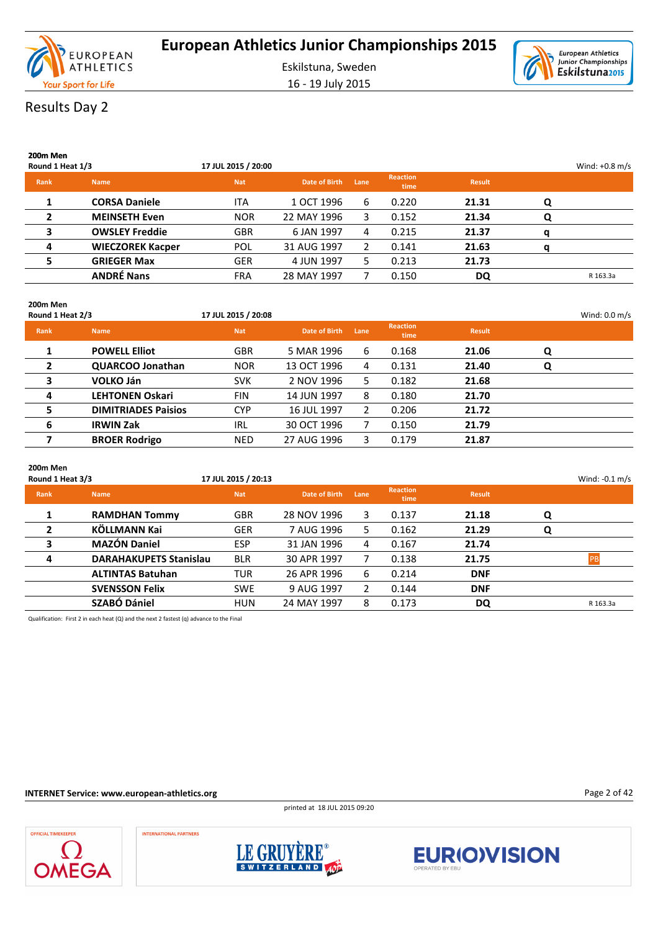



Results Day 2

| 200m Men<br>Round 1 Heat 1/3 |                         | 17 JUL 2015 / 20:00 |               |      |                         |               |   | Wind: $+0.8$ m/s |
|------------------------------|-------------------------|---------------------|---------------|------|-------------------------|---------------|---|------------------|
| Rank                         | <b>Name</b>             | <b>Nat</b>          | Date of Birth | Lane | <b>Reaction</b><br>time | <b>Result</b> |   |                  |
|                              | <b>CORSA Daniele</b>    | <b>ITA</b>          | 1 OCT 1996    | 6    | 0.220                   | 21.31         | Q |                  |
| $\overline{2}$               | <b>MEINSETH Even</b>    | <b>NOR</b>          | 22 MAY 1996   | 3    | 0.152                   | 21.34         | Q |                  |
| 3                            | <b>OWSLEY Freddie</b>   | <b>GBR</b>          | 6 JAN 1997    | 4    | 0.215                   | 21.37         | a |                  |
| 4                            | <b>WIECZOREK Kacper</b> | POL                 | 31 AUG 1997   | 2    | 0.141                   | 21.63         | a |                  |
|                              | <b>GRIEGER Max</b>      | <b>GER</b>          | 4 JUN 1997    | 5.   | 0.213                   | 21.73         |   |                  |
|                              | <b>ANDRÉ Nans</b>       | <b>FRA</b>          | 28 MAY 1997   |      | 0.150                   | DQ            |   | R 163.3a         |

| 200m Men<br>Round 1 Heat 2/3 |                            | 17 JUL 2015 / 20:08 |                      |                       |                         |               |   | Wind: $0.0 \text{ m/s}$ |
|------------------------------|----------------------------|---------------------|----------------------|-----------------------|-------------------------|---------------|---|-------------------------|
| <b>Rank</b>                  | <b>Name</b>                | <b>Nat</b>          | <b>Date of Birth</b> | Lane                  | <b>Reaction</b><br>time | <b>Result</b> |   |                         |
|                              | <b>POWELL Elliot</b>       | <b>GBR</b>          | 5 MAR 1996           | 6                     | 0.168                   | 21.06         | Q |                         |
| $\overline{2}$               | QUARCOO Jonathan           | <b>NOR</b>          | 13 OCT 1996          | 4                     | 0.131                   | 21.40         | Q |                         |
| 3                            | <b>VOLKO Ján</b>           | <b>SVK</b>          | 2 NOV 1996           | 5.                    | 0.182                   | 21.68         |   |                         |
| 4                            | <b>LEHTONEN Oskari</b>     | <b>FIN</b>          | 14 JUN 1997          | 8                     | 0.180                   | 21.70         |   |                         |
| 5                            | <b>DIMITRIADES Paisios</b> | <b>CYP</b>          | 16 JUL 1997          | $\mathbf{2}^{\prime}$ | 0.206                   | 21.72         |   |                         |
| 6                            | <b>IRWIN Zak</b>           | IRL                 | 30 OCT 1996          |                       | 0.150                   | 21.79         |   |                         |
| 7                            | <b>BROER Rodrigo</b>       | <b>NED</b>          | 27 AUG 1996          | 3.                    | 0.179                   | 21.87         |   |                         |

| 200m Men<br>Round 1 Heat 3/3 |                               | 17 JUL 2015 / 20:13 |                      |      |                         |               |   | Wind: $-0.1$ m/s |
|------------------------------|-------------------------------|---------------------|----------------------|------|-------------------------|---------------|---|------------------|
| Rank                         | <b>Name</b>                   | <b>Nat</b>          | <b>Date of Birth</b> | Lane | <b>Reaction</b><br>time | <b>Result</b> |   |                  |
| 1                            | <b>RAMDHAN Tommy</b>          | <b>GBR</b>          | 28 NOV 1996          | 3    | 0.137                   | 21.18         | Q |                  |
| $\mathbf{2}$                 | KÖLLMANN Kai                  | <b>GER</b>          | 7 AUG 1996           | 5.   | 0.162                   | 21.29         | Q |                  |
| 3                            | <b>MAZÓN Daniel</b>           | <b>ESP</b>          | 31 JAN 1996          | 4    | 0.167                   | 21.74         |   |                  |
| 4                            | <b>DARAHAKUPETS Stanislau</b> | <b>BLR</b>          | 30 APR 1997          |      | 0.138                   | 21.75         |   | DD               |
|                              | <b>ALTINTAS Batuhan</b>       | TUR                 | 26 APR 1996          | 6    | 0.214                   | <b>DNF</b>    |   |                  |
|                              | <b>SVENSSON Felix</b>         | <b>SWE</b>          | 9 AUG 1997           | 2    | 0.144                   | <b>DNF</b>    |   |                  |
|                              | <b>SZABÓ Dániel</b>           | <b>HUN</b>          | 24 MAY 1997          | 8    | 0.173                   | DQ            |   | R 163.3a         |

Qualification: First 2 in each heat (Q) and the next 2 fastest (q) advance to the Final

**INTERNET Service: www.european-athletics.org**

printed at 18 JUL 2015 09:20







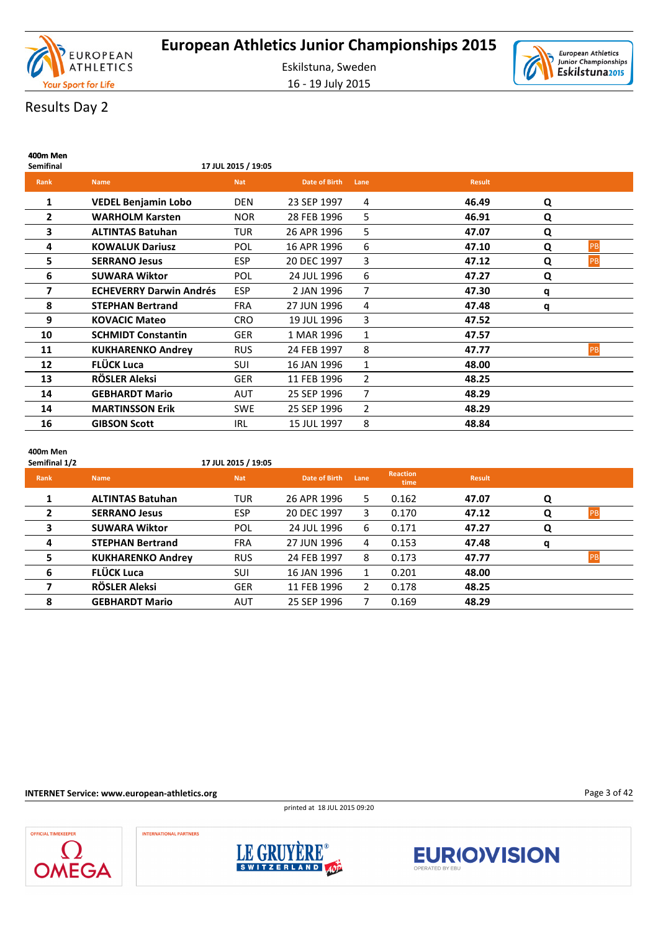



# Results Day 2

| 400m Men<br><b>Semifinal</b> |                                | 17 JUL 2015 / 19:05 |                      |              |               |   |    |
|------------------------------|--------------------------------|---------------------|----------------------|--------------|---------------|---|----|
| <b>Rank</b>                  | <b>Name</b>                    | <b>Nat</b>          | <b>Date of Birth</b> | Lane         | <b>Result</b> |   |    |
| 1                            | <b>VEDEL Benjamin Lobo</b>     | <b>DEN</b>          | 23 SEP 1997          | 4            | 46.49         | Q |    |
| 2                            | <b>WARHOLM Karsten</b>         | <b>NOR</b>          | 28 FEB 1996          | 5            | 46.91         | Q |    |
| 3                            | <b>ALTINTAS Batuhan</b>        | <b>TUR</b>          | 26 APR 1996          | 5            | 47.07         | Q |    |
| 4                            | <b>KOWALUK Dariusz</b>         | <b>POL</b>          | 16 APR 1996          | 6            | 47.10         | Q | PB |
| 5                            | <b>SERRANO Jesus</b>           | <b>ESP</b>          | 20 DEC 1997          | 3            | 47.12         | Q | PB |
| 6                            | <b>SUWARA Wiktor</b>           | POL                 | 24 JUL 1996          | 6            | 47.27         | Q |    |
| 7                            | <b>ECHEVERRY Darwin Andrés</b> | <b>ESP</b>          | 2 JAN 1996           | 7            | 47.30         | q |    |
| 8                            | <b>STEPHAN Bertrand</b>        | <b>FRA</b>          | 27 JUN 1996          | 4            | 47.48         | q |    |
| 9                            | <b>KOVACIC Mateo</b>           | <b>CRO</b>          | 19 JUL 1996          | 3            | 47.52         |   |    |
| 10                           | <b>SCHMIDT Constantin</b>      | <b>GER</b>          | 1 MAR 1996           | $\mathbf{1}$ | 47.57         |   |    |
| 11                           | <b>KUKHARENKO Andrey</b>       | <b>RUS</b>          | 24 FEB 1997          | 8            | 47.77         |   | PB |
| 12                           | FLÜCK Luca                     | <b>SUI</b>          | 16 JAN 1996          | $\mathbf{1}$ | 48.00         |   |    |
| 13                           | RÖSLER Aleksi                  | <b>GER</b>          | 11 FEB 1996          | 2            | 48.25         |   |    |
| 14                           | <b>GEBHARDT Mario</b>          | <b>AUT</b>          | 25 SEP 1996          | 7            | 48.29         |   |    |
| 14                           | <b>MARTINSSON Erik</b>         | <b>SWE</b>          | 25 SEP 1996          | 2            | 48.29         |   |    |
| 16                           | <b>GIBSON Scott</b>            | <b>IRL</b>          | 15 JUL 1997          | 8            | 48.84         |   |    |

**400m Men**

| Semifinal 1/2  |                          | 17 JUL 2015 / 19:05 |               |                       |                         |               |   |           |
|----------------|--------------------------|---------------------|---------------|-----------------------|-------------------------|---------------|---|-----------|
| Rank           | <b>Name</b>              | <b>Nat</b>          | Date of Birth | Lane                  | <b>Reaction</b><br>time | <b>Result</b> |   |           |
| 1              | <b>ALTINTAS Batuhan</b>  | <b>TUR</b>          | 26 APR 1996   | 5.                    | 0.162                   | 47.07         | Q |           |
| $\overline{2}$ | <b>SERRANO Jesus</b>     | ESP                 | 20 DEC 1997   | 3.                    | 0.170                   | 47.12         | Q | PB        |
| 3              | <b>SUWARA Wiktor</b>     | POL                 | 24 JUL 1996   | 6                     | 0.171                   | 47.27         | Q |           |
| 4              | <b>STEPHAN Bertrand</b>  | <b>FRA</b>          | 27 JUN 1996   | 4                     | 0.153                   | 47.48         | q |           |
| 5              | <b>KUKHARENKO Andrey</b> | <b>RUS</b>          | 24 FEB 1997   | 8                     | 0.173                   | 47.77         |   | <b>PB</b> |
| 6              | <b>FLÜCK Luca</b>        | SUI                 | 16 JAN 1996   |                       | 0.201                   | 48.00         |   |           |
|                | RÖSLER Aleksi            | <b>GER</b>          | 11 FEB 1996   | $\mathbf{2}^{\prime}$ | 0.178                   | 48.25         |   |           |
| 8              | <b>GEBHARDT Mario</b>    | <b>AUT</b>          | 25 SEP 1996   |                       | 0.169                   | 48.29         |   |           |

### **INTERNET Service: www.european-athletics.org**

printed at 18 JUL 2015 09:20



**INTERNATIONAL PARTNERS** 





Page 3 of 42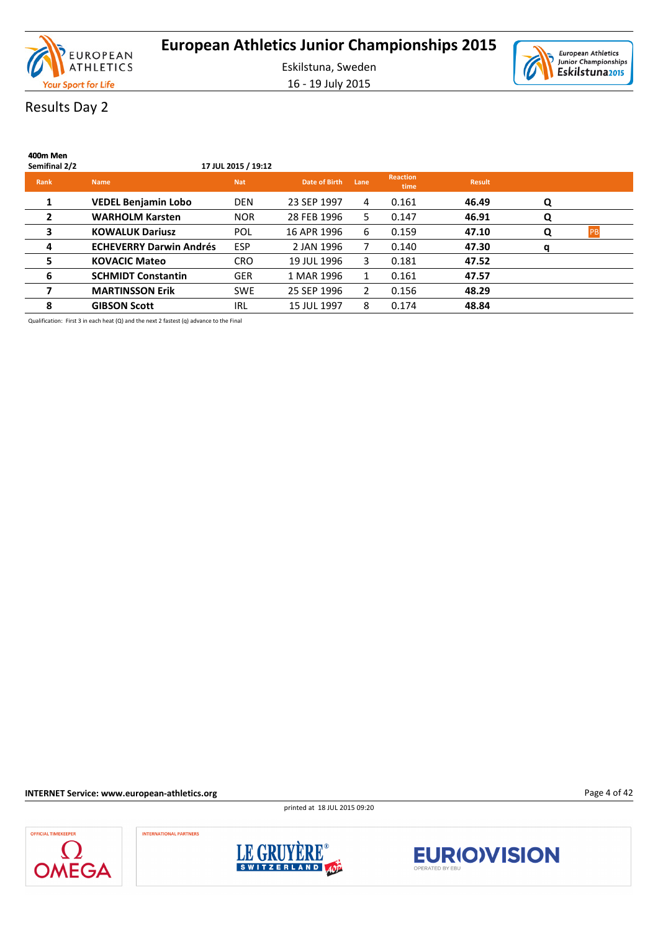

16 - 19 July 2015



# Results Day 2

| 400m Men<br>Semifinal 2/2 |                                | 17 JUL 2015 / 19:12 |               |      |                         |               |   |           |
|---------------------------|--------------------------------|---------------------|---------------|------|-------------------------|---------------|---|-----------|
| Rank                      | <b>Name</b>                    | <b>Nat</b>          | Date of Birth | Lane | <b>Reaction</b><br>time | <b>Result</b> |   |           |
| 1                         | <b>VEDEL Benjamin Lobo</b>     | <b>DEN</b>          | 23 SEP 1997   | 4    | 0.161                   | 46.49         | Q |           |
| $\mathbf{2}$              | <b>WARHOLM Karsten</b>         | <b>NOR</b>          | 28 FEB 1996   | 5.   | 0.147                   | 46.91         | Q |           |
| 3                         | <b>KOWALUK Dariusz</b>         | POL                 | 16 APR 1996   | 6    | 0.159                   | 47.10         | Q | <b>PB</b> |
| 4                         | <b>ECHEVERRY Darwin Andrés</b> | <b>ESP</b>          | 2 JAN 1996    | 7    | 0.140                   | 47.30         | q |           |
| 5                         | <b>KOVACIC Mateo</b>           | <b>CRO</b>          | 19 JUL 1996   | 3    | 0.181                   | 47.52         |   |           |
| 6                         | <b>SCHMIDT Constantin</b>      | <b>GER</b>          | 1 MAR 1996    | 1    | 0.161                   | 47.57         |   |           |
|                           | <b>MARTINSSON Erik</b>         | <b>SWE</b>          | 25 SEP 1996   | 2    | 0.156                   | 48.29         |   |           |
| 8                         | <b>GIBSON Scott</b>            | IRL                 | 15 JUL 1997   | 8    | 0.174                   | 48.84         |   |           |

Qualification: First 3 in each heat (Q) and the next 2 fastest (q) advance to the Final

**INTERNET Service: www.european-athletics.org**

printed at 18 JUL 2015 09:20

**OFFICIAL TIMEKEEPER OMEGA** 

**INTERNATIONAL PARTNERS** 





Page 4 of 42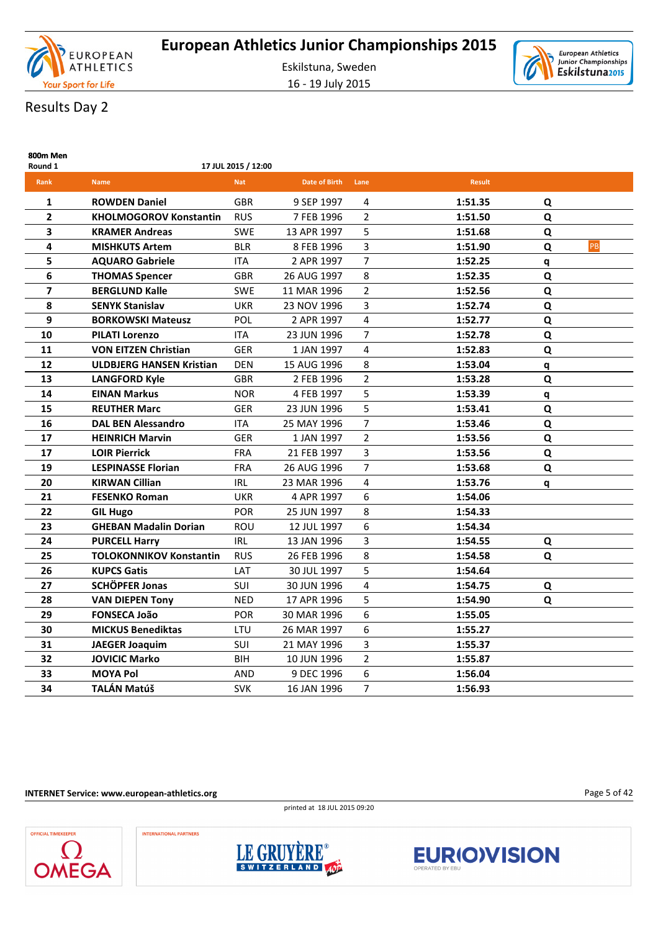





# Results Day 2

| 800m Men<br>Round 1     |                                 | 17 JUL 2015 / 12:00 |                      |                |               |   |    |
|-------------------------|---------------------------------|---------------------|----------------------|----------------|---------------|---|----|
| Rank                    | <b>Name</b>                     | <b>Nat</b>          | <b>Date of Birth</b> | Lane           | <b>Result</b> |   |    |
| 1                       | <b>ROWDEN Daniel</b>            | <b>GBR</b>          | 9 SEP 1997           | 4              | 1:51.35       | Q |    |
| $\mathbf{2}$            | <b>KHOLMOGOROV Konstantin</b>   | <b>RUS</b>          | 7 FEB 1996           | $\overline{2}$ | 1:51.50       | Q |    |
| 3                       | <b>KRAMER Andreas</b>           | <b>SWE</b>          | 13 APR 1997          | 5              | 1:51.68       | Q |    |
| 4                       | <b>MISHKUTS Artem</b>           | <b>BLR</b>          | 8 FEB 1996           | 3              | 1:51.90       | Q | PB |
| 5                       | <b>AQUARO Gabriele</b>          | ITA                 | 2 APR 1997           | $\overline{7}$ | 1:52.25       | q |    |
| 6                       | <b>THOMAS Spencer</b>           | <b>GBR</b>          | 26 AUG 1997          | 8              | 1:52.35       | Q |    |
| $\overline{\mathbf{z}}$ | <b>BERGLUND Kalle</b>           | <b>SWE</b>          | 11 MAR 1996          | $\overline{2}$ | 1:52.56       | Q |    |
| 8                       | <b>SENYK Stanislav</b>          | <b>UKR</b>          | 23 NOV 1996          | 3              | 1:52.74       | Q |    |
| 9                       | <b>BORKOWSKI Mateusz</b>        | <b>POL</b>          | 2 APR 1997           | $\overline{4}$ | 1:52.77       | Q |    |
| 10                      | <b>PILATI Lorenzo</b>           | ITA                 | 23 JUN 1996          | $\overline{7}$ | 1:52.78       | Q |    |
| 11                      | <b>VON EITZEN Christian</b>     | <b>GER</b>          | 1 JAN 1997           | 4              | 1:52.83       | Q |    |
| 12                      | <b>ULDBJERG HANSEN Kristian</b> | <b>DEN</b>          | 15 AUG 1996          | 8              | 1:53.04       | q |    |
| 13                      | <b>LANGFORD Kyle</b>            | <b>GBR</b>          | 2 FEB 1996           | $\overline{2}$ | 1:53.28       | Q |    |
| 14                      | <b>EINAN Markus</b>             | <b>NOR</b>          | 4 FEB 1997           | 5              | 1:53.39       | q |    |
| 15                      | <b>REUTHER Marc</b>             | <b>GER</b>          | 23 JUN 1996          | 5              | 1:53.41       | Q |    |
| 16                      | <b>DAL BEN Alessandro</b>       | ITA                 | 25 MAY 1996          | 7              | 1:53.46       | Q |    |
| 17                      | <b>HEINRICH Marvin</b>          | <b>GER</b>          | 1 JAN 1997           | $\overline{2}$ | 1:53.56       | Q |    |
| 17                      | <b>LOIR Pierrick</b>            | <b>FRA</b>          | 21 FEB 1997          | 3              | 1:53.56       | Q |    |
| 19                      | <b>LESPINASSE Florian</b>       | <b>FRA</b>          | 26 AUG 1996          | $\overline{7}$ | 1:53.68       | Q |    |
| 20                      | <b>KIRWAN Cillian</b>           | <b>IRL</b>          | 23 MAR 1996          | 4              | 1:53.76       | q |    |
| 21                      | <b>FESENKO Roman</b>            | <b>UKR</b>          | 4 APR 1997           | 6              | 1:54.06       |   |    |
| 22                      | <b>GIL Hugo</b>                 | POR                 | 25 JUN 1997          | 8              | 1:54.33       |   |    |
| 23                      | <b>GHEBAN Madalin Dorian</b>    | ROU                 | 12 JUL 1997          | 6              | 1:54.34       |   |    |
| 24                      | <b>PURCELL Harry</b>            | <b>IRL</b>          | 13 JAN 1996          | 3              | 1:54.55       | Q |    |
| 25                      | <b>TOLOKONNIKOV Konstantin</b>  | <b>RUS</b>          | 26 FEB 1996          | 8              | 1:54.58       | Q |    |
| 26                      | <b>KUPCS Gatis</b>              | LAT                 | 30 JUL 1997          | 5              | 1:54.64       |   |    |
| 27                      | <b>SCHÖPFER Jonas</b>           | SUI                 | 30 JUN 1996          | 4              | 1:54.75       | Q |    |
| 28                      | <b>VAN DIEPEN Tony</b>          | <b>NED</b>          | 17 APR 1996          | 5              | 1:54.90       | Q |    |
| 29                      | <b>FONSECA João</b>             | <b>POR</b>          | 30 MAR 1996          | 6              | 1:55.05       |   |    |
| 30                      | <b>MICKUS Benediktas</b>        | LTU                 | 26 MAR 1997          | 6              | 1:55.27       |   |    |
| 31                      | <b>JAEGER Joaquim</b>           | SUI                 | 21 MAY 1996          | 3              | 1:55.37       |   |    |
| 32                      | <b>JOVICIC Marko</b>            | BIH                 | 10 JUN 1996          | $\overline{2}$ | 1:55.87       |   |    |
| 33                      | <b>MOYA Pol</b>                 | AND                 | 9 DEC 1996           | 6              | 1:56.04       |   |    |
| 34                      | TALÁN Matúš                     | <b>SVK</b>          | 16 JAN 1996          | 7              | 1:56.93       |   |    |

#### **INTERNET Service: www.european-athletics.org**

printed at 18 JUL 2015 09:20







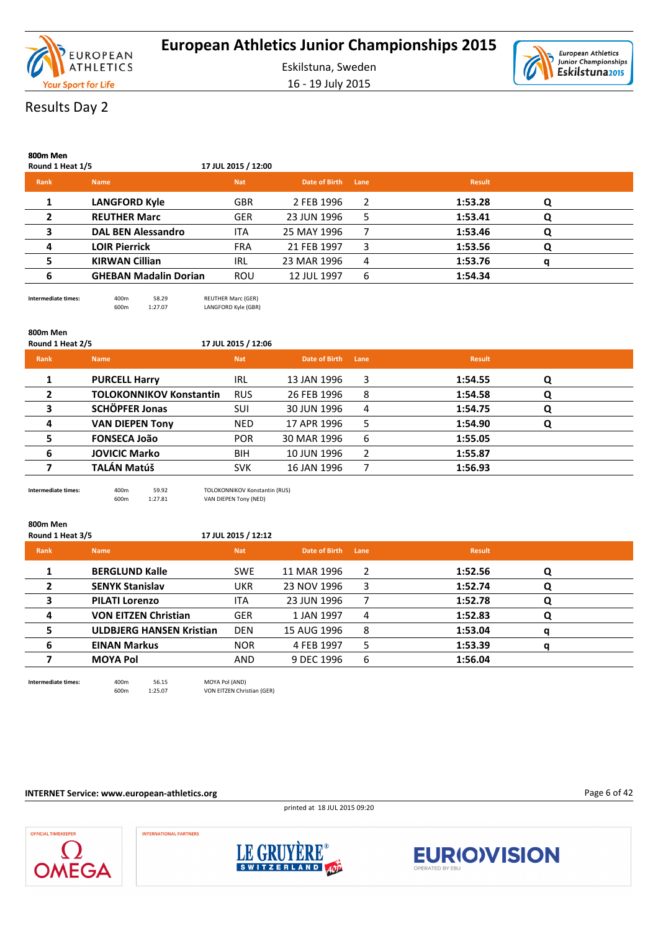

16 - 19 July 2015



# Results Day 2

| 800m Men<br>Round 1 Heat 1/5 |                              | 17 JUL 2015 / 12:00 |               |      |               |   |  |
|------------------------------|------------------------------|---------------------|---------------|------|---------------|---|--|
| Rank                         | <b>Name</b>                  | <b>Nat</b>          | Date of Birth | Lane | <b>Result</b> |   |  |
|                              | <b>LANGFORD Kyle</b>         | <b>GBR</b>          | 2 FEB 1996    | 2    | 1:53.28       | Q |  |
| $\overline{2}$               | <b>REUTHER Marc</b>          | <b>GER</b>          | 23 JUN 1996   | 5    | 1:53.41       | O |  |
| 3                            | <b>DAL BEN Alessandro</b>    | <b>ITA</b>          | 25 MAY 1996   |      | 1:53.46       | Q |  |
| 4                            | <b>LOIR Pierrick</b>         | <b>FRA</b>          | 21 FEB 1997   | 3    | 1:53.56       | Q |  |
| 5                            | <b>KIRWAN Cillian</b>        | IRL                 | 23 MAR 1996   | 4    | 1:53.76       |   |  |
| 6                            | <b>GHEBAN Madalin Dorian</b> | <b>ROU</b>          | 12 JUL 1997   | 6    | 1:54.34       |   |  |

**Intermediate times:**  $\begin{array}{ccc} 400 \text{m} & 58.29 & \text{REUTHER Marc (GER)} \\ 600 \text{m} & 1:27.07 & \text{LANGFORD Kyle (GBR)} \end{array}$ LANGFORD Kyle (GBR)

| 800m Men<br>Round 1 Heat 2/5 |                                | 17 JUL 2015 / 12:06 |               |      |               |   |  |
|------------------------------|--------------------------------|---------------------|---------------|------|---------------|---|--|
| Rank                         | <b>Name</b>                    | <b>Nat</b>          | Date of Birth | Lane | <b>Result</b> |   |  |
| 1                            | <b>PURCELL Harry</b>           | <b>IRL</b>          | 13 JAN 1996   | 3    | 1:54.55       | Q |  |
| $\overline{2}$               | <b>TOLOKONNIKOV Konstantin</b> | <b>RUS</b>          | 26 FEB 1996   | 8    | 1:54.58       | Q |  |
| 3                            | <b>SCHÖPFER Jonas</b>          | <b>SUI</b>          | 30 JUN 1996   | 4    | 1:54.75       | Q |  |
| 4                            | <b>VAN DIEPEN Tony</b>         | <b>NED</b>          | 17 APR 1996   | 5    | 1:54.90       | Q |  |
| 5                            | <b>FONSECA João</b>            | <b>POR</b>          | 30 MAR 1996   | 6    | 1:55.05       |   |  |
| 6                            | <b>JOVICIC Marko</b>           | <b>BIH</b>          | 10 JUN 1996   | 2    | 1:55.87       |   |  |
|                              | TALÁN Matúš                    | <b>SVK</b>          | 16 JAN 1996   |      | 1:56.93       |   |  |
|                              |                                |                     |               |      |               |   |  |

**Intermediate times:** 400m 59.92 TOLOKONNIKOV Konstantin (RUS) 600m 1:27.81 VAN DIEPEN Tony (NED)

| 800m Men<br>Round 1 Heat 3/5 |                                 | 17 JUL 2015 / 12:12 |               |      |               |   |  |
|------------------------------|---------------------------------|---------------------|---------------|------|---------------|---|--|
| Rank                         | <b>Name</b>                     | <b>Nat</b>          | Date of Birth | Lane | <b>Result</b> |   |  |
| 1                            | <b>BERGLUND Kalle</b>           | <b>SWE</b>          | 11 MAR 1996   | 2    | 1:52.56       | Q |  |
| $\overline{2}$               | <b>SENYK Stanislav</b>          | <b>UKR</b>          | 23 NOV 1996   | 3    | 1:52.74       | Q |  |
| 3                            | <b>PILATI Lorenzo</b>           | <b>ITA</b>          | 23 JUN 1996   |      | 1:52.78       | Q |  |
| 4                            | <b>VON EITZEN Christian</b>     | <b>GER</b>          | 1 JAN 1997    | 4    | 1:52.83       | Q |  |
| 5                            | <b>ULDBJERG HANSEN Kristian</b> | <b>DEN</b>          | 15 AUG 1996   | 8    | 1:53.04       | q |  |
| 6                            | <b>EINAN Markus</b>             | <b>NOR</b>          | 4 FEB 1997    | 5    | 1:53.39       | q |  |
|                              | <b>MOYA Pol</b>                 | <b>AND</b>          | 9 DEC 1996    | 6    | 1:56.04       |   |  |
|                              |                                 |                     |               |      |               |   |  |

**Intermediate times:** 400m 56.15 MOYA Pol (AND) 600m 1:25.07 VON EITZEN Christian (GER)

**INTERNET Service: www.european-athletics.org**

printed at 18 JUL 2015 09:20

Page 6 of 42





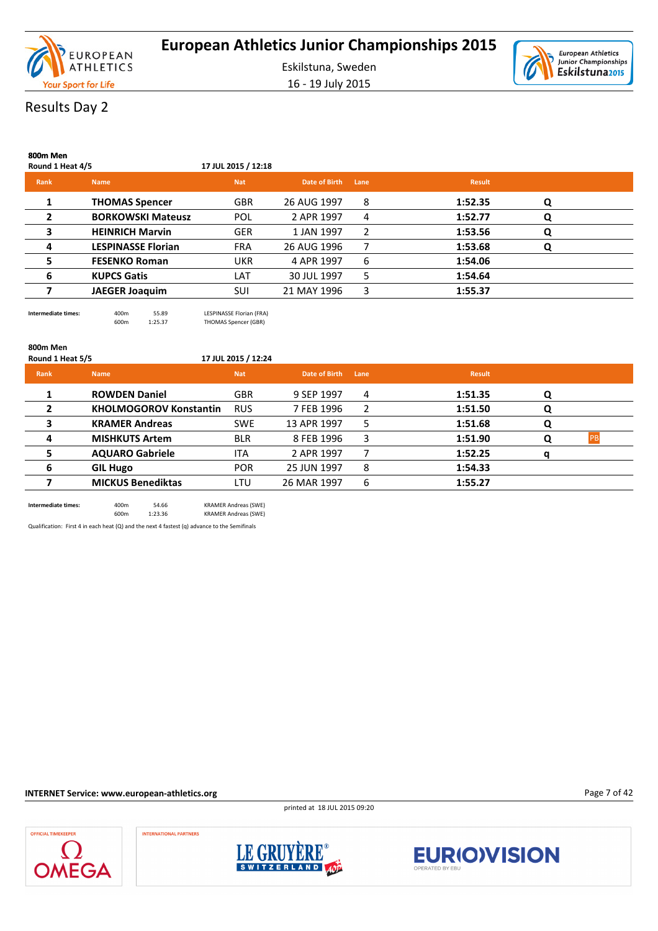

Eskilstuna, Sweden 16 - 19 July 2015



# Results Day 2

**800m Men**

| ovuil ivieli<br>Round 1 Heat 4/5 |                           | 17 JUL 2015 / 12:18 |               |      |               |   |  |
|----------------------------------|---------------------------|---------------------|---------------|------|---------------|---|--|
| Rank                             | <b>Name</b>               | <b>Nat</b>          | Date of Birth | Lane | <b>Result</b> |   |  |
|                                  | <b>THOMAS Spencer</b>     | <b>GBR</b>          | 26 AUG 1997   | 8    | 1:52.35       | Q |  |
| 2                                | <b>BORKOWSKI Mateusz</b>  | <b>POL</b>          | 2 APR 1997    | 4    | 1:52.77       | Q |  |
| 3                                | <b>HEINRICH Marvin</b>    | <b>GER</b>          | 1 JAN 1997    | 2    | 1:53.56       | Q |  |
| 4                                | <b>LESPINASSE Florian</b> | <b>FRA</b>          | 26 AUG 1996   |      | 1:53.68       | Q |  |
| 5                                | <b>FESENKO Roman</b>      | <b>UKR</b>          | 4 APR 1997    | 6    | 1:54.06       |   |  |
| 6                                | <b>KUPCS Gatis</b>        | LAT                 | 30 JUL 1997   | 5    | 1:54.64       |   |  |
|                                  | <b>JAEGER Joaquim</b>     | SUI                 | 21 MAY 1996   | 3    | 1:55.37       |   |  |
|                                  |                           |                     |               |      |               |   |  |

# **800m Men**

THOMAS Spencer (GBR)

| Round 1 Heat 5/5 |                               | 17 JUL 2015 / 12:24 |               |      |               |   |            |
|------------------|-------------------------------|---------------------|---------------|------|---------------|---|------------|
| <b>Rank</b>      | <b>Name</b>                   | <b>Nat</b>          | Date of Birth | Lane | <b>Result</b> |   |            |
|                  | <b>ROWDEN Daniel</b>          | <b>GBR</b>          | 9 SEP 1997    | 4    | 1:51.35       | Q |            |
| 2                | <b>KHOLMOGOROV Konstantin</b> | <b>RUS</b>          | 7 FEB 1996    | 2    | 1:51.50       | Q |            |
| 3                | <b>KRAMER Andreas</b>         | <b>SWE</b>          | 13 APR 1997   | 5    | 1:51.68       | Q |            |
| 4                | <b>MISHKUTS Artem</b>         | <b>BLR</b>          | 8 FEB 1996    | 3    | 1:51.90       | O | <b>IPR</b> |
|                  | <b>AQUARO Gabriele</b>        | <b>ITA</b>          | 2 APR 1997    |      | 1:52.25       |   |            |
| 6                | <b>GIL Hugo</b>               | <b>POR</b>          | 25 JUN 1997   | 8    | 1:54.33       |   |            |
|                  | <b>MICKUS Benediktas</b>      | LTU                 | 26 MAR 1997   | 6    | 1:55.27       |   |            |
|                  |                               |                     |               |      |               |   |            |

**Intermediate times:** 400m 54.66 KRAMER Andreas (SWE) 600m 1:23.36 KRAMER Andreas (SWE)

Qualification: First 4 in each heat (Q) and the next 4 fastest (q) advance to the Semifinals

**Intermediate times:** 400m 55.89 LESPINASSE Florian (FRA)<br>600m 1:25.37 THOMAS Spencer (GBR)

**INTERNET Service: www.european-athletics.org**

printed at 18 JUL 2015 09:20





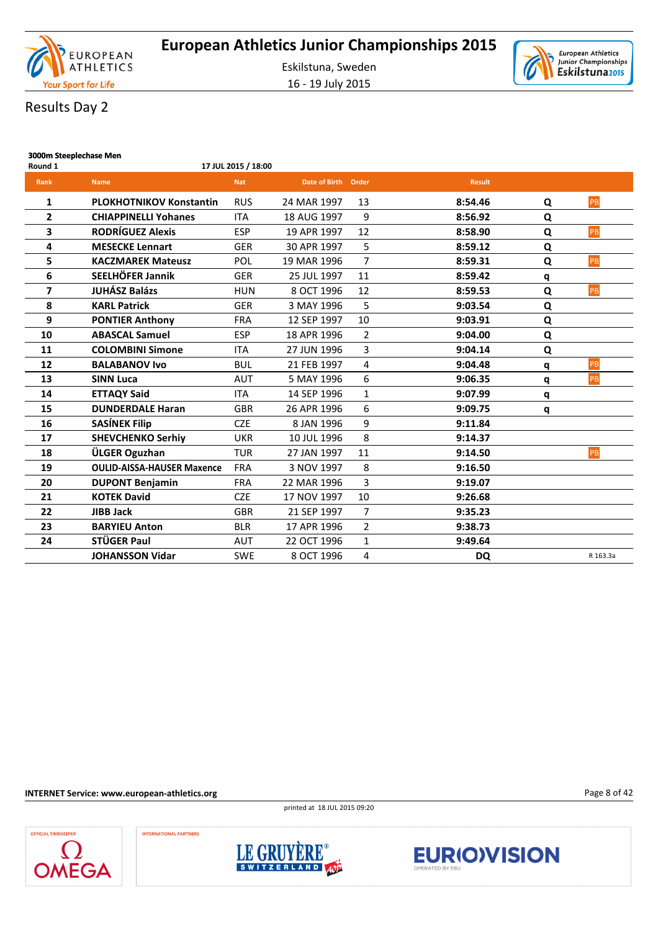

16 - 19 July 2015



# Results Day 2

| 3000m Steeplechase Men<br>Round 1 |                                   | 17 JUL 2015 / 18:00 |                     |                |               |   |          |
|-----------------------------------|-----------------------------------|---------------------|---------------------|----------------|---------------|---|----------|
| Rank                              | <b>Name</b>                       | <b>Nat</b>          | Date of Birth Order |                | <b>Result</b> |   |          |
| 1                                 | <b>PLOKHOTNIKOV Konstantin</b>    | <b>RUS</b>          | 24 MAR 1997         | 13             | 8:54.46       | Q | PB       |
| $\overline{2}$                    | <b>CHIAPPINELLI Yohanes</b>       | <b>ITA</b>          | 18 AUG 1997         | 9              | 8:56.92       | Q |          |
| 3                                 | <b>RODRÍGUEZ Alexis</b>           | <b>ESP</b>          | 19 APR 1997         | 12             | 8:58.90       | Q | PB       |
| 4                                 | <b>MESECKE Lennart</b>            | <b>GER</b>          | 30 APR 1997         | 5              | 8:59.12       | Q |          |
| 5                                 | <b>KACZMAREK Mateusz</b>          | POL                 | 19 MAR 1996         | $\overline{7}$ | 8:59.31       | Q | PB       |
| 6                                 | SEELHÖFER Jannik                  | <b>GER</b>          | 25 JUL 1997         | 11             | 8:59.42       | q |          |
| 7                                 | <b>JUHÁSZ Balázs</b>              | <b>HUN</b>          | 8 OCT 1996          | 12             | 8:59.53       | Q | PB       |
| 8                                 | <b>KARL Patrick</b>               | <b>GER</b>          | 3 MAY 1996          | 5              | 9:03.54       | Q |          |
| 9                                 | <b>PONTIER Anthony</b>            | <b>FRA</b>          | 12 SEP 1997         | 10             | 9:03.91       | Q |          |
| 10                                | <b>ABASCAL Samuel</b>             | <b>ESP</b>          | 18 APR 1996         | $\overline{2}$ | 9:04.00       | Q |          |
| 11                                | <b>COLOMBINI Simone</b>           | <b>ITA</b>          | 27 JUN 1996         | 3              | 9:04.14       | Q |          |
| 12                                | <b>BALABANOV Ivo</b>              | <b>BUL</b>          | 21 FEB 1997         | 4              | 9:04.48       | q | PB       |
| 13                                | <b>SINN Luca</b>                  | <b>AUT</b>          | 5 MAY 1996          | 6              | 9:06.35       | q | PB       |
| 14                                | <b>ETTAQY Said</b>                | <b>ITA</b>          | 14 SEP 1996         | $\mathbf{1}$   | 9:07.99       | q |          |
| 15                                | <b>DUNDERDALE Haran</b>           | GBR                 | 26 APR 1996         | 6              | 9:09.75       | q |          |
| 16                                | <b>SASÍNEK Filip</b>              | <b>CZE</b>          | 8 JAN 1996          | 9              | 9:11.84       |   |          |
| 17                                | <b>SHEVCHENKO Serhiy</b>          | <b>UKR</b>          | 10 JUL 1996         | 8              | 9:14.37       |   |          |
| 18                                | ÜLGER Oguzhan                     | <b>TUR</b>          | 27 JAN 1997         | 11             | 9:14.50       |   | PB       |
| 19                                | <b>OULID-AISSA-HAUSER Maxence</b> | <b>FRA</b>          | 3 NOV 1997          | 8              | 9:16.50       |   |          |
| 20                                | <b>DUPONT Benjamin</b>            | <b>FRA</b>          | 22 MAR 1996         | 3              | 9:19.07       |   |          |
| 21                                | <b>KOTEK David</b>                | <b>CZE</b>          | 17 NOV 1997         | 10             | 9:26.68       |   |          |
| 22                                | <b>JIBB Jack</b>                  | <b>GBR</b>          | 21 SEP 1997         | $\overline{7}$ | 9:35.23       |   |          |
| 23                                | <b>BARYIEU Anton</b>              | <b>BLR</b>          | 17 APR 1996         | $\overline{2}$ | 9:38.73       |   |          |
| 24                                | STÜGER Paul                       | <b>AUT</b>          | 22 OCT 1996         | $\mathbf{1}$   | 9:49.64       |   |          |
|                                   | <b>JOHANSSON Vidar</b>            | <b>SWE</b>          | 8 OCT 1996          | $\overline{4}$ | <b>DQ</b>     |   | R 163.3a |

**INTERNET Service: www.european-athletics.org**

printed at 18 JUL 2015 09:20



**INTERNATIONAL PARTNERS** 





Page 8 of 42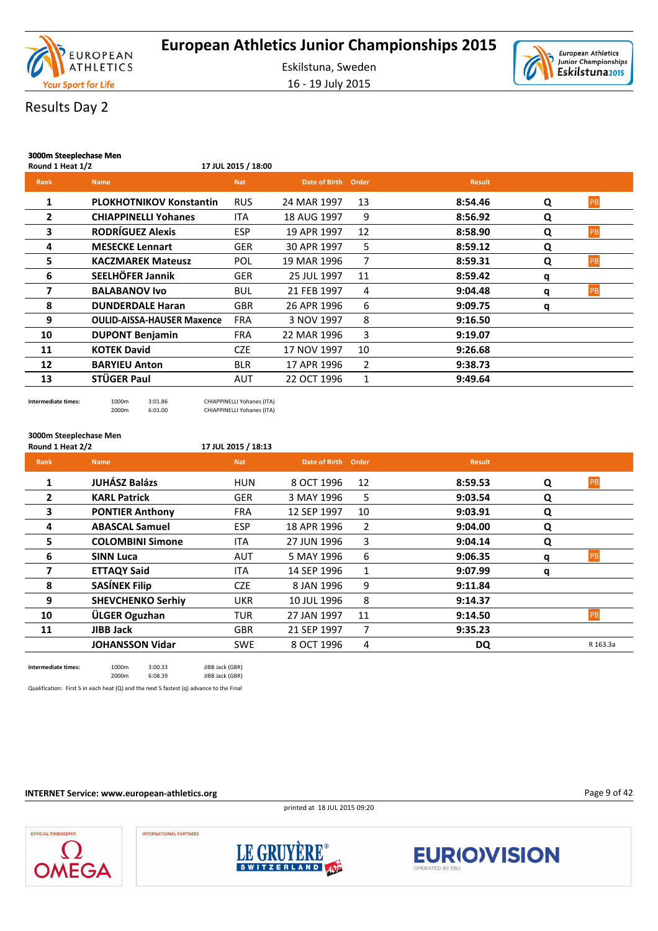

16 - 19 July 2015



# Results Day 2

| 3000m Steeplechase Men |                                   |                     |                     |    |               |   |           |
|------------------------|-----------------------------------|---------------------|---------------------|----|---------------|---|-----------|
| Round 1 Heat 1/2       |                                   | 17 JUL 2015 / 18:00 |                     |    |               |   |           |
| <b>Rank</b>            | <b>Name</b>                       | <b>Nat</b>          | Date of Birth Order |    | <b>Result</b> |   |           |
| 1                      | <b>PLOKHOTNIKOV Konstantin</b>    | <b>RUS</b>          | 24 MAR 1997         | 13 | 8:54.46       | Q | PB        |
| 2                      | <b>CHIAPPINELLI Yohanes</b>       | <b>ITA</b>          | 18 AUG 1997         | 9  | 8:56.92       | Q |           |
| 3                      | <b>RODRÍGUEZ Alexis</b>           | <b>ESP</b>          | 19 APR 1997         | 12 | 8:58.90       | Q | <b>PB</b> |
| 4                      | <b>MESECKE Lennart</b>            | <b>GER</b>          | 30 APR 1997         | 5  | 8:59.12       | Q |           |
| 5                      | <b>KACZMAREK Mateusz</b>          | POL                 | 19 MAR 1996         | 7  | 8:59.31       | Q | PB        |
| 6                      | SEELHÖFER Jannik                  | <b>GER</b>          | 25 JUL 1997         | 11 | 8:59.42       | q |           |
| 7                      | <b>BALABANOV Ivo</b>              | <b>BUL</b>          | 21 FEB 1997         | 4  | 9:04.48       | q | PB        |
| 8                      | <b>DUNDERDALE Haran</b>           | <b>GBR</b>          | 26 APR 1996         | 6  | 9:09.75       | q |           |
| 9                      | <b>OULID-AISSA-HAUSER Maxence</b> | <b>FRA</b>          | 3 NOV 1997          | 8  | 9:16.50       |   |           |
| 10                     | <b>DUPONT Benjamin</b>            | <b>FRA</b>          | 22 MAR 1996         | 3  | 9:19.07       |   |           |
| 11                     | <b>KOTEK David</b>                | <b>CZE</b>          | 17 NOV 1997         | 10 | 9:26.68       |   |           |
| 12                     | <b>BARYIEU Anton</b>              | <b>BLR</b>          | 17 APR 1996         | 2  | 9:38.73       |   |           |
| 13                     | STÜGER Paul                       | AUT                 | 22 OCT 1996         | 1  | 9:49.64       |   |           |
|                        |                                   |                     |                     |    |               |   |           |

**Intermediate times:** 1000m 3:01.86 CHIAPPINELLI Yohanes (ITA)<br>2000m 6:01.00 CHIAPPINELLI Yohanes (ITA) 6:01.00 CHIAPPINELLI Yohanes (ITA)

**3000m Steeplechase Men**

#### **Round 1 Heat 2/2 17 JUL 2015 / 18:13**

| <b>Rank</b> | <b>Name</b>              | <b>Nat</b> | Date of Birth Order |                | <b>Result</b> |   |          |
|-------------|--------------------------|------------|---------------------|----------------|---------------|---|----------|
| 1           | <b>JUHÁSZ Balázs</b>     | <b>HUN</b> | 8 OCT 1996          | 12             | 8:59.53       | Q | PB       |
| 2           | <b>KARL Patrick</b>      | <b>GER</b> | 3 MAY 1996          | 5              | 9:03.54       | Q |          |
| 3           | <b>PONTIER Anthony</b>   | <b>FRA</b> | 12 SEP 1997         | 10             | 9:03.91       | Q |          |
| 4           | <b>ABASCAL Samuel</b>    | <b>ESP</b> | 18 APR 1996         | $\overline{2}$ | 9:04.00       | Q |          |
| 5           | <b>COLOMBINI Simone</b>  | <b>ITA</b> | 27 JUN 1996         | 3              | 9:04.14       | Q |          |
| 6           | <b>SINN Luca</b>         | <b>AUT</b> | 5 MAY 1996          | 6              | 9:06.35       | q | PB       |
| 7           | <b>ETTAQY Said</b>       | <b>ITA</b> | 14 SEP 1996         | 1              | 9:07.99       | q |          |
| 8           | <b>SASÍNEK Filip</b>     | <b>CZE</b> | 8 JAN 1996          | 9              | 9:11.84       |   |          |
| 9           | <b>SHEVCHENKO Serhiy</b> | <b>UKR</b> | 10 JUL 1996         | 8              | 9:14.37       |   |          |
| 10          | ÜLGER Oguzhan            | TUR        | 27 JAN 1997         | 11             | 9:14.50       |   | PB       |
| 11          | JIBB Jack                | <b>GBR</b> | 21 SEP 1997         | 7              | 9:35.23       |   |          |
|             | <b>JOHANSSON Vidar</b>   | <b>SWE</b> | 8 OCT 1996          | 4              | DQ            |   | R 163.3a |
|             |                          |            |                     |                |               |   |          |

**Intermediate times:** 1000m 3:00.33 JIBB Jack (GBR) 2000m 6:08.39 JIBB Jack (GBR)

Qualification: First 5 in each heat (Q) and the next 5 fastest (q) advance to the Final

#### **INTERNET Service: www.european-athletics.org**



Page 9 of 42





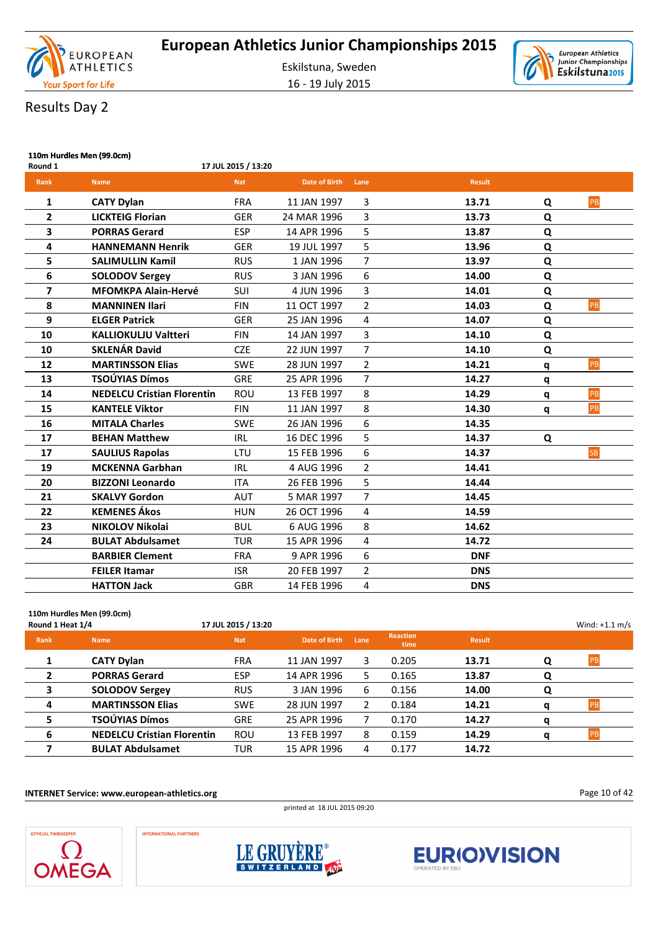



# Results Day 2

| Round 1                 | 110m Hurdles Men (99.0cm)<br>17 JUL 2015 / 13:20 |            |                      |                         |               |   |           |  |  |  |
|-------------------------|--------------------------------------------------|------------|----------------------|-------------------------|---------------|---|-----------|--|--|--|
| Rank                    | <b>Name</b>                                      | <b>Nat</b> | <b>Date of Birth</b> | Lane                    | <b>Result</b> |   |           |  |  |  |
| 1                       | <b>CATY Dylan</b>                                | <b>FRA</b> | 11 JAN 1997          | 3                       | 13.71         | Q | PB        |  |  |  |
| $\mathbf{2}$            | <b>LICKTEIG Florian</b>                          | <b>GER</b> | 24 MAR 1996          | 3                       | 13.73         | Q |           |  |  |  |
| 3                       | <b>PORRAS Gerard</b>                             | <b>ESP</b> | 14 APR 1996          | 5                       | 13.87         | Q |           |  |  |  |
| 4                       | <b>HANNEMANN Henrik</b>                          | <b>GER</b> | 19 JUL 1997          | 5                       | 13.96         | Q |           |  |  |  |
| 5                       | <b>SALIMULLIN Kamil</b>                          | <b>RUS</b> | 1 JAN 1996           | $\overline{7}$          | 13.97         | Q |           |  |  |  |
| 6                       | <b>SOLODOV Sergey</b>                            | <b>RUS</b> | 3 JAN 1996           | 6                       | 14.00         | Q |           |  |  |  |
| $\overline{\mathbf{z}}$ | <b>MFOMKPA Alain-Hervé</b>                       | SUI        | 4 JUN 1996           | 3                       | 14.01         | Q |           |  |  |  |
| 8                       | <b>MANNINEN Ilari</b>                            | <b>FIN</b> | 11 OCT 1997          | $\overline{2}$          | 14.03         | Q | PB        |  |  |  |
| 9                       | <b>ELGER Patrick</b>                             | <b>GER</b> | 25 JAN 1996          | $\overline{\mathbf{4}}$ | 14.07         | Q |           |  |  |  |
| 10                      | <b>KALLIOKULJU Valtteri</b>                      | <b>FIN</b> | 14 JAN 1997          | 3                       | 14.10         | Q |           |  |  |  |
| 10                      | <b>SKLENÁR David</b>                             | <b>CZE</b> | 22 JUN 1997          | $\overline{7}$          | 14.10         | Q |           |  |  |  |
| 12                      | <b>MARTINSSON Elias</b>                          | <b>SWE</b> | 28 JUN 1997          | $\overline{2}$          | 14.21         | q | PB        |  |  |  |
| 13                      | <b>TSOÚYIAS Dímos</b>                            | <b>GRE</b> | 25 APR 1996          | $\overline{7}$          | 14.27         | q |           |  |  |  |
| 14                      | <b>NEDELCU Cristian Florentin</b>                | <b>ROU</b> | 13 FEB 1997          | 8                       | 14.29         | q | PB        |  |  |  |
| 15                      | <b>KANTELE Viktor</b>                            | <b>FIN</b> | 11 JAN 1997          | 8                       | 14.30         | q | PB        |  |  |  |
| 16                      | <b>MITALA Charles</b>                            | <b>SWE</b> | 26 JAN 1996          | 6                       | 14.35         |   |           |  |  |  |
| 17                      | <b>BEHAN Matthew</b>                             | <b>IRL</b> | 16 DEC 1996          | 5                       | 14.37         | Q |           |  |  |  |
| 17                      | <b>SAULIUS Rapolas</b>                           | LTU        | 15 FEB 1996          | 6                       | 14.37         |   | <b>SB</b> |  |  |  |
| 19                      | <b>MCKENNA Garbhan</b>                           | <b>IRL</b> | 4 AUG 1996           | $\overline{2}$          | 14.41         |   |           |  |  |  |
| 20                      | <b>BIZZONI Leonardo</b>                          | <b>ITA</b> | 26 FEB 1996          | 5                       | 14.44         |   |           |  |  |  |
| 21                      | <b>SKALVY Gordon</b>                             | <b>AUT</b> | 5 MAR 1997           | $\overline{7}$          | 14.45         |   |           |  |  |  |
| 22                      | <b>KEMENES Ákos</b>                              | <b>HUN</b> | 26 OCT 1996          | 4                       | 14.59         |   |           |  |  |  |
| 23                      | <b>NIKOLOV Nikolai</b>                           | <b>BUL</b> | 6 AUG 1996           | 8                       | 14.62         |   |           |  |  |  |
| 24                      | <b>BULAT Abdulsamet</b>                          | <b>TUR</b> | 15 APR 1996          | 4                       | 14.72         |   |           |  |  |  |
|                         | <b>BARBIER Clement</b>                           | <b>FRA</b> | 9 APR 1996           | 6                       | <b>DNF</b>    |   |           |  |  |  |
|                         | <b>FEILER Itamar</b>                             | <b>ISR</b> | 20 FEB 1997          | $\overline{2}$          | <b>DNS</b>    |   |           |  |  |  |
|                         | <b>HATTON Jack</b>                               | <b>GBR</b> | 14 FEB 1996          | 4                       | <b>DNS</b>    |   |           |  |  |  |

### **110m Hurdles Men (99.0cm) Round 1 Heat 1/4** Wind: +1.1 m/s **Rank Name Nat Date of Birth Lane Reaction time Result 1 CATY Dylan** FRA 11 JAN 1997 3 0.205 **13.71 Q** PB **2 PORRAS Gerard** ESP 14 APR 1996 5 0.165 **13.87 Q 3 SOLODOV Sergey** RUS 3 JAN 1996 6 0.156 **14.00 Q 4 MARTINSSON Elias** SWE 28 JUN 1997 2 0.184 **14.21 q** PB **5 TSOÚYIAS Dímos** GRE 25 APR 1996 7 0.170 **14.27 q 6 NEDELCU Cristian Florentin** ROU 13 FEB 1997 8 0.159 **14.29 q** PB

#### **INTERNET Service: www.european-athletics.org**

**INTERNATIONAL PARTNERS** 

printed at 18 JUL 2015 09:20

Page 10 of 42





**7 BULAT Abdulsamet** TUR 15 APR 1996 4 0.177 **14.72**

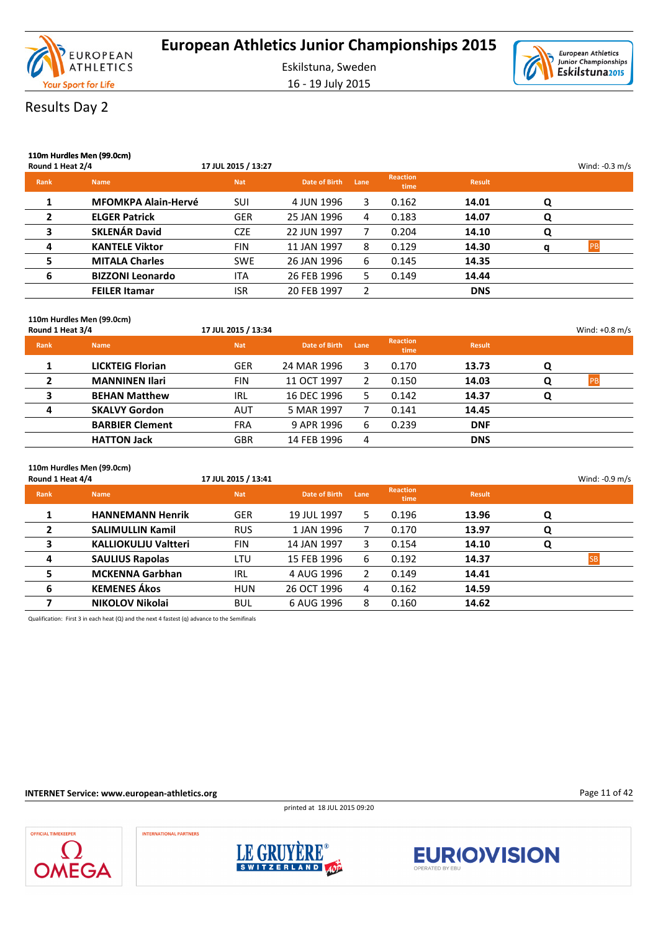

16 - 19 July 2015



### Results Day 2

| Round 1 Heat 2/4 | 110m Hurdles Men (99.0cm)  | 17 JUL 2015 / 13:27 |               |      |                         |               |   | Wind: $-0.3$ m/s |
|------------------|----------------------------|---------------------|---------------|------|-------------------------|---------------|---|------------------|
| <b>Rank</b>      | <b>Name</b>                | <b>Nat</b>          | Date of Birth | Lane | <b>Reaction</b><br>time | <b>Result</b> |   |                  |
|                  | <b>MFOMKPA Alain-Hervé</b> | SUI                 | 4 JUN 1996    | 3.   | 0.162                   | 14.01         | Q |                  |
| $\mathbf{2}$     | <b>ELGER Patrick</b>       | <b>GER</b>          | 25 JAN 1996   | 4    | 0.183                   | 14.07         | O |                  |
| 3                | <b>SKLENÁR David</b>       | <b>CZE</b>          | 22 JUN 1997   |      | 0.204                   | 14.10         | Q |                  |
| 4                | <b>KANTELE Viktor</b>      | <b>FIN</b>          | 11 JAN 1997   | 8    | 0.129                   | 14.30         | a |                  |
| 5                | <b>MITALA Charles</b>      | <b>SWE</b>          | 26 JAN 1996   | 6    | 0.145                   | 14.35         |   |                  |
| 6                | <b>BIZZONI Leonardo</b>    | <b>ITA</b>          | 26 FEB 1996   | 5.   | 0.149                   | 14.44         |   |                  |
|                  | <b>FEILER Itamar</b>       | <b>ISR</b>          | 20 FEB 1997   | 2    |                         | <b>DNS</b>    |   |                  |
|                  |                            |                     |               |      |                         |               |   |                  |

#### **110m Hurdles Men (99.0cm)**

| Round 1 Heat 3/4 |                         | 17 JUL 2015 / 13:34 |               |      |                         |               |   | Wind: $+0.8$ m/s |
|------------------|-------------------------|---------------------|---------------|------|-------------------------|---------------|---|------------------|
| Rank             | <b>Name</b>             | <b>Nat</b>          | Date of Birth | Lane | <b>Reaction</b><br>time | <b>Result</b> |   |                  |
|                  | <b>LICKTEIG Florian</b> | <b>GER</b>          | 24 MAR 1996   | 3.   | 0.170                   | 13.73         | Q |                  |
| 2                | <b>MANNINEN Ilari</b>   | <b>FIN</b>          | 11 OCT 1997   |      | 0.150                   | 14.03         | O | PB               |
| 3                | <b>BEHAN Matthew</b>    | IRL                 | 16 DEC 1996   | 5.   | 0.142                   | 14.37         | Q |                  |
| 4                | <b>SKALVY Gordon</b>    | <b>AUT</b>          | 5 MAR 1997    |      | 0.141                   | 14.45         |   |                  |
|                  | <b>BARBIER Clement</b>  | <b>FRA</b>          | 9 APR 1996    | 6    | 0.239                   | <b>DNF</b>    |   |                  |
|                  | <b>HATTON Jack</b>      | <b>GBR</b>          | 14 FEB 1996   | 4    |                         | <b>DNS</b>    |   |                  |

| Round 1 Heat 4/4 | 110m Hurdles Men (99.0cm)   | 17 JUL 2015 / 13:41 |               |      |                                |               |   | Wind: $-0.9$ m/s |
|------------------|-----------------------------|---------------------|---------------|------|--------------------------------|---------------|---|------------------|
| <b>Rank</b>      | <b>Name</b>                 | <b>Nat</b>          | Date of Birth | Lane | <b>Reaction</b><br><b>time</b> | <b>Result</b> |   |                  |
|                  | <b>HANNEMANN Henrik</b>     | <b>GER</b>          | 19 JUL 1997   | 5.   | 0.196                          | 13.96         | Q |                  |
| $\mathbf{2}$     | <b>SALIMULLIN Kamil</b>     | <b>RUS</b>          | 1 JAN 1996    |      | 0.170                          | 13.97         | Q |                  |
| 3                | <b>KALLIOKULJU Valtteri</b> | <b>FIN</b>          | 14 JAN 1997   | 3.   | 0.154                          | 14.10         | Q |                  |
| 4                | <b>SAULIUS Rapolas</b>      | LTU                 | 15 FEB 1996   | 6    | 0.192                          | 14.37         |   |                  |
| 5                | <b>MCKENNA Garbhan</b>      | IRL                 | 4 AUG 1996    | 2    | 0.149                          | 14.41         |   |                  |
| 6                | <b>KEMENES Ákos</b>         | <b>HUN</b>          | 26 OCT 1996   | 4    | 0.162                          | 14.59         |   |                  |
| 7                | <b>NIKOLOV Nikolai</b>      | <b>BUL</b>          | 6 AUG 1996    | 8    | 0.160                          | 14.62         |   |                  |

Qualification: First 3 in each heat (Q) and the next 4 fastest (q) advance to the Semifinals

#### **INTERNET Service: www.european-athletics.org**

printed at 18 JUL 2015 09:20



**INTERNATIONAL PARTNERS** 





Page 11 of 42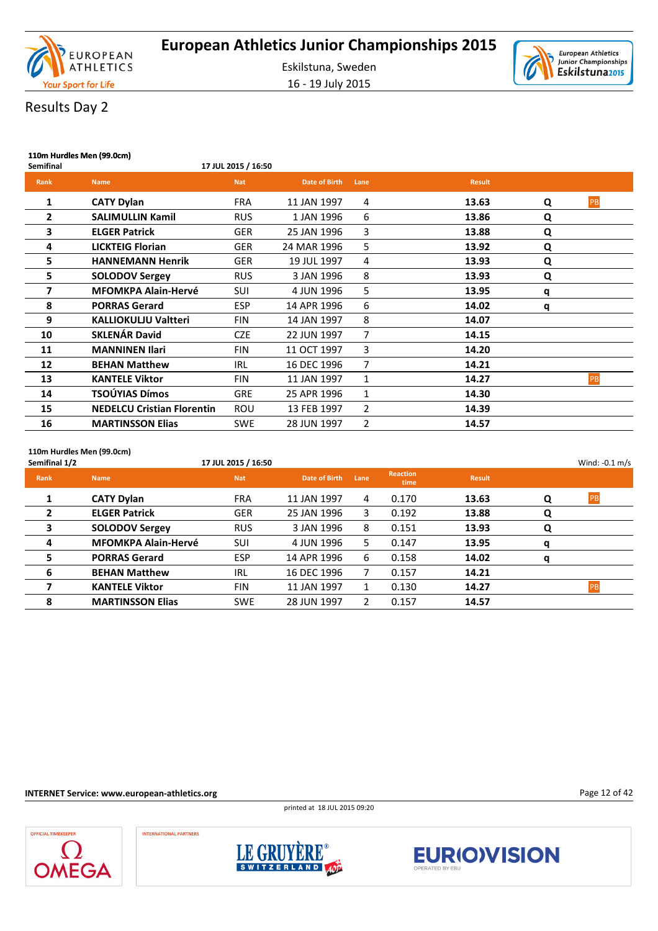

16 - 19 July 2015



| Semifinal   | 110m Hurdles Men (99.0cm)<br>17 JUL 2015 / 16:50 |            |                      |      |               |   |    |  |  |
|-------------|--------------------------------------------------|------------|----------------------|------|---------------|---|----|--|--|
| <b>Rank</b> | <b>Name</b>                                      | <b>Nat</b> | <b>Date of Birth</b> | Lane | <b>Result</b> |   |    |  |  |
| 1           | <b>CATY Dylan</b>                                | <b>FRA</b> | 11 JAN 1997          | 4    | 13.63         | Q | PB |  |  |
| 2           | <b>SALIMULLIN Kamil</b>                          | <b>RUS</b> | 1 JAN 1996           | 6    | 13.86         | Q |    |  |  |
| 3           | <b>ELGER Patrick</b>                             | <b>GER</b> | 25 JAN 1996          | 3    | 13.88         | Q |    |  |  |
| 4           | <b>LICKTEIG Florian</b>                          | <b>GER</b> | 24 MAR 1996          | 5    | 13.92         | Q |    |  |  |
| 5           | <b>HANNEMANN Henrik</b>                          | <b>GER</b> | 19 JUL 1997          | 4    | 13.93         | Q |    |  |  |
| 5           | <b>SOLODOV Sergey</b>                            | <b>RUS</b> | 3 JAN 1996           | 8    | 13.93         | Q |    |  |  |
| 7           | <b>MFOMKPA Alain-Hervé</b>                       | SUI        | 4 JUN 1996           | 5    | 13.95         | q |    |  |  |
| 8           | <b>PORRAS Gerard</b>                             | <b>ESP</b> | 14 APR 1996          | 6    | 14.02         | q |    |  |  |
| 9           | <b>KALLIOKULJU Valtteri</b>                      | FIN        | 14 JAN 1997          | 8    | 14.07         |   |    |  |  |
| 10          | <b>SKLENÁR David</b>                             | <b>CZE</b> | 22 JUN 1997          | 7    | 14.15         |   |    |  |  |
| 11          | <b>MANNINEN Ilari</b>                            | <b>FIN</b> | 11 OCT 1997          | 3    | 14.20         |   |    |  |  |
| 12          | <b>BEHAN Matthew</b>                             | <b>IRL</b> | 16 DEC 1996          | 7    | 14.21         |   |    |  |  |
| 13          | <b>KANTELE Viktor</b>                            | <b>FIN</b> | 11 JAN 1997          | 1    | 14.27         |   | PB |  |  |
| 14          | TSOÚYIAS Dímos                                   | <b>GRE</b> | 25 APR 1996          | 1    | 14.30         |   |    |  |  |
| 15          | <b>NEDELCU Cristian Florentin</b>                | <b>ROU</b> | 13 FEB 1997          | 2    | 14.39         |   |    |  |  |
| 16          | <b>MARTINSSON Elias</b>                          | <b>SWE</b> | 28 JUN 1997          | 2    | 14.57         |   |    |  |  |

**110m Hurdles Men (99.0cm)**

| Semifinal 1/2  |                            | 17 JUL 2015 / 16:50 |               |      |                         |               |   | Wind: $-0.1$ m/s |
|----------------|----------------------------|---------------------|---------------|------|-------------------------|---------------|---|------------------|
| Rank           | <b>Name</b>                | <b>Nat</b>          | Date of Birth | Lane | <b>Reaction</b><br>time | <b>Result</b> |   |                  |
| 1              | <b>CATY Dylan</b>          | <b>FRA</b>          | 11 JAN 1997   | 4    | 0.170                   | 13.63         | Q | <b>PB</b>        |
| $\overline{2}$ | <b>ELGER Patrick</b>       | <b>GER</b>          | 25 JAN 1996   | 3    | 0.192                   | 13.88         | Q |                  |
| 3              | <b>SOLODOV Sergey</b>      | <b>RUS</b>          | 3 JAN 1996    | 8    | 0.151                   | 13.93         | Q |                  |
| 4              | <b>MFOMKPA Alain-Hervé</b> | <b>SUI</b>          | 4 JUN 1996    | 5.   | 0.147                   | 13.95         | q |                  |
| 5              | <b>PORRAS Gerard</b>       | <b>ESP</b>          | 14 APR 1996   | 6    | 0.158                   | 14.02         | q |                  |
| 6              | <b>BEHAN Matthew</b>       | <b>IRL</b>          | 16 DEC 1996   |      | 0.157                   | 14.21         |   |                  |
|                | <b>KANTELE Viktor</b>      | <b>FIN</b>          | 11 JAN 1997   |      | 0.130                   | 14.27         |   | PB               |
| 8              | <b>MARTINSSON Elias</b>    | <b>SWE</b>          | 28 JUN 1997   | 2    | 0.157                   | 14.57         |   |                  |

**INTERNET Service: www.european-athletics.org**

printed at 18 JUL 2015 09:20



**INTERNATIONAL PARTNERS** 







Page 12 of 42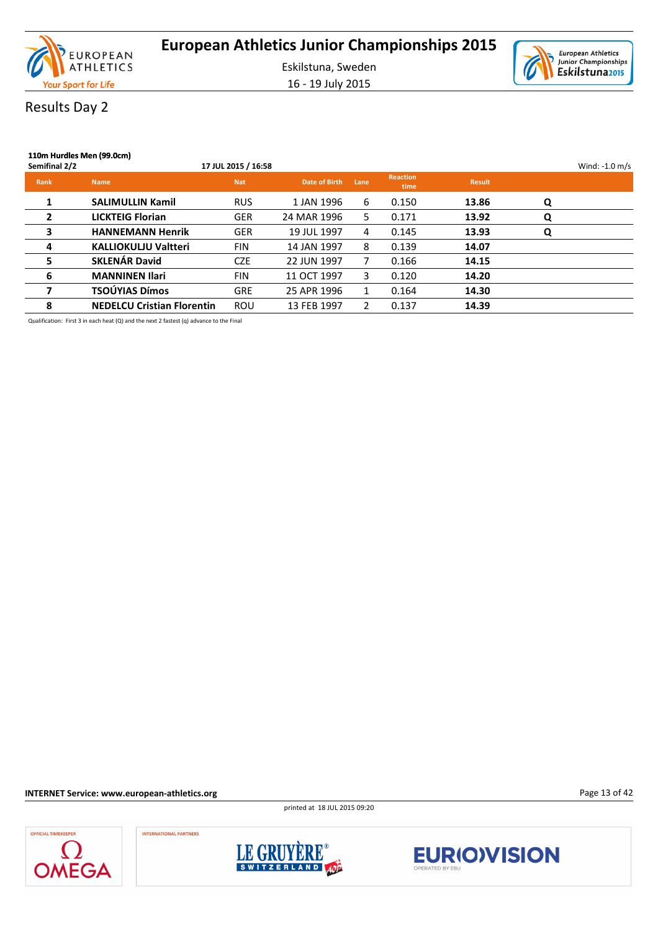

16 - 19 July 2015



### Results Day 2

| 110m Hurdles Men (99.0cm)<br>Semifinal 2/2 |                                   | 17 JUL 2015 / 16:58 |               |      |                         |               |   | Wind: $-1.0$ m/s |
|--------------------------------------------|-----------------------------------|---------------------|---------------|------|-------------------------|---------------|---|------------------|
| <b>Rank</b>                                | <b>Name</b>                       | <b>Nat</b>          | Date of Birth | Lane | <b>Reaction</b><br>time | <b>Result</b> |   |                  |
| 1                                          | <b>SALIMULLIN Kamil</b>           | <b>RUS</b>          | 1 JAN 1996    | 6    | 0.150                   | 13.86         | Q |                  |
| $\overline{2}$                             | <b>LICKTEIG Florian</b>           | <b>GER</b>          | 24 MAR 1996   | 5.   | 0.171                   | 13.92         | Q |                  |
| 3                                          | <b>HANNEMANN Henrik</b>           | <b>GER</b>          | 19 JUL 1997   | 4    | 0.145                   | 13.93         | Q |                  |
| 4                                          | <b>KALLIOKULJU Valtteri</b>       | <b>FIN</b>          | 14 JAN 1997   | 8    | 0.139                   | 14.07         |   |                  |
| 5                                          | <b>SKLENÁR David</b>              | <b>CZE</b>          | 22 JUN 1997   |      | 0.166                   | 14.15         |   |                  |
| 6                                          | <b>MANNINEN Ilari</b>             | <b>FIN</b>          | 11 OCT 1997   | 3.   | 0.120                   | 14.20         |   |                  |
| 7                                          | TSOÚYIAS Dímos                    | <b>GRE</b>          | 25 APR 1996   |      | 0.164                   | 14.30         |   |                  |
| 8                                          | <b>NEDELCU Cristian Florentin</b> | <b>ROU</b>          | 13 FEB 1997   | 2    | 0.137                   | 14.39         |   |                  |

Qualification: First 3 in each heat (Q) and the next 2 fastest (q) advance to the Final

**INTERNET Service: www.european-athletics.org**

printed at 18 JUL 2015 09:20

Page 13 of 42







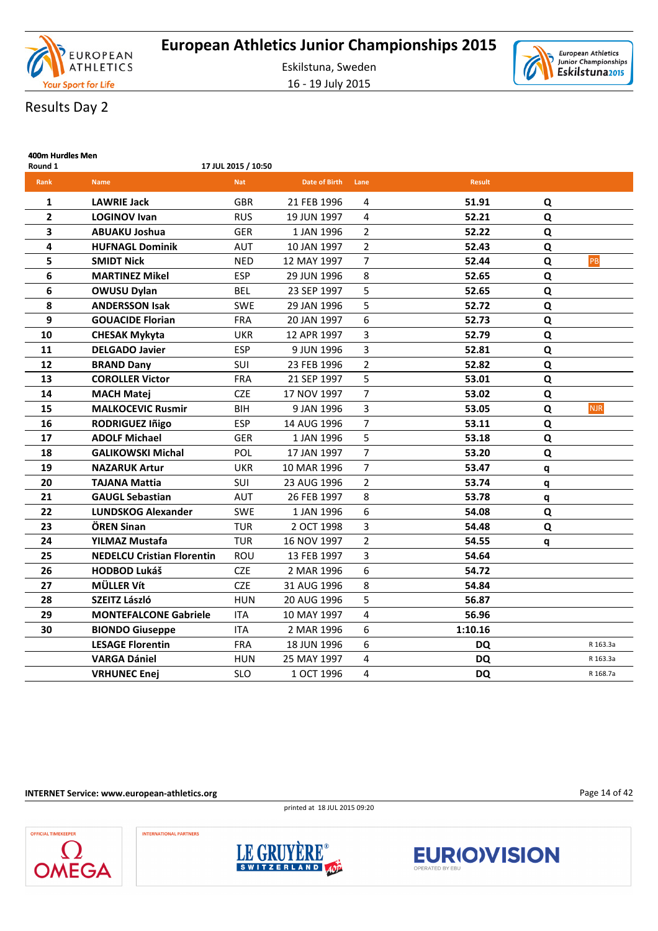





# Results Day 2

| 400m Hurdles Men<br>Round 1 |                                   | 17 JUL 2015 / 10:50 |                      |                |               |   |            |
|-----------------------------|-----------------------------------|---------------------|----------------------|----------------|---------------|---|------------|
| Rank                        | <b>Name</b>                       | <b>Nat</b>          | <b>Date of Birth</b> | Lane           | <b>Result</b> |   |            |
| 1                           | <b>LAWRIE Jack</b>                | <b>GBR</b>          | 21 FEB 1996          | 4              | 51.91         | Q |            |
| $\overline{2}$              | <b>LOGINOV Ivan</b>               | <b>RUS</b>          | 19 JUN 1997          | 4              | 52.21         | Q |            |
| 3                           | <b>ABUAKU Joshua</b>              | <b>GER</b>          | 1 JAN 1996           | $\overline{2}$ | 52.22         | Q |            |
| 4                           | <b>HUFNAGL Dominik</b>            | AUT                 | 10 JAN 1997          | 2              | 52.43         | Q |            |
| 5                           | <b>SMIDT Nick</b>                 | <b>NED</b>          | 12 MAY 1997          | $\overline{7}$ | 52.44         | Q | PB         |
| 6                           | <b>MARTINEZ Mikel</b>             | <b>ESP</b>          | 29 JUN 1996          | 8              | 52.65         | Q |            |
| 6                           | <b>OWUSU Dylan</b>                | <b>BEL</b>          | 23 SEP 1997          | 5              | 52.65         | Q |            |
| 8                           | <b>ANDERSSON Isak</b>             | <b>SWE</b>          | 29 JAN 1996          | 5              | 52.72         | Q |            |
| 9                           | <b>GOUACIDE Florian</b>           | FRA                 | 20 JAN 1997          | 6              | 52.73         | Q |            |
| 10                          | <b>CHESAK Mykyta</b>              | <b>UKR</b>          | 12 APR 1997          | 3              | 52.79         | Q |            |
| 11                          | <b>DELGADO Javier</b>             | <b>ESP</b>          | 9 JUN 1996           | 3              | 52.81         | Q |            |
| 12                          | <b>BRAND Dany</b>                 | SUI                 | 23 FEB 1996          | $\overline{2}$ | 52.82         | Q |            |
| 13                          | <b>COROLLER Victor</b>            | <b>FRA</b>          | 21 SEP 1997          | 5              | 53.01         | Q |            |
| 14                          | <b>MACH Matei</b>                 | <b>CZE</b>          | 17 NOV 1997          | 7              | 53.02         | Q |            |
| 15                          | <b>MALKOCEVIC Rusmir</b>          | <b>BIH</b>          | 9 JAN 1996           | 3              | 53.05         | Q | <b>NJR</b> |
| 16                          | <b>RODRIGUEZ Iñigo</b>            | <b>ESP</b>          | 14 AUG 1996          | 7              | 53.11         | Q |            |
| 17                          | <b>ADOLF Michael</b>              | <b>GER</b>          | 1 JAN 1996           | 5              | 53.18         | Q |            |
| 18                          | <b>GALIKOWSKI Michal</b>          | POL                 | 17 JAN 1997          | $\overline{7}$ | 53.20         | Q |            |
| 19                          | <b>NAZARUK Artur</b>              | <b>UKR</b>          | 10 MAR 1996          | $\overline{7}$ | 53.47         | q |            |
| 20                          | <b>TAJANA Mattia</b>              | <b>SUI</b>          | 23 AUG 1996          | $\overline{2}$ | 53.74         | q |            |
| 21                          | <b>GAUGL Sebastian</b>            | <b>AUT</b>          | 26 FEB 1997          | 8              | 53.78         | q |            |
| 22                          | <b>LUNDSKOG Alexander</b>         | <b>SWE</b>          | 1 JAN 1996           | 6              | 54.08         | Q |            |
| 23                          | ÖREN Sinan                        | <b>TUR</b>          | 2 OCT 1998           | $\overline{3}$ | 54.48         | Q |            |
| 24                          | YILMAZ Mustafa                    | <b>TUR</b>          | 16 NOV 1997          | $\overline{2}$ | 54.55         | q |            |
| 25                          | <b>NEDELCU Cristian Florentin</b> | <b>ROU</b>          | 13 FEB 1997          | 3              | 54.64         |   |            |
| 26                          | <b>HODBOD Lukáš</b>               | <b>CZE</b>          | 2 MAR 1996           | 6              | 54.72         |   |            |
| 27                          | <b>MÜLLER Vít</b>                 | <b>CZE</b>          | 31 AUG 1996          | 8              | 54.84         |   |            |
| 28                          | <b>SZEITZ László</b>              | <b>HUN</b>          | 20 AUG 1996          | 5              | 56.87         |   |            |
| 29                          | <b>MONTEFALCONE Gabriele</b>      | <b>ITA</b>          | 10 MAY 1997          | 4              | 56.96         |   |            |
| 30                          | <b>BIONDO Giuseppe</b>            | <b>ITA</b>          | 2 MAR 1996           | 6              | 1:10.16       |   |            |
|                             | <b>LESAGE Florentin</b>           | <b>FRA</b>          | 18 JUN 1996          | 6              | DQ            |   | R 163.3a   |
|                             | <b>VARGA Dániel</b>               | <b>HUN</b>          | 25 MAY 1997          | 4              | <b>DQ</b>     |   | R 163.3a   |
|                             | <b>VRHUNEC Enej</b>               | <b>SLO</b>          | 1 OCT 1996           | 4              | <b>DQ</b>     |   | R 168.7a   |

**INTERNET Service: www.european-athletics.org**

**INTERNATIONAL PARTNERS** 



Page 14 of 42





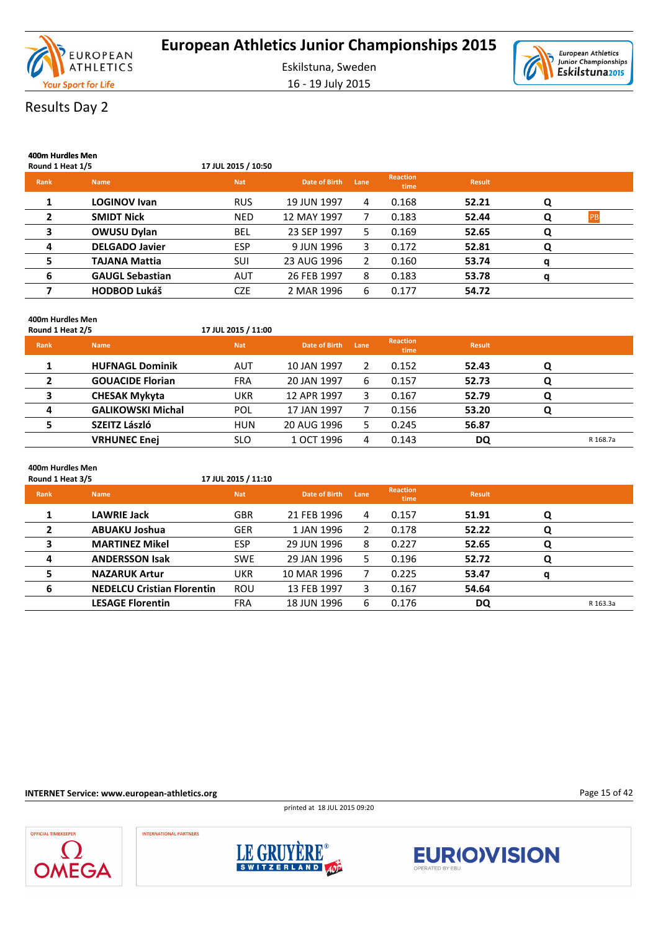

16 - 19 July 2015



# Results Day 2

| 400m Hurdles Men<br>Round 1 Heat 1/5 |                        | 17 JUL 2015 / 10:50 |               |      |                         |               |   |           |
|--------------------------------------|------------------------|---------------------|---------------|------|-------------------------|---------------|---|-----------|
| <b>Rank</b>                          | <b>Name</b>            | <b>Nat</b>          | Date of Birth | Lane | <b>Reaction</b><br>time | <b>Result</b> |   |           |
| 1                                    | <b>LOGINOV Ivan</b>    | <b>RUS</b>          | 19 JUN 1997   | 4    | 0.168                   | 52.21         | Q |           |
| 2                                    | <b>SMIDT Nick</b>      | <b>NED</b>          | 12 MAY 1997   |      | 0.183                   | 52.44         | Q | <b>PB</b> |
| 3                                    | <b>OWUSU Dylan</b>     | <b>BEL</b>          | 23 SEP 1997   | 5.   | 0.169                   | 52.65         | Q |           |
| 4                                    | <b>DELGADO Javier</b>  | <b>ESP</b>          | 9 JUN 1996    | 3    | 0.172                   | 52.81         | Q |           |
| 5                                    | <b>TAJANA Mattia</b>   | SUI                 | 23 AUG 1996   | 2    | 0.160                   | 53.74         | o |           |
| 6                                    | <b>GAUGL Sebastian</b> | <b>AUT</b>          | 26 FEB 1997   | 8    | 0.183                   | 53.78         | a |           |
| 7                                    | <b>HODBOD Lukáš</b>    | <b>CZE</b>          | 2 MAR 1996    | 6    | 0.177                   | 54.72         |   |           |

### **400m Hurdles Men**

**400m Hurdles Men**

| Round 1 Heat 2/5 |                          | 17 JUL 2015 / 11:00 |               |      |                         |               |   |          |
|------------------|--------------------------|---------------------|---------------|------|-------------------------|---------------|---|----------|
| Rank             | <b>Name</b>              | <b>Nat</b>          | Date of Birth | Lane | <b>Reaction</b><br>time | <b>Result</b> |   |          |
|                  | <b>HUFNAGL Dominik</b>   | AUT                 | 10 JAN 1997   |      | 0.152                   | 52.43         | Q |          |
|                  | <b>GOUACIDE Florian</b>  | <b>FRA</b>          | 20 JAN 1997   | 6    | 0.157                   | 52.73         |   |          |
| 3                | <b>CHESAK Mykyta</b>     | UKR                 | 12 APR 1997   | 3.   | 0.167                   | 52.79         | Q |          |
| 4                | <b>GALIKOWSKI Michal</b> | POL                 | 17 JAN 1997   |      | 0.156                   | 53.20         |   |          |
| 5                | SZEITZ László            | <b>HUN</b>          | 20 AUG 1996   | 5.   | 0.245                   | 56.87         |   |          |
|                  | <b>VRHUNEC Enej</b>      | <b>SLO</b>          | 1 OCT 1996    | 4    | 0.143                   | DQ            |   | R 168.7a |

| Round 1 Heat 3/5 |                                   | 17 JUL 2015 / 11:10 |               |      |                         |               |   |          |
|------------------|-----------------------------------|---------------------|---------------|------|-------------------------|---------------|---|----------|
| <b>Rank</b>      | <b>Name</b>                       | <b>Nat</b>          | Date of Birth | Lane | <b>Reaction</b><br>time | <b>Result</b> |   |          |
|                  | <b>LAWRIE Jack</b>                | <b>GBR</b>          | 21 FEB 1996   | 4    | 0.157                   | 51.91         | Q |          |
| $\overline{2}$   | <b>ABUAKU Joshua</b>              | <b>GER</b>          | 1 JAN 1996    | 2    | 0.178                   | 52.22         | Q |          |
| 3                | <b>MARTINEZ Mikel</b>             | <b>ESP</b>          | 29 JUN 1996   | 8    | 0.227                   | 52.65         | Q |          |
| 4                | <b>ANDERSSON Isak</b>             | <b>SWE</b>          | 29 JAN 1996   | 5.   | 0.196                   | 52.72         | Q |          |
| 5                | <b>NAZARUK Artur</b>              | <b>UKR</b>          | 10 MAR 1996   |      | 0.225                   | 53.47         | q |          |
| 6                | <b>NEDELCU Cristian Florentin</b> | <b>ROU</b>          | 13 FEB 1997   | 3.   | 0.167                   | 54.64         |   |          |
|                  | <b>LESAGE Florentin</b>           | FRA                 | 18 JUN 1996   | 6    | 0.176                   | DQ            |   | R 163.3a |

### **INTERNET Service: www.european-athletics.org**

printed at 18 JUL 2015 09:20



INTERNATIONAL PARTNERS





Page 15 of 42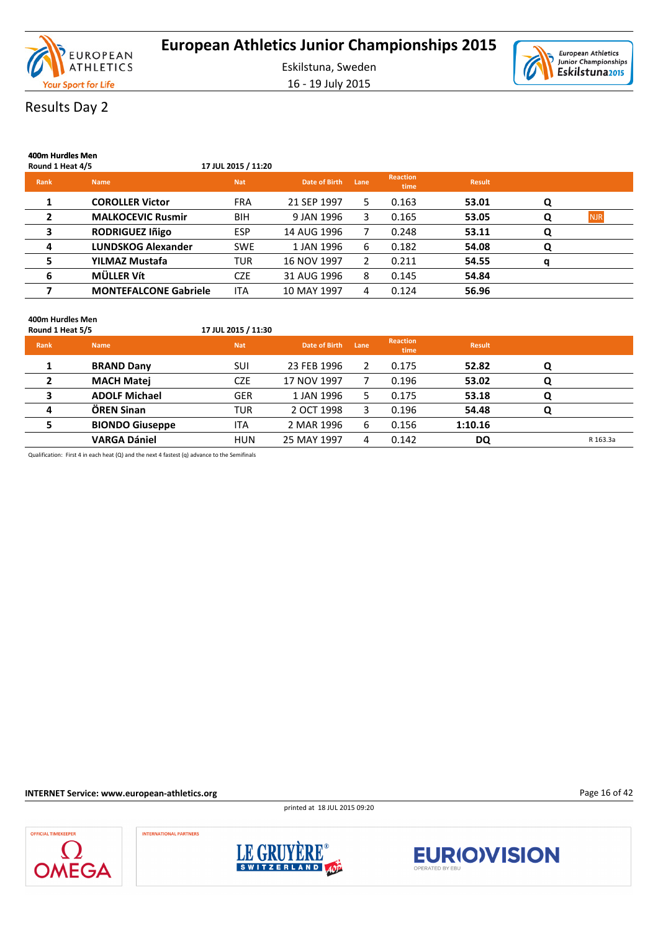

16 - 19 July 2015



# Results Day 2

| 400m Hurdles Men<br>Round 1 Heat 4/5 |                              | 17 JUL 2015 / 11:20 |                      |      |                         |               |   |            |
|--------------------------------------|------------------------------|---------------------|----------------------|------|-------------------------|---------------|---|------------|
| <b>Rank</b>                          | <b>Name</b>                  | <b>Nat</b>          | <b>Date of Birth</b> | Lane | <b>Reaction</b><br>time | <b>Result</b> |   |            |
|                                      | <b>COROLLER Victor</b>       | <b>FRA</b>          | 21 SEP 1997          | 5.   | 0.163                   | 53.01         | Q |            |
| 2                                    | <b>MALKOCEVIC Rusmir</b>     | <b>BIH</b>          | 9 JAN 1996           | 3    | 0.165                   | 53.05         | O | <b>NJR</b> |
| 3                                    | <b>RODRIGUEZ Iñigo</b>       | <b>ESP</b>          | 14 AUG 1996          |      | 0.248                   | 53.11         | Q |            |
| 4                                    | <b>LUNDSKOG Alexander</b>    | <b>SWE</b>          | 1 JAN 1996           | 6    | 0.182                   | 54.08         | Q |            |
| 5                                    | YILMAZ Mustafa               | <b>TUR</b>          | 16 NOV 1997          | 2    | 0.211                   | 54.55         | a |            |
| 6                                    | MÜLLER Vít                   | <b>CZE</b>          | 31 AUG 1996          | 8    | 0.145                   | 54.84         |   |            |
| 7                                    | <b>MONTEFALCONE Gabriele</b> | <b>ITA</b>          | 10 MAY 1997          | 4    | 0.124                   | 56.96         |   |            |

#### **400m Hurdles Men**

| Round 1 Heat 5/5 |                        | 17 JUL 2015 / 11:30 |               |      |                         |               |   |          |
|------------------|------------------------|---------------------|---------------|------|-------------------------|---------------|---|----------|
| Rank             | <b>Name</b>            | <b>Nat</b>          | Date of Birth | Lane | <b>Reaction</b><br>time | <b>Result</b> |   |          |
|                  | <b>BRAND Dany</b>      | <b>SUI</b>          | 23 FEB 1996   | 2    | 0.175                   | 52.82         | O |          |
| 2                | <b>MACH Matej</b>      | <b>CZE</b>          | 17 NOV 1997   |      | 0.196                   | 53.02         | Q |          |
|                  | <b>ADOLF Michael</b>   | <b>GER</b>          | 1 JAN 1996    | 5.   | 0.175                   | 53.18         | O |          |
| 4                | ÖREN Sinan             | TUR                 | 2 OCT 1998    | 3    | 0.196                   | 54.48         | Q |          |
| 5                | <b>BIONDO Giuseppe</b> | <b>ITA</b>          | 2 MAR 1996    | 6    | 0.156                   | 1:10.16       |   |          |
|                  | <b>VARGA Dániel</b>    | <b>HUN</b>          | 25 MAY 1997   | 4    | 0.142                   | DQ            |   | R 163.3a |

Qualification: First 4 in each heat (Q) and the next 4 fastest (q) advance to the Semifinals

**INTERNET Service: www.european-athletics.org**

printed at 18 JUL 2015 09:20



INTERNATIONAL PARTNERS





Page 16 of 42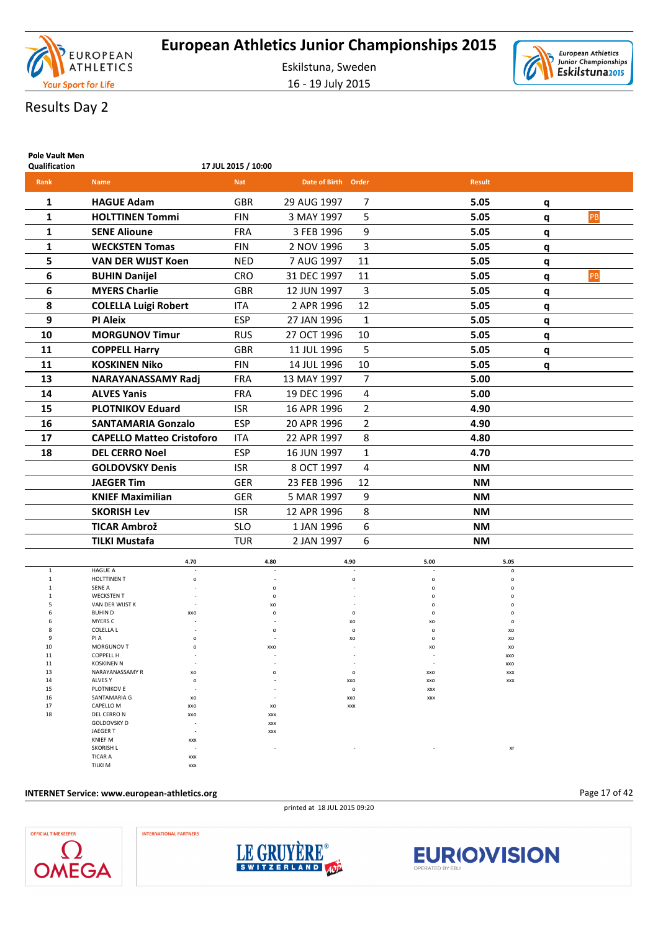

16 - 19 July 2015



# Results Day 2

| <b>Pole Vault Men</b><br>Qualification |                                       |              | 17 JUL 2015 / 10:00      |                            |                      |            |               |                              |   |    |
|----------------------------------------|---------------------------------------|--------------|--------------------------|----------------------------|----------------------|------------|---------------|------------------------------|---|----|
| Rank                                   | <b>Name</b>                           |              | <b>Nat</b>               | Date of Birth Order        |                      |            | <b>Result</b> |                              |   |    |
|                                        |                                       |              |                          |                            |                      |            |               |                              |   |    |
| 1                                      | <b>HAGUE Adam</b>                     |              | <b>GBR</b>               | 29 AUG 1997                | 7                    |            | 5.05          |                              | q |    |
| 1                                      | <b>HOLTTINEN Tommi</b>                |              | <b>FIN</b>               | 3 MAY 1997                 | 5                    |            | 5.05          |                              | q | PB |
| 1                                      | <b>SENE Alioune</b>                   |              | <b>FRA</b>               | 3 FEB 1996                 | 9                    |            | 5.05          |                              | q |    |
| 1                                      | <b>WECKSTEN Tomas</b>                 |              | <b>FIN</b>               | 2 NOV 1996                 | 3                    |            | 5.05          |                              | q |    |
| 5                                      | <b>VAN DER WIJST Koen</b>             |              | <b>NED</b>               | 7 AUG 1997                 | 11                   |            | 5.05          |                              | q |    |
| 6                                      | <b>BUHIN Danijel</b>                  |              | <b>CRO</b>               | 31 DEC 1997                | 11                   |            | 5.05          |                              | q | PB |
| 6                                      | <b>MYERS Charlie</b>                  |              | <b>GBR</b>               | 12 JUN 1997                | 3                    |            | 5.05          |                              | q |    |
| 8                                      | <b>COLELLA Luigi Robert</b>           |              | <b>ITA</b>               | 2 APR 1996                 | 12                   |            | 5.05          |                              | q |    |
| 9                                      | <b>PI Aleix</b>                       |              | <b>ESP</b>               | 27 JAN 1996                | $\mathbf{1}$         |            | 5.05          |                              |   |    |
| 10                                     | <b>MORGUNOV Timur</b>                 |              | <b>RUS</b>               | 27 OCT 1996                | 10                   |            | 5.05          |                              | q |    |
| 11                                     | <b>COPPELL Harry</b>                  |              | <b>GBR</b>               | 11 JUL 1996                | 5                    |            | 5.05          |                              | q |    |
|                                        | <b>KOSKINEN Niko</b>                  |              |                          |                            |                      |            | 5.05          |                              | q |    |
| 11<br>13                               |                                       |              | <b>FIN</b><br><b>FRA</b> | 14 JUL 1996<br>13 MAY 1997 | 10<br>$\overline{7}$ |            | 5.00          |                              | q |    |
|                                        | NARAYANASSAMY Radj                    |              |                          |                            |                      |            |               |                              |   |    |
| 14                                     | <b>ALVES Yanis</b>                    |              | <b>FRA</b>               | 19 DEC 1996                | 4                    |            | 5.00          |                              |   |    |
| 15                                     | <b>PLOTNIKOV Eduard</b>               |              | <b>ISR</b>               | 16 APR 1996                | $\overline{2}$       |            | 4.90          |                              |   |    |
| 16                                     | <b>SANTAMARIA Gonzalo</b>             |              | ESP                      | 20 APR 1996                | $\overline{2}$       |            | 4.90          |                              |   |    |
| 17                                     | <b>CAPELLO Matteo Cristoforo</b>      |              | <b>ITA</b>               | 22 APR 1997                | 8                    |            | 4.80          |                              |   |    |
| 18                                     | <b>DEL CERRO Noel</b>                 |              | ESP                      | 16 JUN 1997                | 1                    |            | 4.70          |                              |   |    |
|                                        | <b>GOLDOVSKY Denis</b>                |              | <b>ISR</b>               | 8 OCT 1997                 | 4                    |            | <b>NM</b>     |                              |   |    |
|                                        | <b>JAEGER Tim</b>                     |              | <b>GER</b>               | 23 FEB 1996                | 12                   |            | NM            |                              |   |    |
|                                        | <b>KNIEF Maximilian</b>               |              | <b>GER</b>               | 5 MAR 1997                 | 9                    |            | <b>NM</b>     |                              |   |    |
|                                        | <b>SKORISH Lev</b>                    |              | <b>ISR</b>               | 12 APR 1996                | 8                    |            | <b>NM</b>     |                              |   |    |
|                                        | <b>TICAR Ambrož</b>                   |              | <b>SLO</b>               | 1 JAN 1996                 | 6                    |            | <b>NM</b>     |                              |   |    |
|                                        | <b>TILKI Mustafa</b>                  |              | <b>TUR</b>               | 2 JAN 1997                 | 6                    |            | <b>NM</b>     |                              |   |    |
|                                        |                                       | 4.70         |                          | 4.80                       | 4.90                 | 5.00       |               | 5.05                         |   |    |
| $\mathbf{1}$<br>$\mathbf{1}$           | <b>HAGUE A</b><br>HOLTTINEN T         | $\circ$      |                          |                            | $\circ$              | o          |               | $\mathsf{o}$<br>$\mathsf{o}$ |   |    |
|                                        | SENE A                                |              |                          | $\circ$                    |                      | $\Omega$   |               | O                            |   |    |
|                                        | <b>WECKSTEN T</b>                     |              |                          | $\Omega$                   |                      |            |               | O                            |   |    |
| 5<br>6                                 | VAN DER WIJST K<br><b>BUHIND</b>      | XXO          |                          | XO                         |                      |            |               |                              |   |    |
| 6                                      | MYERS C                               |              |                          |                            | XO                   | XO         |               | $\Omega$                     |   |    |
| 8                                      | COLELLA L                             |              |                          | $\Omega$                   | $\circ$              | $\circ$    |               | xo                           |   |    |
| 9                                      | PI A                                  | $\mathsf{o}$ |                          |                            | xo                   | о          |               | xo                           |   |    |
| 10<br>11                               | MORGUNOV T<br>COPPELL H               | o            |                          | XXO                        |                      | XO         |               | XO<br>XXO                    |   |    |
| 11                                     | <b>KOSKINEN N</b>                     |              |                          |                            |                      |            |               | XXO                          |   |    |
| 13                                     | NARAYANASSAMY R                       | xo           |                          | $\mathsf{o}$               | $\circ$              | XXO        |               | XXX                          |   |    |
| 14<br>15                               | ALVES Y<br>PLOTNIKOV E                | $\mathsf{o}$ |                          |                            | XXO<br>$\circ$       | XXO<br>XXX |               | XXX                          |   |    |
| 16                                     | SANTAMARIA G                          | xo           |                          |                            | XXO                  | XXX        |               |                              |   |    |
| 17                                     | CAPELLO M                             | XXO          |                          | xo                         | XXX                  |            |               |                              |   |    |
| 18                                     | DEL CERRO N                           | XXO          |                          | XXX                        |                      |            |               |                              |   |    |
|                                        | <b>GOLDOVSKY D</b><br><b>JAEGER T</b> |              |                          | XXX<br>XXX                 |                      |            |               |                              |   |    |
|                                        | <b>KNIEF M</b>                        | XXX          |                          |                            |                      |            |               |                              |   |    |

#### **INTERNET Service: www.european-athletics.org**

TICAR A xxx TILKI M xxx

printed at 18 JUL 2015 09:20

Page 17 of 42



**INTERNATIONAL PARTNERS** 



SKORISH L**and a struck of the struck of the struck of the struck of the struck of the struck of the struck of the struck of the struck of the struck of the struck of the struck of the struck of the struck of the struck of** 

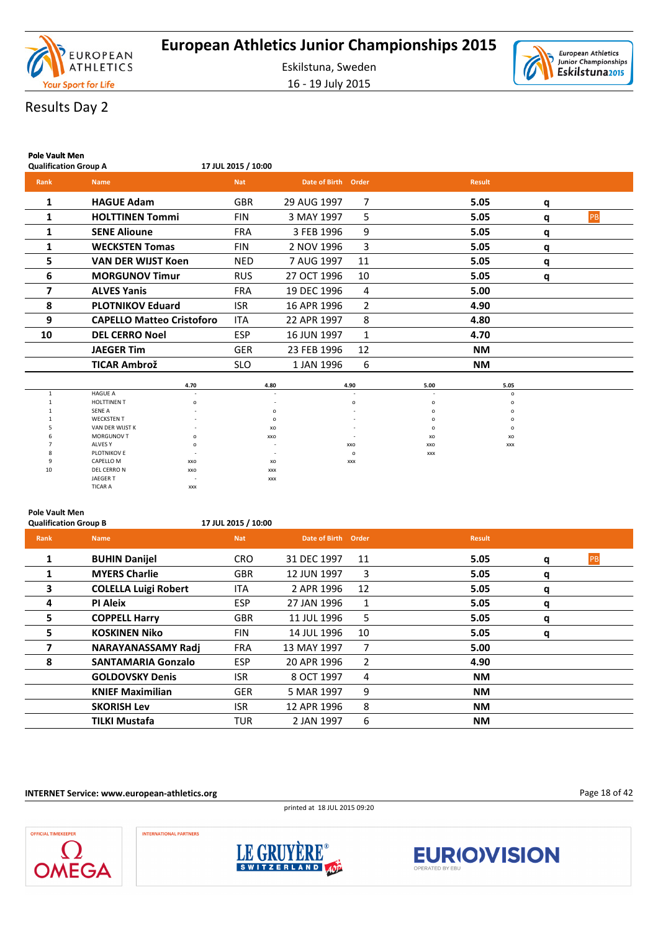

16 - 19 July 2015



# Results Day 2

| <b>Pole Vault Men</b><br><b>Qualification Group A</b> |                                  | 17 JUL 2015 / 10:00      |             |                     |                |            |               |          |    |
|-------------------------------------------------------|----------------------------------|--------------------------|-------------|---------------------|----------------|------------|---------------|----------|----|
| Rank                                                  | <b>Name</b>                      | <b>Nat</b>               |             | Date of Birth Order |                |            | <b>Result</b> |          |    |
| 1                                                     | <b>HAGUE Adam</b>                | <b>GBR</b>               | 29 AUG 1997 |                     | 7              |            | 5.05          | q        |    |
| 1                                                     | <b>HOLTTINEN Tommi</b>           | <b>FIN</b>               | 3 MAY 1997  |                     | 5              |            | 5.05          | q        | PB |
| 1                                                     | <b>SENE Alioune</b>              | <b>FRA</b>               | 3 FEB 1996  |                     | 9              |            | 5.05          | q        |    |
| 1                                                     | <b>WECKSTEN Tomas</b>            | <b>FIN</b>               | 2 NOV 1996  |                     | 3              |            | 5.05          | q        |    |
| 5                                                     | <b>VAN DER WIJST Koen</b>        | <b>NED</b>               | 7 AUG 1997  |                     | 11             |            | 5.05          | q        |    |
| 6                                                     | <b>MORGUNOV Timur</b>            | <b>RUS</b>               | 27 OCT 1996 |                     | 10             |            | 5.05          | q        |    |
| 7                                                     | <b>ALVES Yanis</b>               | <b>FRA</b>               | 19 DEC 1996 |                     | 4              |            | 5.00          |          |    |
| 8                                                     | <b>PLOTNIKOV Eduard</b>          | <b>ISR</b>               | 16 APR 1996 |                     | 2              |            | 4.90          |          |    |
| 9                                                     | <b>CAPELLO Matteo Cristoforo</b> | <b>ITA</b>               | 22 APR 1997 |                     | 8              |            | 4.80          |          |    |
| 10                                                    | <b>DEL CERRO Noel</b>            | <b>ESP</b>               | 16 JUN 1997 |                     | $\mathbf{1}$   |            | 4.70          |          |    |
|                                                       | <b>JAEGER Tim</b>                | <b>GER</b>               | 23 FEB 1996 |                     | 12             |            | <b>NM</b>     |          |    |
|                                                       | <b>TICAR Ambrož</b>              | <b>SLO</b>               | 1 JAN 1996  |                     | 6              |            | <b>NM</b>     |          |    |
|                                                       | 4.70                             |                          | 4.80        |                     | 4.90           | 5.00       |               | 5.05     |    |
| $\mathbf{1}$                                          | <b>HAGUE A</b>                   |                          |             |                     |                |            |               | $\circ$  |    |
| $\mathbf{1}$                                          | <b>HOLTTINEN T</b>               | $\circ$                  |             |                     | $\circ$        | $\circ$    |               | $\circ$  |    |
|                                                       | <b>SENE A</b>                    |                          | $\Omega$    |                     |                | $\Omega$   |               | $\Omega$ |    |
|                                                       | <b>WECKSTEN T</b>                |                          | $\Omega$    |                     |                | $\Omega$   |               | $\circ$  |    |
|                                                       | VAN DER WIJST K                  |                          | XO          |                     |                | $\circ$    |               | $\circ$  |    |
|                                                       | MORGUNOV T<br>ALVES Y            | $\circ$<br>$\Omega$      | XXO         |                     |                | XO         |               | xo       |    |
|                                                       | PLOTNIKOV E                      |                          |             |                     | XXO<br>$\circ$ | XXO        |               | XXX      |    |
| 9                                                     | CAPELLO M<br>XXO                 |                          | XO          |                     | XXX            | <b>XXX</b> |               |          |    |
| 10                                                    | DEL CERRO N<br>XXO               |                          | XXX         |                     |                |            |               |          |    |
|                                                       | <b>JAEGER T</b>                  | $\overline{\phantom{a}}$ | <b>XXX</b>  |                     |                |            |               |          |    |

#### **Pole Vault Men**

TICAR A

**Qualification Group B 17 JUL 2015 / 10:00**

JAEGER T - xxx

| Rank         | <b>Name</b>                 | <b>Nat</b> | Date of Birth Order |                | <b>Result</b> |   |    |
|--------------|-----------------------------|------------|---------------------|----------------|---------------|---|----|
| $\mathbf{1}$ | <b>BUHIN Danijel</b>        | <b>CRO</b> | 31 DEC 1997         | 11             | 5.05          | q | PB |
|              | <b>MYERS Charlie</b>        | <b>GBR</b> | 12 JUN 1997         | 3              | 5.05          | q |    |
| 3            | <b>COLELLA Luigi Robert</b> | <b>ITA</b> | 2 APR 1996          | 12             | 5.05          | q |    |
| 4            | <b>PI Aleix</b>             | <b>ESP</b> | 27 JAN 1996         | 1              | 5.05          | q |    |
| 5            | <b>COPPELL Harry</b>        | <b>GBR</b> | 11 JUL 1996         | 5              | 5.05          | q |    |
| 5            | <b>KOSKINEN Niko</b>        | <b>FIN</b> | 14 JUL 1996         | 10             | 5.05          | q |    |
|              | <b>NARAYANASSAMY Radj</b>   | <b>FRA</b> | 13 MAY 1997         | 7              | 5.00          |   |    |
| 8            | <b>SANTAMARIA Gonzalo</b>   | <b>ESP</b> | 20 APR 1996         | $\overline{2}$ | 4.90          |   |    |
|              | <b>GOLDOVSKY Denis</b>      | <b>ISR</b> | 8 OCT 1997          | 4              | <b>NM</b>     |   |    |
|              | <b>KNIEF Maximilian</b>     | <b>GER</b> | 5 MAR 1997          | 9              | <b>NM</b>     |   |    |
|              | <b>SKORISH Lev</b>          | <b>ISR</b> | 12 APR 1996         | 8              | <b>NM</b>     |   |    |
|              | <b>TILKI Mustafa</b>        | TUR        | 2 JAN 1997          | 6              | <b>NM</b>     |   |    |

**INTERNET Service: www.european-athletics.org**











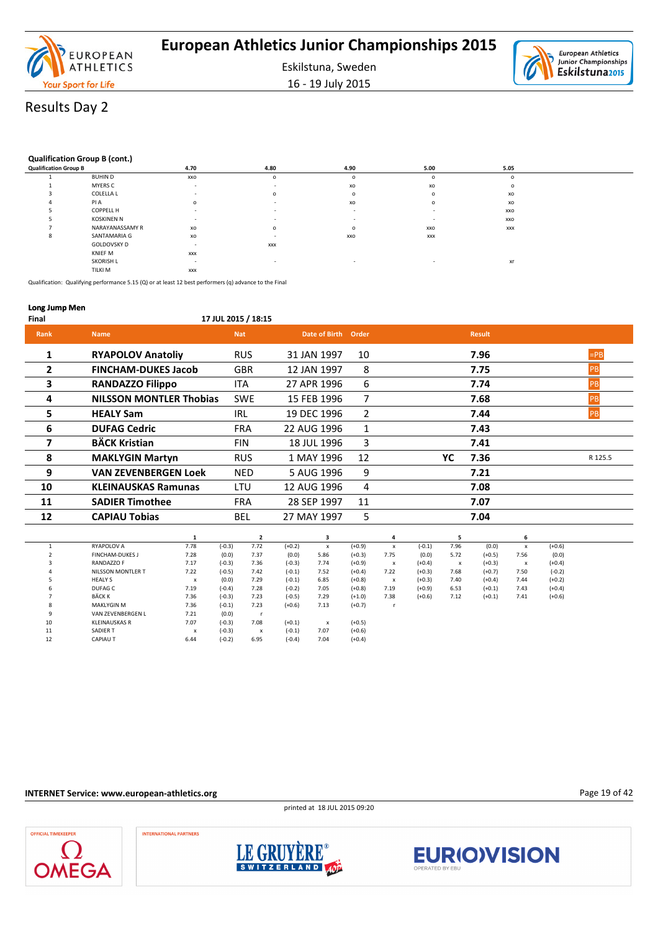

16 - 19 July 2015



# Results Day 2

#### **Qualification Group B (cont.)**

| <b>Qualification Group B</b> |                   | 4.70       | 4.80       | 4.90    | 5.00       | 5.05    |  |
|------------------------------|-------------------|------------|------------|---------|------------|---------|--|
|                              | <b>BUHIND</b>     | XXO        | $\circ$    | $\circ$ | $\circ$    | $\circ$ |  |
|                              | MYERS C           | $\,$       |            | XO      | XO         | $\circ$ |  |
|                              | COLELLA L         |            | $\Omega$   | $\circ$ | $\Omega$   | XO      |  |
|                              | PI A              | $\circ$    |            | XO      | $\circ$    | XO      |  |
|                              | <b>COPPELL H</b>  |            |            |         |            | XXO     |  |
|                              | <b>KOSKINEN N</b> | $\sim$     |            |         |            | XXO     |  |
|                              | NARAYANASSAMY R   | xo         | $\circ$    | $\circ$ | XXO        | XXX     |  |
|                              | SANTAMARIA G      | xo         |            | XXO     | <b>XXX</b> |         |  |
|                              | GOLDOVSKY D       |            | <b>XXX</b> |         |            |         |  |
|                              | <b>KNIEF M</b>    | <b>XXX</b> |            |         |            |         |  |
|                              | <b>SKORISH L</b>  |            |            |         |            | xr      |  |
|                              | <b>TILKI M</b>    | <b>XXX</b> |            |         |            |         |  |

Qualification: Qualifying performance 5.15 (Q) or at least 12 best performers (q) advance to the Final

#### **Long Jump Men**

**Final 17 JUL 2015 / 18:15 Rank Name Nat Date of Birth Order Result 1 RYAPOLOV Anatoliy** RUS 31 JAN 1997 10 **7.96 7.96 FPB 2 FINCHAM-DUKES Jacob** GBR 12 JAN 1997 8 **7.75** PB **3 RANDAZZO Filippo** ITA 27 APR 1996 6 **7.74** PB **4 NILSSON MONTLER Thobias** SWE 15 FEB 1996 7 **7.68** PB **5 HEALY Sam** IRL 19 DEC 1996 2 **7.44** PB **6 DUFAG Cedric** FRA 22 AUG 1996 1 **7.43 7 BÄCK Kristian** FIN 18 JUL 1996 3 **7.41 8 MAKLYGIN Martyn** RUS 1 MAY 1996 12 **YC 7.36** R 125.5 **9 VAN ZEVENBERGEN Loek** NED 5 AUG 1996 9 **7.21 10 KLEINAUSKAS Ramunas** LTU 12 AUG 1996 4 **7.08 11 SADIER Timothee** FRA 28 SEP 1997 11 **7.07 12 CAPIAU Tobias** BEL 27 MAY 1997 5 **7.04 1 2 3 4 5 6** 1 RYAPOLOV A 7.78 (-0.3) 7.72 (+0.2) x (+0.9) x (-0.1) 7.96 (0.0) x (+0.6)

|    | <b>RYAPOLOV A</b>      | 1.78 | $(-0.3)$ | 1.12 | $(+0.2)$ |                          | (+0.9)   | x    | $(-0.1)$ | 7.96         | (0.0)    |      | $(+0.6)$ |
|----|------------------------|------|----------|------|----------|--------------------------|----------|------|----------|--------------|----------|------|----------|
|    | <b>FINCHAM-DUKES J</b> | 7.28 | (0.0)    | 7.37 | (0.0)    | 5.86                     | $(+0.3)$ | 7.75 | (0.0)    | 5.72         | $(+0.5)$ | 7.56 | (0.0)    |
|    | RANDAZZO F             | 7.17 | $(-0.3)$ | 7.36 | $(-0.3)$ | 7.74                     | $(+0.9)$ | x    | $(+0.4)$ | $\mathsf{x}$ | $(+0.3)$ | x    | $(+0.4)$ |
|    | NILSSON MONTLER T      | 7.22 | $(-0.5)$ | 7.42 | $(-0.1)$ | 7.52                     | $(+0.4)$ | 7.22 | $(+0.3)$ | 7.68         | $(+0.7)$ | 7.50 | $(-0.2)$ |
|    | <b>HEALY S</b>         | x    | (0.0)    | 7.29 | $(-0.1)$ | 6.85                     | $(+0.8)$ | x    | $(+0.3)$ | 7.40         | $(+0.4)$ | 7.44 | $(+0.2)$ |
| b  | DUFAG C                | 7.19 | $(-0.4)$ | 7.28 | $(-0.2)$ | 7.05                     | $(+0.8)$ | 7.19 | $(+0.9)$ | 6.53         | $(+0.1)$ | 7.43 | $(+0.4)$ |
|    | <b>BÄCK K</b>          | 7.36 | $(-0.3)$ | 7.23 | $(-0.5)$ | 7.29                     | $(+1.0)$ | 7.38 | $(+0.6)$ | 7.12         | $(+0.1)$ | 7.41 | $(+0.6)$ |
|    | <b>MAKLYGIN M</b>      | 7.36 | $(-0.1)$ | 7.23 | $(+0.6)$ | 7.13                     | $(+0.7)$ |      |          |              |          |      |          |
|    | VAN ZEVENBERGEN L      | 7.21 | (0.0)    |      |          |                          |          |      |          |              |          |      |          |
| 10 | <b>KLEINAUSKAS R</b>   | 7.07 | $(-0.3)$ | 7.08 | $(+0.1)$ | $\overline{\phantom{a}}$ | $(+0.5)$ |      |          |              |          |      |          |
| 11 | <b>SADIER T</b>        | x    | $(-0.3)$ | x    | $(-0.1)$ | 7.07                     | $(+0.6)$ |      |          |              |          |      |          |
| 12 | <b>CAPIAU T</b>        | 6.44 | $(-0.2)$ | 6.95 | $(-0.4)$ | 7.04                     | $(+0.4)$ |      |          |              |          |      |          |

#### **INTERNET Service: www.european-athletics.org**

printed at 18 JUL 2015 09:20

Page 19 of 42





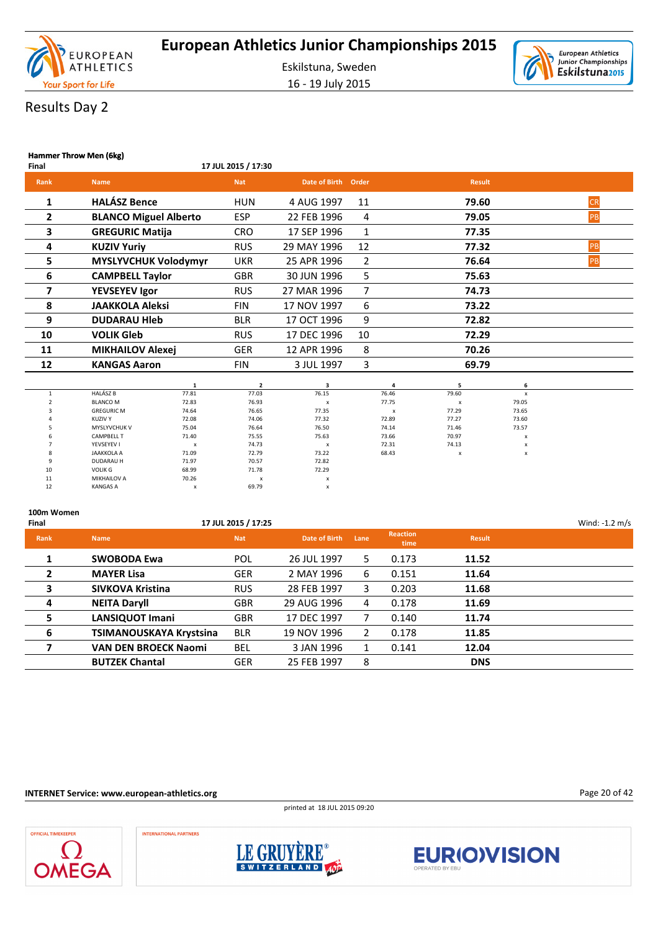

16 - 19 July 2015



# Results Day 2

|             | Hammer Throw Men (6kg)       |                     |               |              |               |           |  |  |  |  |  |  |
|-------------|------------------------------|---------------------|---------------|--------------|---------------|-----------|--|--|--|--|--|--|
| Final       |                              | 17 JUL 2015 / 17:30 |               |              |               |           |  |  |  |  |  |  |
| <b>Rank</b> | <b>Name</b>                  | <b>Nat</b>          | Date of Birth | Order        | <b>Result</b> |           |  |  |  |  |  |  |
| 1           | <b>HALÁSZ Bence</b>          | <b>HUN</b>          | 4 AUG 1997    | 11           | 79.60         | <b>CR</b> |  |  |  |  |  |  |
| 2           | <b>BLANCO Miguel Alberto</b> | <b>ESP</b>          | 22 FEB 1996   | 4            | 79.05         | PB        |  |  |  |  |  |  |
| 3           | <b>GREGURIC Matija</b>       | <b>CRO</b>          | 17 SEP 1996   | $\mathbf{1}$ | 77.35         |           |  |  |  |  |  |  |
| 4           | <b>KUZIV Yuriy</b>           | <b>RUS</b>          | 29 MAY 1996   | 12           | 77.32         | PB        |  |  |  |  |  |  |
| 5.          | <b>MYSLYVCHUK Volodymyr</b>  | <b>UKR</b>          | 25 APR 1996   | 2            | 76.64         | PB        |  |  |  |  |  |  |
| 6           | <b>CAMPBELL Taylor</b>       | <b>GBR</b>          | 30 JUN 1996   | 5            | 75.63         |           |  |  |  |  |  |  |
| 7           | <b>YEVSEYEV Igor</b>         | <b>RUS</b>          | 27 MAR 1996   | 7            | 74.73         |           |  |  |  |  |  |  |
| 8           | <b>JAAKKOLA Aleksi</b>       | <b>FIN</b>          | 17 NOV 1997   | 6            | 73.22         |           |  |  |  |  |  |  |
| 9           | <b>DUDARAU HIED</b>          | <b>BLR</b>          | 17 OCT 1996   | 9            | 72.82         |           |  |  |  |  |  |  |
| 10          | <b>VOLIK Gleb</b>            | <b>RUS</b>          | 17 DEC 1996   | 10           | 72.29         |           |  |  |  |  |  |  |
| 11          | <b>MIKHAILOV Alexej</b>      | <b>GER</b>          | 12 APR 1996   | 8            | 70.26         |           |  |  |  |  |  |  |
| 12          | <b>KANGAS Aaron</b>          | FIN                 | 3 JUL 1997    | 3            | 69.79         |           |  |  |  |  |  |  |
|             |                              |                     |               |              |               |           |  |  |  |  |  |  |

|    |                     |              |       |                                          |       |                           | ь                         |  |
|----|---------------------|--------------|-------|------------------------------------------|-------|---------------------------|---------------------------|--|
|    | <b>HALÁSZ B</b>     | 77.81        | 77.03 | 76.15                                    | 76.46 | 79.60                     | X                         |  |
|    | <b>BLANCO M</b>     | 72.83        | 76.93 |                                          | 77.75 | $\boldsymbol{\mathsf{x}}$ | 79.05                     |  |
|    | <b>GREGURIC M</b>   | 74.64        | 76.65 | 77.35                                    | x     | 77.29                     | 73.65                     |  |
|    | <b>KUZIV Y</b>      | 72.08        | 74.06 | 77.32                                    | 72.89 | 77.27                     | 73.60                     |  |
|    | <b>MYSLYVCHUK V</b> | 75.04        | 76.64 | 76.50                                    | 74.14 | 71.46                     | 73.57                     |  |
|    | <b>CAMPBELL T</b>   | 71.40        | 75.55 | 75.63                                    | 73.66 | 70.97                     | $\boldsymbol{\mathsf{x}}$ |  |
|    | YEVSEYEV I          | $\mathsf{x}$ | 74.73 | $\overline{\phantom{a}}$                 | 72.31 | 74.13                     | X                         |  |
|    | <b>JAAKKOLA A</b>   | 71.09        | 72.79 | 73.22                                    | 68.43 | $\mathsf{x}$              | $\boldsymbol{\mathsf{x}}$ |  |
|    | <b>DUDARAU H</b>    | 71.97        | 70.57 | 72.82                                    |       |                           |                           |  |
| 10 | <b>VOLIK G</b>      | 68.99        | 71.78 | 72.29                                    |       |                           |                           |  |
| 11 | <b>MIKHAILOV A</b>  | 70.26        | x     | $\overline{\phantom{a}}$<br>$\mathbf{x}$ |       |                           |                           |  |
| 12 | <b>KANGAS A</b>     | $\mathsf{x}$ | 69.79 |                                          |       |                           |                           |  |

**100m Women**

| Final          |                             | 17 JUL 2015 / 17:25 |               |       |                         |               | Wind: $-1.2$ m/s |
|----------------|-----------------------------|---------------------|---------------|-------|-------------------------|---------------|------------------|
| <b>Rank</b>    | <b>Name</b>                 | <b>Nat</b>          | Date of Birth | Lane  | <b>Reaction</b><br>time | <b>Result</b> |                  |
| 1              | <b>SWOBODA Ewa</b>          | POL                 | 26 JUL 1997   | 5.    | 0.173                   | 11.52         |                  |
| $\overline{2}$ | <b>MAYER Lisa</b>           | <b>GER</b>          | 2 MAY 1996    | 6     | 0.151                   | 11.64         |                  |
| 3              | <b>SIVKOVA Kristina</b>     | <b>RUS</b>          | 28 FEB 1997   | 3.    | 0.203                   | 11.68         |                  |
| 4              | <b>NEITA Daryll</b>         | <b>GBR</b>          | 29 AUG 1996   | 4     | 0.178                   | 11.69         |                  |
| 5              | <b>LANSIQUOT Imani</b>      | <b>GBR</b>          | 17 DEC 1997   |       | 0.140                   | 11.74         |                  |
| 6              | TSIMANOUSKAYA Krystsina     | <b>BLR</b>          | 19 NOV 1996   | 2     | 0.178                   | 11.85         |                  |
|                | <b>VAN DEN BROECK Naomi</b> | <b>BEL</b>          | 3 JAN 1996    | $1\,$ | 0.141                   | 12.04         |                  |
|                | <b>BUTZEK Chantal</b>       | <b>GER</b>          | 25 FEB 1997   | 8     |                         | <b>DNS</b>    |                  |
|                |                             |                     |               |       |                         |               |                  |

**INTERNET Service: www.european-athletics.org**





European Athletics

Junior Championships

Eskilstuna<sub>2015</sub>

Ò





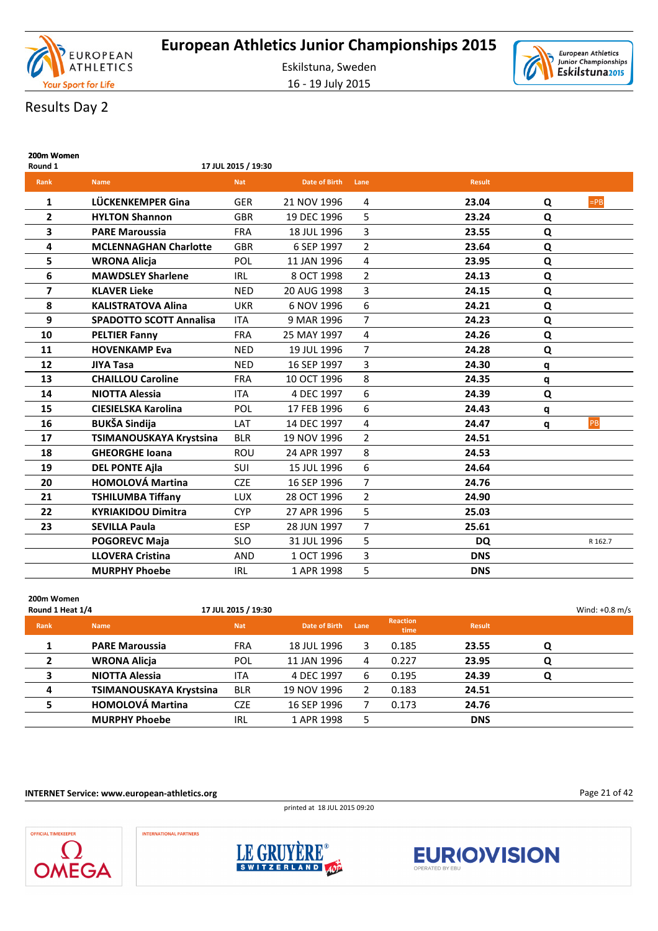



# Results Day 2

| 200m Women<br>Round 1 |                                | 17 JUL 2015 / 19:30 |                      |                |               |           |         |
|-----------------------|--------------------------------|---------------------|----------------------|----------------|---------------|-----------|---------|
| Rank                  | <b>Name</b>                    | <b>Nat</b>          | <b>Date of Birth</b> | Lane           | <b>Result</b> |           |         |
| 1                     | LÜCKENKEMPER Gina              | <b>GER</b>          | 21 NOV 1996          | 4              | 23.04         | Q         | $=PB$   |
| $\mathbf{2}$          | <b>HYLTON Shannon</b>          | <b>GBR</b>          | 19 DEC 1996          | 5              | 23.24         | Q         |         |
| 3                     | <b>PARE Maroussia</b>          | <b>FRA</b>          | 18 JUL 1996          | 3              | 23.55         | Q         |         |
| 4                     | <b>MCLENNAGHAN Charlotte</b>   | <b>GBR</b>          | 6 SEP 1997           | $\overline{2}$ | 23.64         | Q         |         |
| 5                     | <b>WRONA Alicja</b>            | POL                 | 11 JAN 1996          | 4              | 23.95         | Q         |         |
| 6                     | <b>MAWDSLEY Sharlene</b>       | <b>IRL</b>          | 8 OCT 1998           | 2              | 24.13         | ${\bf Q}$ |         |
| $\overline{7}$        | <b>KLAVER Lieke</b>            | <b>NED</b>          | 20 AUG 1998          | 3              | 24.15         | Q         |         |
| 8                     | <b>KALISTRATOVA Alina</b>      | <b>UKR</b>          | 6 NOV 1996           | 6              | 24.21         | Q         |         |
| 9                     | <b>SPADOTTO SCOTT Annalisa</b> | <b>ITA</b>          | 9 MAR 1996           | 7              | 24.23         | Q         |         |
| 10                    | <b>PELTIER Fanny</b>           | <b>FRA</b>          | 25 MAY 1997          | 4              | 24.26         | Q         |         |
| 11                    | <b>HOVENKAMP Eva</b>           | <b>NED</b>          | 19 JUL 1996          | 7              | 24.28         | Q         |         |
| 12                    | <b>JIYA Tasa</b>               | <b>NED</b>          | 16 SEP 1997          | 3              | 24.30         | q         |         |
| 13                    | <b>CHAILLOU Caroline</b>       | <b>FRA</b>          | 10 OCT 1996          | 8              | 24.35         | q         |         |
| 14                    | <b>NIOTTA Alessia</b>          | <b>ITA</b>          | 4 DEC 1997           | 6              | 24.39         | Q         |         |
| 15                    | <b>CIESIELSKA Karolina</b>     | POL                 | 17 FEB 1996          | 6              | 24.43         | q         |         |
| 16                    | <b>BUKŠA Sindija</b>           | LAT                 | 14 DEC 1997          | 4              | 24.47         | q         | PB      |
| 17                    | TSIMANOUSKAYA Krystsina        | <b>BLR</b>          | 19 NOV 1996          | $\overline{2}$ | 24.51         |           |         |
| 18                    | <b>GHEORGHE Ioana</b>          | ROU                 | 24 APR 1997          | 8              | 24.53         |           |         |
| 19                    | <b>DEL PONTE Ajla</b>          | <b>SUI</b>          | 15 JUL 1996          | 6              | 24.64         |           |         |
| 20                    | <b>HOMOLOVÁ Martina</b>        | <b>CZE</b>          | 16 SEP 1996          | $\overline{7}$ | 24.76         |           |         |
| 21                    | <b>TSHILUMBA Tiffany</b>       | <b>LUX</b>          | 28 OCT 1996          | $\overline{2}$ | 24.90         |           |         |
| 22                    | <b>KYRIAKIDOU Dimitra</b>      | <b>CYP</b>          | 27 APR 1996          | 5              | 25.03         |           |         |
| 23                    | <b>SEVILLA Paula</b>           | <b>ESP</b>          | 28 JUN 1997          | $\overline{7}$ | 25.61         |           |         |
|                       | <b>POGOREVC Maja</b>           | <b>SLO</b>          | 31 JUL 1996          | 5              | <b>DQ</b>     |           | R 162.7 |
|                       | <b>LLOVERA Cristina</b>        | <b>AND</b>          | 1 OCT 1996           | 3              | <b>DNS</b>    |           |         |
|                       | <b>MURPHY Phoebe</b>           | <b>IRL</b>          | 1 APR 1998           | 5              | <b>DNS</b>    |           |         |

| 200m Women<br>Round 1 Heat 1/4 |                         | 17 JUL 2015 / 19:30 |               |      |                         |               |   | Wind: $+0.8$ m/s |
|--------------------------------|-------------------------|---------------------|---------------|------|-------------------------|---------------|---|------------------|
| Rank                           | <b>Name</b>             | <b>Nat</b>          | Date of Birth | Lane | <b>Reaction</b><br>time | <b>Result</b> |   |                  |
|                                | <b>PARE Maroussia</b>   | <b>FRA</b>          | 18 JUL 1996   | 3    | 0.185                   | 23.55         | Q |                  |
| $\mathbf{2}$                   | <b>WRONA Alicia</b>     | POL                 | 11 JAN 1996   | 4    | 0.227                   | 23.95         | Q |                  |
| 3                              | <b>NIOTTA Alessia</b>   | <b>ITA</b>          | 4 DEC 1997    | 6    | 0.195                   | 24.39         | Q |                  |
| $\overline{a}$                 | TSIMANOUSKAYA Krystsina | <b>BLR</b>          | 19 NOV 1996   | 2    | 0.183                   | 24.51         |   |                  |
| 5                              | <b>HOMOLOVÁ Martina</b> | <b>CZE</b>          | 16 SEP 1996   |      | 0.173                   | 24.76         |   |                  |
|                                | <b>MURPHY Phoebe</b>    | IRL                 | 1 APR 1998    | 5    |                         | <b>DNS</b>    |   |                  |

**INTERNET Service: www.european-athletics.org**

printed at 18 JUL 2015 09:20

Page 21 of 42





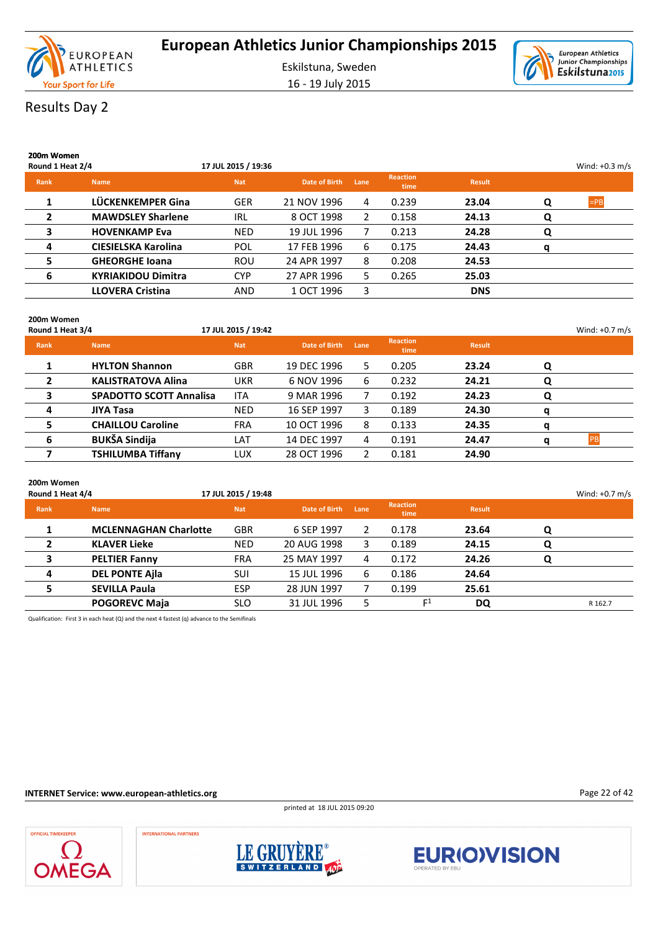

16 - 19 July 2015



# Results Day 2

| 200m Women<br>Round 1 Heat 2/4 |                            | 17 JUL 2015 / 19:36 |               |              |                         |               |   | Wind: $+0.3$ m/s |
|--------------------------------|----------------------------|---------------------|---------------|--------------|-------------------------|---------------|---|------------------|
| Rank                           | <b>Name</b>                | <b>Nat</b>          | Date of Birth | Lane         | <b>Reaction</b><br>time | <b>Result</b> |   |                  |
|                                | LÜCKENKEMPER Gina          | <b>GER</b>          | 21 NOV 1996   | 4            | 0.239                   | 23.04         | Q | $=$ PB           |
| $\mathbf{2}$                   | <b>MAWDSLEY Sharlene</b>   | <b>IRL</b>          | 8 OCT 1998    | $\mathbf{2}$ | 0.158                   | 24.13         | Q |                  |
| 3                              | <b>HOVENKAMP Eva</b>       | <b>NED</b>          | 19 JUL 1996   | 7            | 0.213                   | 24.28         | Q |                  |
| 4                              | <b>CIESIELSKA Karolina</b> | POL                 | 17 FEB 1996   | 6            | 0.175                   | 24.43         | a |                  |
| 5                              | <b>GHEORGHE Ioana</b>      | <b>ROU</b>          | 24 APR 1997   | 8            | 0.208                   | 24.53         |   |                  |
| 6                              | <b>KYRIAKIDOU Dimitra</b>  | <b>CYP</b>          | 27 APR 1996   | 5.           | 0.265                   | 25.03         |   |                  |
|                                | <b>LLOVERA Cristina</b>    | <b>AND</b>          | 1 OCT 1996    | 3            |                         | <b>DNS</b>    |   |                  |
|                                |                            |                     |               |              |                         |               |   |                  |

### **200m Women**

| Round 1 Heat 3/4 |                                | 17 JUL 2015 / 19:42 |               |      |                         |               |   | Wind: $+0.7$ m/s |
|------------------|--------------------------------|---------------------|---------------|------|-------------------------|---------------|---|------------------|
| Rank             | <b>Name</b>                    | <b>Nat</b>          | Date of Birth | Lane | <b>Reaction</b><br>time | <b>Result</b> |   |                  |
|                  | <b>HYLTON Shannon</b>          | <b>GBR</b>          | 19 DEC 1996   | 5.   | 0.205                   | 23.24         | O |                  |
|                  | <b>KALISTRATOVA Alina</b>      | UKR                 | 6 NOV 1996    | 6    | 0.232                   | 24.21         |   |                  |
| 3                | <b>SPADOTTO SCOTT Annalisa</b> | <b>ITA</b>          | 9 MAR 1996    |      | 0.192                   | 24.23         |   |                  |
| 4                | <b>JIYA Tasa</b>               | <b>NED</b>          | 16 SEP 1997   | 3.   | 0.189                   | 24.30         |   |                  |
| 5.               | <b>CHAILLOU Caroline</b>       | <b>FRA</b>          | 10 OCT 1996   | 8    | 0.133                   | 24.35         | q |                  |
| 6                | <b>BUKŠA Sindija</b>           | LAT                 | 14 DEC 1997   | 4    | 0.191                   | 24.47         |   | <b>DD</b>        |
|                  | <b>TSHILUMBA Tiffany</b>       | LUX                 | 28 OCT 1996   | 2    | 0.181                   | 24.90         |   |                  |

| 200m Women<br>Round 1 Heat 4/4 |                              | 17 JUL 2015 / 19:48 |               |      |                         |               |   | Wind: $+0.7$ m/s |
|--------------------------------|------------------------------|---------------------|---------------|------|-------------------------|---------------|---|------------------|
| Rank                           | <b>Name</b>                  | <b>Nat</b>          | Date of Birth | Lane | <b>Reaction</b><br>time | <b>Result</b> |   |                  |
|                                | <b>MCLENNAGHAN Charlotte</b> | <b>GBR</b>          | 6 SEP 1997    | 2    | 0.178                   | 23.64         | Q |                  |
|                                | <b>KLAVER Lieke</b>          | <b>NED</b>          | 20 AUG 1998   | 3    | 0.189                   | 24.15         | Q |                  |
| 3                              | <b>PELTIER Fanny</b>         | <b>FRA</b>          | 25 MAY 1997   | 4    | 0.172                   | 24.26         | Q |                  |
| 4                              | <b>DEL PONTE Ajla</b>        | SUI                 | 15 JUL 1996   | 6    | 0.186                   | 24.64         |   |                  |
| 5.                             | <b>SEVILLA Paula</b>         | <b>ESP</b>          | 28 JUN 1997   |      | 0.199                   | 25.61         |   |                  |
|                                | <b>POGOREVC Maja</b>         | <b>SLO</b>          | 31 JUL 1996   | 5    | $\mathsf{r}^1$          | DQ            |   | R 162.7          |

Qualification: First 3 in each heat (Q) and the next 4 fastest (q) advance to the Semifinals

#### **INTERNET Service: www.european-athletics.org**

printed at 18 JUL 2015 09:20

Page 22 of 42





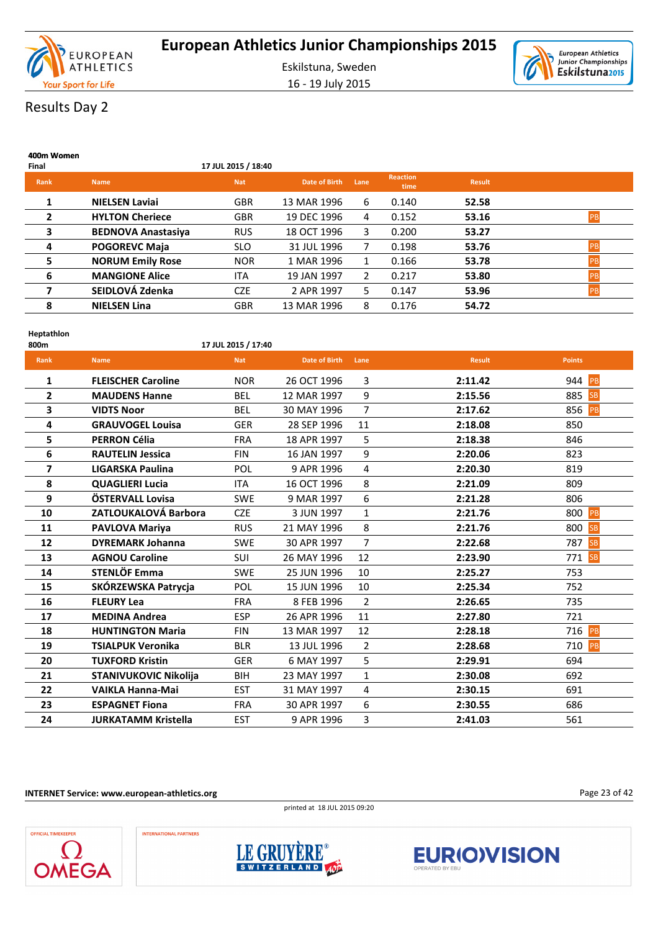

European Athletics Ò Junior Championships<br>Eskilstuna2015

# Results Day 2

| 400m Women<br>Final |                           | 17 JUL 2015 / 18:40 |               |             |                         |               |    |
|---------------------|---------------------------|---------------------|---------------|-------------|-------------------------|---------------|----|
| Rank                | <b>Name</b>               | <b>Nat</b>          | Date of Birth | Lane        | <b>Reaction</b><br>time | <b>Result</b> |    |
| 1                   | <b>NIELSEN Laviai</b>     | <b>GBR</b>          | 13 MAR 1996   | 6           | 0.140                   | 52.58         |    |
| $\overline{2}$      | <b>HYLTON Cheriece</b>    | <b>GBR</b>          | 19 DEC 1996   | 4           | 0.152                   | 53.16         | PB |
| 3                   | <b>BEDNOVA Anastasiya</b> | <b>RUS</b>          | 18 OCT 1996   | 3.          | 0.200                   | 53.27         |    |
| 4                   | <b>POGOREVC Maja</b>      | <b>SLO</b>          | 31 JUL 1996   | 7           | 0.198                   | 53.76         | PB |
| 5                   | <b>NORUM Emily Rose</b>   | <b>NOR</b>          | 1 MAR 1996    | $\mathbf 1$ | 0.166                   | 53.78         | PB |
| 6                   | <b>MANGIONE Alice</b>     | <b>ITA</b>          | 19 JAN 1997   | 2           | 0.217                   | 53.80         | PB |
| 7                   | SEIDLOVÁ Zdenka           | <b>CZE</b>          | 2 APR 1997    | 5.          | 0.147                   | 53.96         | PB |
| 8                   | <b>NIELSEN Lina</b>       | <b>GBR</b>          | 13 MAR 1996   | 8           | 0.176                   | 54.72         |    |

| Heptathlon<br>800m |                            | 17 JUL 2015 / 17:40 |                      |                |               |                  |
|--------------------|----------------------------|---------------------|----------------------|----------------|---------------|------------------|
| Rank               | <b>Name</b>                | <b>Nat</b>          | <b>Date of Birth</b> | Lane           | <b>Result</b> | <b>Points</b>    |
| 1                  | <b>FLEISCHER Caroline</b>  | <b>NOR</b>          | 26 OCT 1996          | 3              | 2:11.42       | 944 PB           |
| $\overline{2}$     | <b>MAUDENS Hanne</b>       | <b>BEL</b>          | 12 MAR 1997          | 9              | 2:15.56       | 885<br><b>SB</b> |
| 3                  | <b>VIDTS Noor</b>          | <b>BEL</b>          | 30 MAY 1996          | $\overline{7}$ | 2:17.62       | 856<br>PB        |
| 4                  | <b>GRAUVOGEL Louisa</b>    | <b>GER</b>          | 28 SEP 1996          | 11             | 2:18.08       | 850              |
| 5                  | <b>PERRON Célia</b>        | <b>FRA</b>          | 18 APR 1997          | 5              | 2:18.38       | 846              |
| 6                  | <b>RAUTELIN Jessica</b>    | <b>FIN</b>          | 16 JAN 1997          | 9              | 2:20.06       | 823              |
| $\overline{7}$     | LIGARSKA Paulina           | POL                 | 9 APR 1996           | 4              | 2:20.30       | 819              |
| 8                  | <b>QUAGLIERI Lucia</b>     | <b>ITA</b>          | 16 OCT 1996          | 8              | 2:21.09       | 809              |
| 9                  | ÖSTERVALL Lovisa           | <b>SWE</b>          | 9 MAR 1997           | 6              | 2:21.28       | 806              |
| 10                 | ZATLOUKALOVÁ Barbora       | <b>CZE</b>          | 3 JUN 1997           | $\mathbf{1}$   | 2:21.76       | 800<br>PB        |
| 11                 | <b>PAVLOVA Mariya</b>      | <b>RUS</b>          | 21 MAY 1996          | 8              | 2:21.76       | 800 SB           |
| 12                 | <b>DYREMARK Johanna</b>    | <b>SWE</b>          | 30 APR 1997          | $\overline{7}$ | 2:22.68       | <b>SB</b><br>787 |
| 13                 | <b>AGNOU Caroline</b>      | SUI                 | 26 MAY 1996          | 12             | 2:23.90       | <b>SB</b><br>771 |
| 14                 | STENLÖF Emma               | <b>SWE</b>          | 25 JUN 1996          | 10             | 2:25.27       | 753              |
| 15                 | SKÓRZEWSKA Patrycja        | POL                 | 15 JUN 1996          | 10             | 2:25.34       | 752              |
| 16                 | <b>FLEURY Lea</b>          | <b>FRA</b>          | 8 FEB 1996           | $\overline{2}$ | 2:26.65       | 735              |
| 17                 | <b>MEDINA Andrea</b>       | <b>ESP</b>          | 26 APR 1996          | 11             | 2:27.80       | 721              |
| 18                 | <b>HUNTINGTON Maria</b>    | <b>FIN</b>          | 13 MAR 1997          | 12             | 2:28.18       | 716<br>PB        |
| 19                 | <b>TSIALPUK Veronika</b>   | <b>BLR</b>          | 13 JUL 1996          | $\overline{2}$ | 2:28.68       | 710<br>PB        |
| 20                 | <b>TUXFORD Kristin</b>     | <b>GER</b>          | 6 MAY 1997           | 5              | 2:29.91       | 694              |
| 21                 | STANIVUKOVIC Nikolija      | <b>BIH</b>          | 23 MAY 1997          | 1              | 2:30.08       | 692              |
| 22                 | <b>VAIKLA Hanna-Mai</b>    | <b>EST</b>          | 31 MAY 1997          | 4              | 2:30.15       | 691              |
| 23                 | <b>ESPAGNET Fiona</b>      | <b>FRA</b>          | 30 APR 1997          | 6              | 2:30.55       | 686              |
| 24                 | <b>JURKATAMM Kristella</b> | <b>EST</b>          | 9 APR 1996           | 3              | 2:41.03       | 561              |

**INTERNET Service: www.european-athletics.org**

printed at 18 JUL 2015 09:20







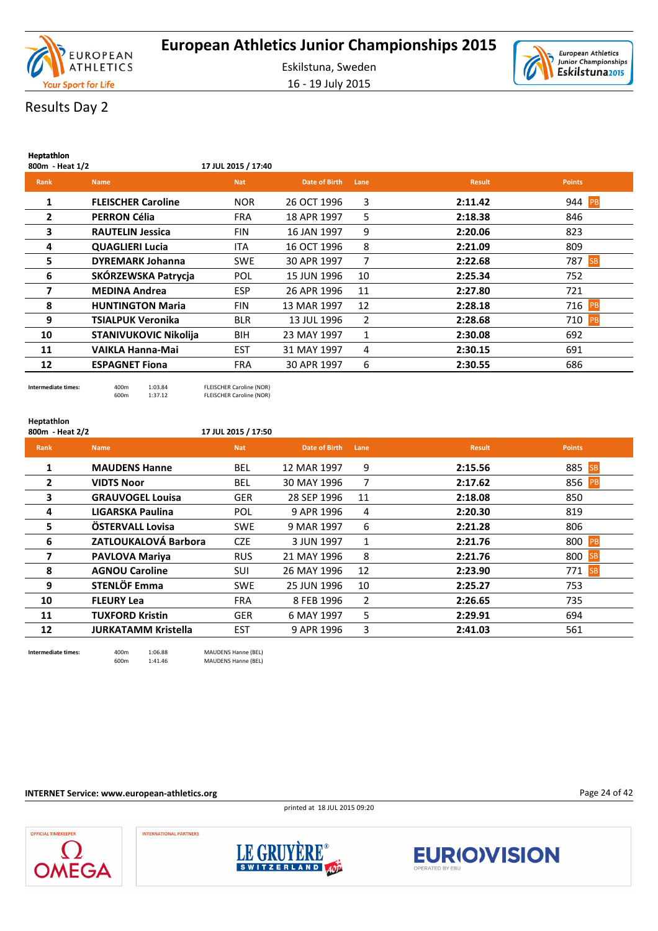



Results Day 2

**Heptathlon**

| p.u<br>800m - Heat 1/2 |                              | 17 JUL 2015 / 17:40 |               |              |               |                  |
|------------------------|------------------------------|---------------------|---------------|--------------|---------------|------------------|
| Rank                   | <b>Name</b>                  | <b>Nat</b>          | Date of Birth | Lane         | <b>Result</b> | <b>Points</b>    |
| 1                      | <b>FLEISCHER Caroline</b>    | <b>NOR</b>          | 26 OCT 1996   | 3            | 2:11.42       | 944 PB           |
| $\mathbf{2}$           | <b>PERRON Célia</b>          | <b>FRA</b>          | 18 APR 1997   | 5            | 2:18.38       | 846              |
| 3                      | <b>RAUTELIN Jessica</b>      | <b>FIN</b>          | 16 JAN 1997   | 9            | 2:20.06       | 823              |
| 4                      | <b>QUAGLIERI Lucia</b>       | <b>ITA</b>          | 16 OCT 1996   | 8            | 2:21.09       | 809              |
| 5.                     | <b>DYREMARK Johanna</b>      | <b>SWE</b>          | 30 APR 1997   | 7            | 2:22.68       | 787<br><b>SB</b> |
| 6                      | SKÓRZEWSKA Patrycja          | POL                 | 15 JUN 1996   | 10           | 2:25.34       | 752              |
| 7                      | <b>MEDINA Andrea</b>         | <b>ESP</b>          | 26 APR 1996   | 11           | 2:27.80       | 721              |
| 8                      | <b>HUNTINGTON Maria</b>      | <b>FIN</b>          | 13 MAR 1997   | 12           | 2:28.18       | 716 PB           |
| 9                      | <b>TSIALPUK Veronika</b>     | <b>BLR</b>          | 13 JUL 1996   | 2            | 2:28.68       | 710 PB           |
| 10                     | <b>STANIVUKOVIC Nikolija</b> | <b>BIH</b>          | 23 MAY 1997   | $\mathbf{1}$ | 2:30.08       | 692              |
| 11                     | VAIKLA Hanna-Mai             | <b>EST</b>          | 31 MAY 1997   | 4            | 2:30.15       | 691              |
| 12                     | <b>ESPAGNET Fiona</b>        | <b>FRA</b>          | 30 APR 1997   | 6            | 2:30.55       | 686              |
|                        |                              |                     |               |              |               |                  |

**Intermediate times:** 400m 1:03.84 FLEISCHER Caroline (NOR) 600m 1:37.12 FLEISCHER Caroline (NOR)

#### **Heptathlon**

**800m - Heat 2/2 17 JUL 2015 / 17:50**

### **Rank Name Nat Date of Birth Lane Result Points 1 MAUDENS Hanne** BEL 12 MAR 1997 9 **2:15.56** 885 SB **2 VIDTS Noor BEL 30 MAY 1996 7 2:17.62** 856 **3 GRAUVOGEL Louisa** GER 28 SEP 1996 11 **2:18.08** 850 **4 LIGARSKA Paulina** POL 9 APR 1996 4 **2:20.30** 819 **5 ÖSTERVALL Lovisa** SWE 9 MAR 1997 6 **2:21.28** 806 **6 ZATLOUKALOVÁ Barbora** CZE 3 JUN 1997 1 **2:21.76** 800 PB **7 PAVLOVA Mariya** RUS 21 MAY 1996 8 **2:21.76** 800 **8 AGNOU Caroline** SUI 26 MAY 1996 12 **2:23.90** 271 **9 STENLÖF Emma** SWE 25 JUN 1996 10 **2:25.27** 753

**10 FLEURY Lea** FRA 8 FEB 1996 2 **2:26.65** 735 **11 TUXFORD Kristin** GER 6 MAY 1997 5 **2:29.91** 694 **12 JURKATAMM Kristella** EST 9 APR 1996 3 **2:41.03** 561

**Intermediate times:** 400m  $1:06.88$  MAUDENS Hanne (BEL)<br>600m  $1:41.46$  MAUDENS Hanne (BEL) MAUDENS Hanne (BEL)

**INTERNET Service: www.european-athletics.org**

printed at 18 JUL 2015 09:20

Page 24 of 42





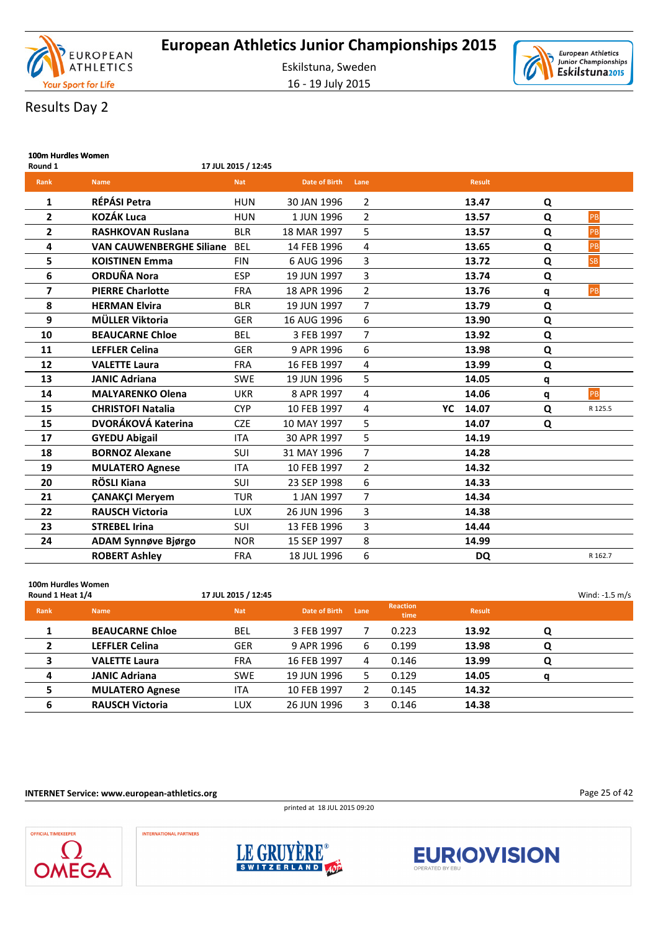

Eskilstuna, Sweden 16 - 19 July 2015



# Results Day 2

| 100m Hurdles Women<br>Round 1 |                                 | 17 JUL 2015 / 12:45 |                      |                |    |               |           |           |
|-------------------------------|---------------------------------|---------------------|----------------------|----------------|----|---------------|-----------|-----------|
| Rank                          | <b>Name</b>                     | <b>Nat</b>          | <b>Date of Birth</b> | Lane           |    | <b>Result</b> |           |           |
| 1                             | RÉPÁSI Petra                    | <b>HUN</b>          | 30 JAN 1996          | 2              |    | 13.47         | Q         |           |
| 2                             | <b>KOZÁK Luca</b>               | <b>HUN</b>          | 1 JUN 1996           | 2              |    | 13.57         | Q         | PB        |
| 2                             | <b>RASHKOVAN Ruslana</b>        | <b>BLR</b>          | 18 MAR 1997          | 5              |    | 13.57         | Q         | PB        |
| 4                             | <b>VAN CAUWENBERGHE Siliane</b> | <b>BEL</b>          | 14 FEB 1996          | 4              |    | 13.65         | Q         | PB        |
| 5                             | <b>KOISTINEN Emma</b>           | <b>FIN</b>          | 6 AUG 1996           | 3              |    | 13.72         | Q         | <b>SB</b> |
| 6                             | <b>ORDUÑA Nora</b>              | <b>ESP</b>          | 19 JUN 1997          | 3              |    | 13.74         | Q         |           |
| 7                             | <b>PIERRE Charlotte</b>         | <b>FRA</b>          | 18 APR 1996          | $\overline{2}$ |    | 13.76         | q         | PB        |
| 8                             | <b>HERMAN Elvira</b>            | <b>BLR</b>          | 19 JUN 1997          | 7              |    | 13.79         | Q         |           |
| 9                             | MÜLLER Viktoria                 | <b>GER</b>          | 16 AUG 1996          | 6              |    | 13.90         | Q         |           |
| 10                            | <b>BEAUCARNE Chloe</b>          | <b>BEL</b>          | 3 FEB 1997           | $\overline{7}$ |    | 13.92         | Q         |           |
| 11                            | <b>LEFFLER Celina</b>           | <b>GER</b>          | 9 APR 1996           | 6              |    | 13.98         | ${\bf Q}$ |           |
| 12                            | <b>VALETTE Laura</b>            | <b>FRA</b>          | 16 FEB 1997          | 4              |    | 13.99         | Q         |           |
| 13                            | <b>JANIC Adriana</b>            | <b>SWE</b>          | 19 JUN 1996          | 5              |    | 14.05         | q         |           |
| 14                            | <b>MALYARENKO Olena</b>         | <b>UKR</b>          | 8 APR 1997           | 4              |    | 14.06         | q         | PB        |
| 15                            | <b>CHRISTOFI Natalia</b>        | <b>CYP</b>          | 10 FEB 1997          | 4              | YC | 14.07         | Q         | R 125.5   |
| 15                            | DVORÁKOVÁ Katerina              | <b>CZE</b>          | 10 MAY 1997          | 5              |    | 14.07         | Q         |           |
| 17                            | <b>GYEDU Abigail</b>            | <b>ITA</b>          | 30 APR 1997          | 5              |    | 14.19         |           |           |
| 18                            | <b>BORNOZ Alexane</b>           | SUI                 | 31 MAY 1996          | $\overline{7}$ |    | 14.28         |           |           |
| 19                            | <b>MULATERO Agnese</b>          | <b>ITA</b>          | 10 FEB 1997          | $\overline{2}$ |    | 14.32         |           |           |
| 20                            | RÖSLI Kiana                     | SUI                 | 23 SEP 1998          | 6              |    | 14.33         |           |           |
| 21                            | <b>ÇANAKÇI Meryem</b>           | <b>TUR</b>          | 1 JAN 1997           | $\overline{7}$ |    | 14.34         |           |           |
| 22                            | <b>RAUSCH Victoria</b>          | <b>LUX</b>          | 26 JUN 1996          | 3              |    | 14.38         |           |           |
| 23                            | <b>STREBEL Irina</b>            | SUI                 | 13 FEB 1996          | 3              |    | 14.44         |           |           |
| 24                            | ADAM Synnøve Bjørgo             | <b>NOR</b>          | 15 SEP 1997          | 8              |    | 14.99         |           |           |
|                               | <b>ROBERT Ashley</b>            | <b>FRA</b>          | 18 JUL 1996          | 6              |    | <b>DQ</b>     |           | R 162.7   |

### **100m Hurdles Women Round 1 Heat 1/4** Wind: -1.5 m/s **Rank Name Nat Date of Birth Lane Reaction time Result 1 BEAUCARNE Chloe** BEL 3 FEB 1997 7 0.223 **13.92 Q 2 LEFFLER Celina** GER 9 APR 1996 6 0.199 **13.98 Q 3 VALETTE Laura** FRA 16 FEB 1997 4 0.146 **13.99 Q 4 JANIC Adriana** SWE 19 JUN 1996 5 0.129 **14.05 q 5 MULATERO Agnese** ITA 10 FEB 1997 2 0.145 **14.32 6 RAUSCH Victoria** LUX 26 JUN 1996 3 0.146 **14.38**

**INTERNET Service: www.european-athletics.org**

printed at 18 JUL 2015 09:20

Page 25 of 42





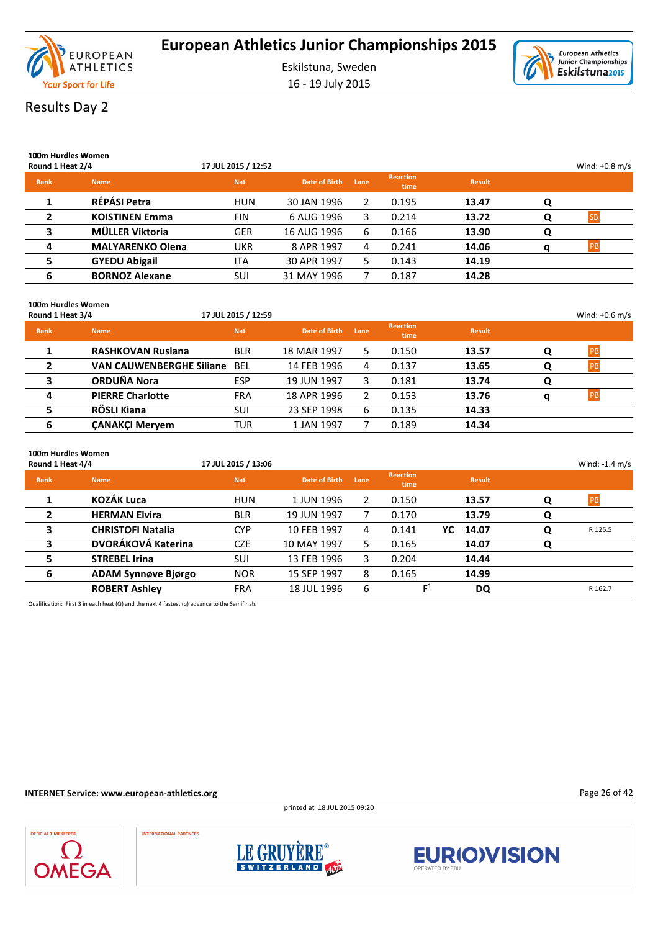

16 - 19 July 2015



### Results Day 2

| 100m Hurdles Women<br>Round 1 Heat 2/4 |                         | 17 JUL 2015 / 12:52 |               |      |                         |               |   | Wind: $+0.8$ m/s |
|----------------------------------------|-------------------------|---------------------|---------------|------|-------------------------|---------------|---|------------------|
| <b>Rank</b>                            | <b>Name</b>             | <b>Nat</b>          | Date of Birth | Lane | <b>Reaction</b><br>time | <b>Result</b> |   |                  |
|                                        | RÉPÁSI Petra            | <b>HUN</b>          | 30 JAN 1996   | 2    | 0.195                   | 13.47         | Q |                  |
| $\overline{2}$                         | <b>KOISTINEN Emma</b>   | <b>FIN</b>          | 6 AUG 1996    | 3.   | 0.214                   | 13.72         | O |                  |
| 3                                      | MÜLLER Viktoria         | <b>GER</b>          | 16 AUG 1996   | 6    | 0.166                   | 13.90         | O |                  |
| 4                                      | <b>MALYARENKO Olena</b> | UKR                 | 8 APR 1997    | 4    | 0.241                   | 14.06         | a | <b>PR</b>        |
| 5                                      | <b>GYEDU Abigail</b>    | <b>ITA</b>          | 30 APR 1997   | 5.   | 0.143                   | 14.19         |   |                  |
| 6                                      | <b>BORNOZ Alexane</b>   | SUI                 | 31 MAY 1996   |      | 0.187                   | 14.28         |   |                  |

#### **100m Hurdles Women**

| Round 1 Heat 3/4 |                                 | 17 JUL 2015 / 12:59 |               |      |                         |               |   | Wind: $+0.6$ m/s |
|------------------|---------------------------------|---------------------|---------------|------|-------------------------|---------------|---|------------------|
| <b>Rank</b>      | <b>Name</b>                     | <b>Nat</b>          | Date of Birth | Lane | <b>Reaction</b><br>time | <b>Result</b> |   |                  |
|                  | <b>RASHKOVAN Ruslana</b>        | <b>BLR</b>          | 18 MAR 1997   | 5.   | 0.150                   | 13.57         | O | <b>IPB</b>       |
| $\overline{2}$   | <b>VAN CAUWENBERGHE Siliane</b> | BEL                 | 14 FEB 1996   | 4    | 0.137                   | 13.65         | O |                  |
|                  | <b>ORDUÑA Nora</b>              | ESP                 | 19 JUN 1997   | 3.   | 0.181                   | 13.74         | Q |                  |
| 4                | <b>PIERRE Charlotte</b>         | <b>FRA</b>          | 18 APR 1996   |      | 0.153                   | 13.76         |   |                  |
|                  | RÖSLI Kiana                     | SUI                 | 23 SEP 1998   | 6    | 0.135                   | 14.33         |   |                  |
| 6                | <b>CANAKCI Mervem</b>           | TUR                 | 1 JAN 1997    |      | 0.189                   | 14.34         |   |                  |

### **100m Hurdles Women**

| Round 1 Heat 4/4 |                            | 17 JUL 2015 / 13:06 |               |      |                         |    |               |   | Wind: $-1.4$ m/s |  |
|------------------|----------------------------|---------------------|---------------|------|-------------------------|----|---------------|---|------------------|--|
| <b>Rank</b>      | <b>Name</b>                | <b>Nat</b>          | Date of Birth | Lane | <b>Reaction</b><br>time |    | <b>Result</b> |   |                  |  |
|                  | <b>KOZÁK Luca</b>          | <b>HUN</b>          | 1 JUN 1996    | 2    | 0.150                   |    | 13.57         | Q | <b>PB</b>        |  |
| $\overline{2}$   | <b>HERMAN Elvira</b>       | <b>BLR</b>          | 19 JUN 1997   |      | 0.170                   |    | 13.79         | Q |                  |  |
| 3                | <b>CHRISTOFI Natalia</b>   | <b>CYP</b>          | 10 FEB 1997   | 4    | 0.141                   | YC | 14.07         | Q | R 125.5          |  |
| 3                | DVORÁKOVÁ Katerina         | <b>CZE</b>          | 10 MAY 1997   | 5.   | 0.165                   |    | 14.07         | Q |                  |  |
| 5                | <b>STREBEL Irina</b>       | SUI                 | 13 FEB 1996   | 3.   | 0.204                   |    | 14.44         |   |                  |  |
| 6                | <b>ADAM Synnøve Biørgo</b> | <b>NOR</b>          | 15 SEP 1997   | 8    | 0.165                   |    | 14.99         |   |                  |  |
|                  | <b>ROBERT Ashley</b>       | FRA                 | 18 JUL 1996   | 6    | $\mathsf{r}^1$          |    | DQ            |   | R 162.7          |  |

Qualification: First 3 in each heat (Q) and the next 4 fastest (q) advance to the Semifinals

### **INTERNET Service: www.european-athletics.org**

printed at 18 JUL 2015 09:20



INTERNATIONAL PARTNERS





Page 26 of 42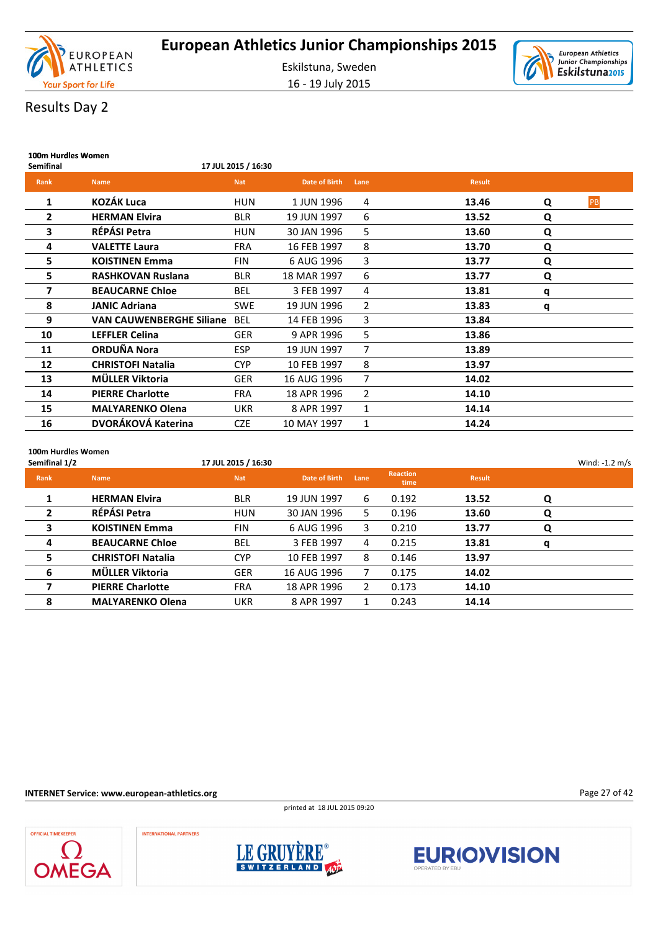

16 - 19 July 2015



### Results Day 2

| 100m Hurdles Women |                                 |                     |                      |      |               |   |    |
|--------------------|---------------------------------|---------------------|----------------------|------|---------------|---|----|
| <b>Semifinal</b>   |                                 | 17 JUL 2015 / 16:30 |                      |      |               |   |    |
| Rank               | <b>Name</b>                     | <b>Nat</b>          | <b>Date of Birth</b> | Lane | <b>Result</b> |   |    |
| 1                  | <b>KOZÁK Luca</b>               | <b>HUN</b>          | 1 JUN 1996           | 4    | 13.46         | Q | PB |
| 2                  | <b>HERMAN Elvira</b>            | <b>BLR</b>          | 19 JUN 1997          | 6    | 13.52         | Q |    |
| 3                  | RÉPÁSI Petra                    | HUN                 | 30 JAN 1996          | 5    | 13.60         | Q |    |
| 4                  | <b>VALETTE Laura</b>            | <b>FRA</b>          | 16 FEB 1997          | 8    | 13.70         | Q |    |
| 5                  | <b>KOISTINEN Emma</b>           | <b>FIN</b>          | 6 AUG 1996           | 3    | 13.77         | Q |    |
| 5                  | <b>RASHKOVAN Ruslana</b>        | <b>BLR</b>          | 18 MAR 1997          | 6    | 13.77         | Q |    |
| 7                  | <b>BEAUCARNE Chloe</b>          | <b>BEL</b>          | 3 FEB 1997           | 4    | 13.81         | q |    |
| 8                  | <b>JANIC Adriana</b>            | <b>SWE</b>          | 19 JUN 1996          | 2    | 13.83         | q |    |
| 9                  | <b>VAN CAUWENBERGHE Siliane</b> | <b>BEL</b>          | 14 FEB 1996          | 3    | 13.84         |   |    |
| 10                 | <b>LEFFLER Celina</b>           | <b>GER</b>          | 9 APR 1996           | 5    | 13.86         |   |    |
| 11                 | ORDUÑA Nora                     | <b>ESP</b>          | 19 JUN 1997          | 7    | 13.89         |   |    |
| 12                 | <b>CHRISTOFI Natalia</b>        | <b>CYP</b>          | 10 FEB 1997          | 8    | 13.97         |   |    |
| 13                 | MÜLLER Viktoria                 | <b>GER</b>          | 16 AUG 1996          | 7    | 14.02         |   |    |
| 14                 | <b>PIERRE Charlotte</b>         | <b>FRA</b>          | 18 APR 1996          | 2    | 14.10         |   |    |
| 15                 | <b>MALYARENKO Olena</b>         | <b>UKR</b>          | 8 APR 1997           | 1    | 14.14         |   |    |
| 16                 | DVORÁKOVÁ Katerina              | <b>CZE</b>          | 10 MAY 1997          | 1    | 14.24         |   |    |
|                    |                                 |                     |                      |      |               |   |    |

#### **100m Hurdles Women**

| Semifinal 1/2  |                          | 17 JUL 2015 / 16:30 |               |      |                         |               |   | Wind: $-1.2$ m/s |
|----------------|--------------------------|---------------------|---------------|------|-------------------------|---------------|---|------------------|
| <b>Rank</b>    | <b>Name</b>              | <b>Nat</b>          | Date of Birth | Lane | <b>Reaction</b><br>time | <b>Result</b> |   |                  |
|                | <b>HERMAN Elvira</b>     | <b>BLR</b>          | 19 JUN 1997   | 6    | 0.192                   | 13.52         | Q |                  |
| $\overline{2}$ | RÉPÁSI Petra             | <b>HUN</b>          | 30 JAN 1996   | 5.   | 0.196                   | 13.60         | Q |                  |
| 3              | <b>KOISTINEN Emma</b>    | <b>FIN</b>          | 6 AUG 1996    | 3.   | 0.210                   | 13.77         | Q |                  |
| 4              | <b>BEAUCARNE Chloe</b>   | <b>BEL</b>          | 3 FEB 1997    | 4    | 0.215                   | 13.81         | q |                  |
| 5              | <b>CHRISTOFI Natalia</b> | <b>CYP</b>          | 10 FEB 1997   | 8    | 0.146                   | 13.97         |   |                  |
| 6              | MÜLLER Viktoria          | <b>GER</b>          | 16 AUG 1996   |      | 0.175                   | 14.02         |   |                  |
| 7              | <b>PIERRE Charlotte</b>  | <b>FRA</b>          | 18 APR 1996   | 2    | 0.173                   | 14.10         |   |                  |
| 8              | <b>MALYARENKO Olena</b>  | UKR                 | 8 APR 1997    |      | 0.243                   | 14.14         |   |                  |

### **INTERNET Service: www.european-athletics.org**

printed at 18 JUL 2015 09:20



**INTERNATIONAL PARTNERS** 





Page 27 of 42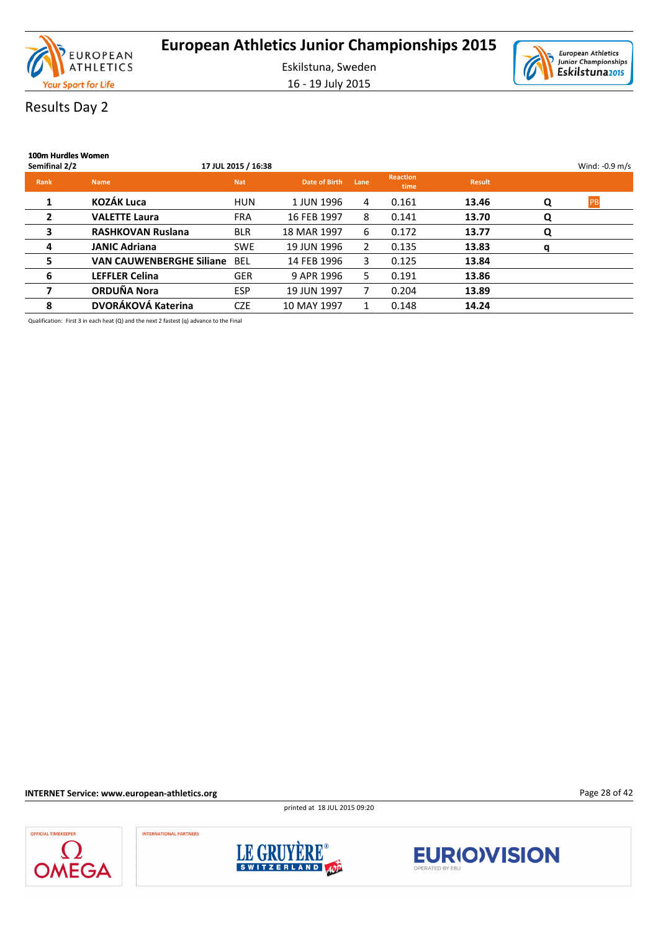

16 - 19 July 2015



### Results Day 2

| 100m Hurdles Women<br>Semifinal 2/2 |                                 | 17 JUL 2015 / 16:38 |               |                |                         |               |   | Wind: -0.9 m/s |
|-------------------------------------|---------------------------------|---------------------|---------------|----------------|-------------------------|---------------|---|----------------|
| <b>Rank</b>                         | <b>Name</b>                     | <b>Nat</b>          | Date of Birth | Lane           | <b>Reaction</b><br>time | <b>Result</b> |   |                |
| 1                                   | <b>KOZÁK Luca</b>               | <b>HUN</b>          | 1 JUN 1996    | 4              | 0.161                   | 13.46         | Q | <b>PB</b>      |
| $\overline{2}$                      | <b>VALETTE Laura</b>            | <b>FRA</b>          | 16 FEB 1997   | 8              | 0.141                   | 13.70         | Q |                |
| 3                                   | <b>RASHKOVAN Ruslana</b>        | <b>BLR</b>          | 18 MAR 1997   | 6              | 0.172                   | 13.77         | Q |                |
| 4                                   | <b>JANIC Adriana</b>            | <b>SWE</b>          | 19 JUN 1996   | $\overline{2}$ | 0.135                   | 13.83         | q |                |
| 5                                   | <b>VAN CAUWENBERGHE Siliane</b> | <b>BEL</b>          | 14 FEB 1996   | 3              | 0.125                   | 13.84         |   |                |
| 6                                   | <b>LEFFLER Celina</b>           | <b>GER</b>          | 9 APR 1996    | 5.             | 0.191                   | 13.86         |   |                |
| 7                                   | ORDUÑA Nora                     | <b>ESP</b>          | 19 JUN 1997   |                | 0.204                   | 13.89         |   |                |
| 8                                   | DVORÁKOVÁ Katerina              | <b>CZE</b>          | 10 MAY 1997   |                | 0.148                   | 14.24         |   |                |

Qualification: First 3 in each heat (Q) and the next 2 fastest (q) advance to the Final

**INTERNET Service: www.european-athletics.org**

printed at 18 JUL 2015 09:20

Page 28 of 42





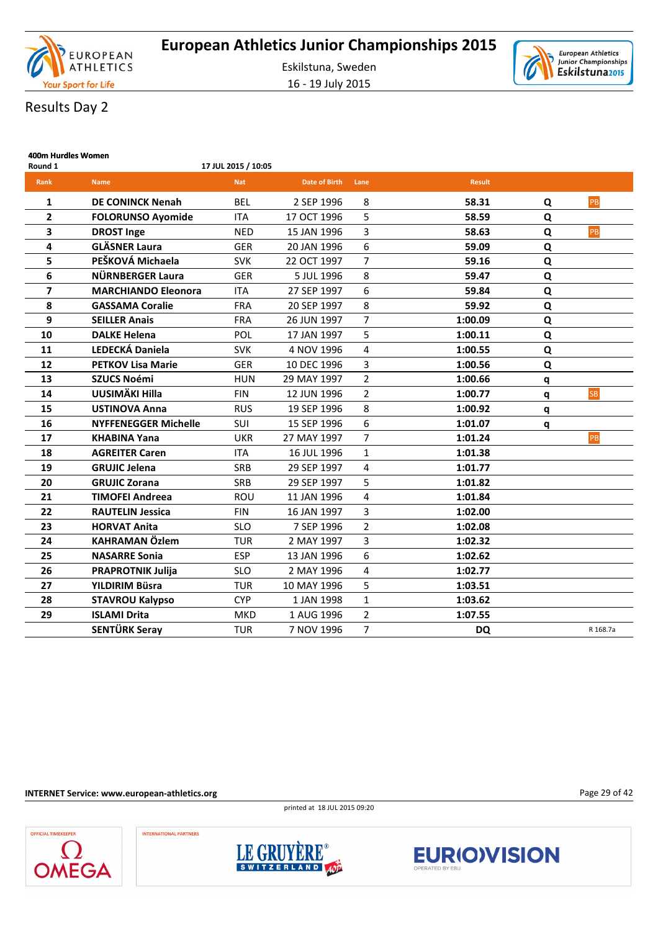

16 - 19 July 2015



**400m Hurdles Women**

| Round 1        |                             | 17 JUL 2015 / 10:05 |                      |                |               |   |           |
|----------------|-----------------------------|---------------------|----------------------|----------------|---------------|---|-----------|
| Rank           | <b>Name</b>                 | <b>Nat</b>          | <b>Date of Birth</b> | Lane           | <b>Result</b> |   |           |
| 1              | <b>DE CONINCK Nenah</b>     | <b>BEL</b>          | 2 SEP 1996           | 8              | 58.31         | Q | PB        |
| $\overline{2}$ | <b>FOLORUNSO Ayomide</b>    | <b>ITA</b>          | 17 OCT 1996          | 5              | 58.59         | Q |           |
| 3              | <b>DROST Inge</b>           | <b>NED</b>          | 15 JAN 1996          | 3              | 58.63         | Q | PB        |
| 4              | <b>GLÄSNER Laura</b>        | <b>GER</b>          | 20 JAN 1996          | 6              | 59.09         | Q |           |
| 5              | PEŠKOVÁ Michaela            | <b>SVK</b>          | 22 OCT 1997          | $\overline{7}$ | 59.16         | Q |           |
| 6              | NÜRNBERGER Laura            | <b>GER</b>          | 5 JUL 1996           | 8              | 59.47         | Q |           |
| 7              | <b>MARCHIANDO Eleonora</b>  | <b>ITA</b>          | 27 SEP 1997          | 6              | 59.84         | Q |           |
| 8              | <b>GASSAMA Coralie</b>      | <b>FRA</b>          | 20 SEP 1997          | 8              | 59.92         | Q |           |
| 9              | <b>SEILLER Anais</b>        | <b>FRA</b>          | 26 JUN 1997          | 7              | 1:00.09       | Q |           |
| 10             | <b>DALKE Helena</b>         | POL                 | 17 JAN 1997          | 5              | 1:00.11       | Q |           |
| 11             | LEDECKÁ Daniela             | <b>SVK</b>          | 4 NOV 1996           | 4              | 1:00.55       | Q |           |
| 12             | <b>PETKOV Lisa Marie</b>    | <b>GER</b>          | 10 DEC 1996          | 3              | 1:00.56       | Q |           |
| 13             | <b>SZUCS Noémi</b>          | <b>HUN</b>          | 29 MAY 1997          | $\overline{2}$ | 1:00.66       | q |           |
| 14             | UUSIMÄKI Hilla              | <b>FIN</b>          | 12 JUN 1996          | $\overline{2}$ | 1:00.77       | q | <b>SB</b> |
| 15             | <b>USTINOVA Anna</b>        | <b>RUS</b>          | 19 SEP 1996          | 8              | 1:00.92       | q |           |
| 16             | <b>NYFFENEGGER Michelle</b> | SUI                 | 15 SEP 1996          | 6              | 1:01.07       | q |           |
| 17             | <b>KHABINA Yana</b>         | <b>UKR</b>          | 27 MAY 1997          | $\overline{7}$ | 1:01.24       |   | PB        |
| 18             | <b>AGREITER Caren</b>       | <b>ITA</b>          | 16 JUL 1996          | $\mathbf{1}$   | 1:01.38       |   |           |
| 19             | <b>GRUJIC Jelena</b>        | <b>SRB</b>          | 29 SEP 1997          | 4              | 1:01.77       |   |           |
| 20             | <b>GRUJIC Zorana</b>        | <b>SRB</b>          | 29 SEP 1997          | 5              | 1:01.82       |   |           |
| 21             | <b>TIMOFEI Andreea</b>      | ROU                 | 11 JAN 1996          | 4              | 1:01.84       |   |           |
| 22             | <b>RAUTELIN Jessica</b>     | <b>FIN</b>          | 16 JAN 1997          | 3              | 1:02.00       |   |           |
| 23             | <b>HORVAT Anita</b>         | <b>SLO</b>          | 7 SEP 1996           | $\overline{2}$ | 1:02.08       |   |           |
| 24             | <b>KAHRAMAN Özlem</b>       | <b>TUR</b>          | 2 MAY 1997           | 3              | 1:02.32       |   |           |
| 25             | <b>NASARRE Sonia</b>        | <b>ESP</b>          | 13 JAN 1996          | 6              | 1:02.62       |   |           |
| 26             | <b>PRAPROTNIK Julija</b>    | <b>SLO</b>          | 2 MAY 1996           | 4              | 1:02.77       |   |           |
| 27             | YILDIRIM Büsra              | <b>TUR</b>          | 10 MAY 1996          | 5              | 1:03.51       |   |           |
| 28             | <b>STAVROU Kalypso</b>      | <b>CYP</b>          | 1 JAN 1998           | $\mathbf{1}$   | 1:03.62       |   |           |
| 29             | <b>ISLAMI Drita</b>         | <b>MKD</b>          | 1 AUG 1996           | $\overline{2}$ | 1:07.55       |   |           |
|                | SENTÜRK Seray               | <b>TUR</b>          | 7 NOV 1996           | $\overline{7}$ | DQ            |   | R 168.7a  |

**INTERNET Service: www.european-athletics.org**

**INTERNATIONAL PARTNERS** 

**OFFICIAL TIMEKEEPER** 

**OMEGA** 

printed at 18 JUL 2015 09:20







Page 29 of 42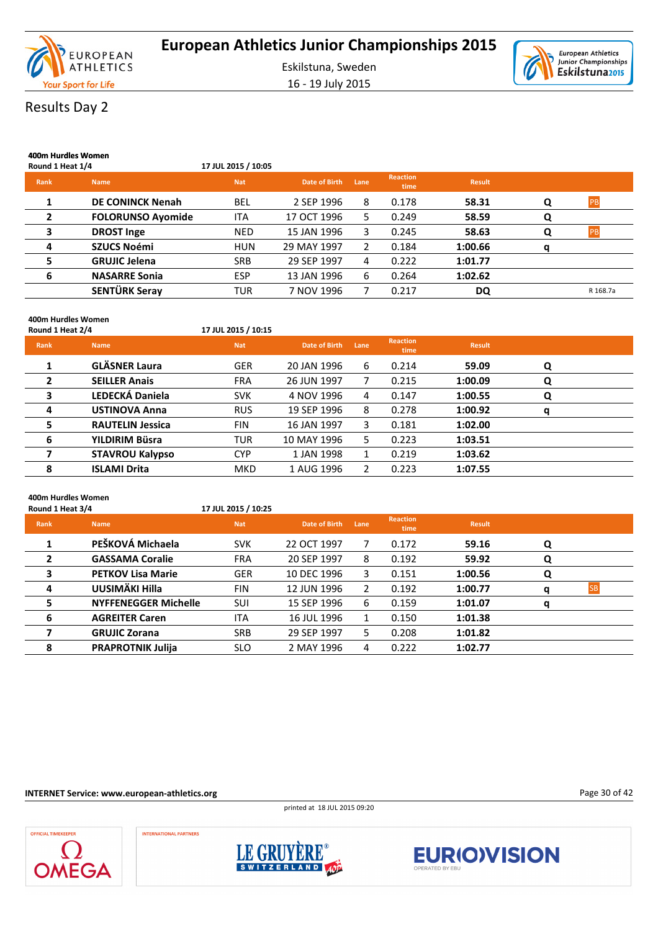

16 - 19 July 2015



# Results Day 2

| 400m Hurdles Women<br>Round 1 Heat 1/4 |                          | 17 JUL 2015 / 10:05 |               |      |                         |               |   |            |
|----------------------------------------|--------------------------|---------------------|---------------|------|-------------------------|---------------|---|------------|
| <b>Rank</b>                            | <b>Name</b>              | <b>Nat</b>          | Date of Birth | Lane | <b>Reaction</b><br>time | <b>Result</b> |   |            |
|                                        | <b>DE CONINCK Nenah</b>  | <b>BEL</b>          | 2 SEP 1996    | 8    | 0.178                   | 58.31         | Q | PB         |
| $\mathbf{2}$                           | <b>FOLORUNSO Ayomide</b> | <b>ITA</b>          | 17 OCT 1996   | 5.   | 0.249                   | 58.59         | Q |            |
| 3                                      | <b>DROST Inge</b>        | <b>NED</b>          | 15 JAN 1996   | 3    | 0.245                   | 58.63         | Q | <b>IPB</b> |
| 4                                      | <b>SZUCS Noémi</b>       | <b>HUN</b>          | 29 MAY 1997   | 2    | 0.184                   | 1:00.66       | a |            |
| 5                                      | <b>GRUJIC Jelena</b>     | <b>SRB</b>          | 29 SEP 1997   | 4    | 0.222                   | 1:01.77       |   |            |
| 6                                      | <b>NASARRE Sonia</b>     | <b>ESP</b>          | 13 JAN 1996   | 6    | 0.264                   | 1:02.62       |   |            |
|                                        | SENTÜRK Seray            | <b>TUR</b>          | 7 NOV 1996    |      | 0.217                   | DQ            |   | R 168.7a   |

### **400m Hurdles Women**

| Round 1 Heat 2/4 |                         | 17 JUL 2015 / 10:15 |               |      |                         |               |   |  |
|------------------|-------------------------|---------------------|---------------|------|-------------------------|---------------|---|--|
| Rank             | <b>Name</b>             | <b>Nat</b>          | Date of Birth | Lane | <b>Reaction</b><br>time | <b>Result</b> |   |  |
| 1                | <b>GLÄSNER Laura</b>    | <b>GER</b>          | 20 JAN 1996   | 6    | 0.214                   | 59.09         | Q |  |
| $\overline{2}$   | <b>SEILLER Anais</b>    | <b>FRA</b>          | 26 JUN 1997   |      | 0.215                   | 1:00.09       | Q |  |
| 3                | <b>LEDECKÁ Daniela</b>  | <b>SVK</b>          | 4 NOV 1996    | 4    | 0.147                   | 1:00.55       | Q |  |
| 4                | <b>USTINOVA Anna</b>    | <b>RUS</b>          | 19 SEP 1996   | 8    | 0.278                   | 1:00.92       | q |  |
| 5                | <b>RAUTELIN Jessica</b> | <b>FIN</b>          | 16 JAN 1997   | 3    | 0.181                   | 1:02.00       |   |  |
| 6                | YILDIRIM Büsra          | <b>TUR</b>          | 10 MAY 1996   | 5.   | 0.223                   | 1:03.51       |   |  |
|                  | <b>STAVROU Kalypso</b>  | <b>CYP</b>          | 1 JAN 1998    |      | 0.219                   | 1:03.62       |   |  |
| 8                | <b>ISLAMI Drita</b>     | <b>MKD</b>          | 1 AUG 1996    | 2    | 0.223                   | 1:07.55       |   |  |

#### **400m Hurdles Women**

| Round 1 Heat 3/4         |            |                                                    |      |                         |               |   |           |
|--------------------------|------------|----------------------------------------------------|------|-------------------------|---------------|---|-----------|
| <b>Name</b>              | <b>Nat</b> | Date of Birth                                      | Lane | <b>Reaction</b><br>time | <b>Result</b> |   |           |
| PEŠKOVÁ Michaela         | <b>SVK</b> | 22 OCT 1997                                        | 7    | 0.172                   | 59.16         | Q |           |
| <b>GASSAMA Coralie</b>   | <b>FRA</b> | 20 SEP 1997                                        | 8    | 0.192                   | 59.92         | Q |           |
| <b>PETKOV Lisa Marie</b> | <b>GER</b> | 10 DEC 1996                                        | 3    | 0.151                   | 1:00.56       | Q |           |
| UUSIMÄKI Hilla           | <b>FIN</b> | 12 JUN 1996                                        | 2    | 0.192                   | 1:00.77       | a | <b>SB</b> |
|                          | SUI        | 15 SEP 1996                                        | 6    | 0.159                   | 1:01.07       | a |           |
| <b>AGREITER Caren</b>    | <b>ITA</b> | 16 JUL 1996                                        | 1    | 0.150                   | 1:01.38       |   |           |
| <b>GRUJIC Zorana</b>     | <b>SRB</b> | 29 SEP 1997                                        | 5.   | 0.208                   | 1:01.82       |   |           |
| <b>PRAPROTNIK Julija</b> | <b>SLO</b> | 2 MAY 1996                                         | 4    | 0.222                   | 1:02.77       |   |           |
|                          |            | 17 JUL 2015 / 10:25<br><b>NYFFENEGGER Michelle</b> |      |                         |               |   |           |

#### **INTERNET Service: www.european-athletics.org**

printed at 18 JUL 2015 09:20







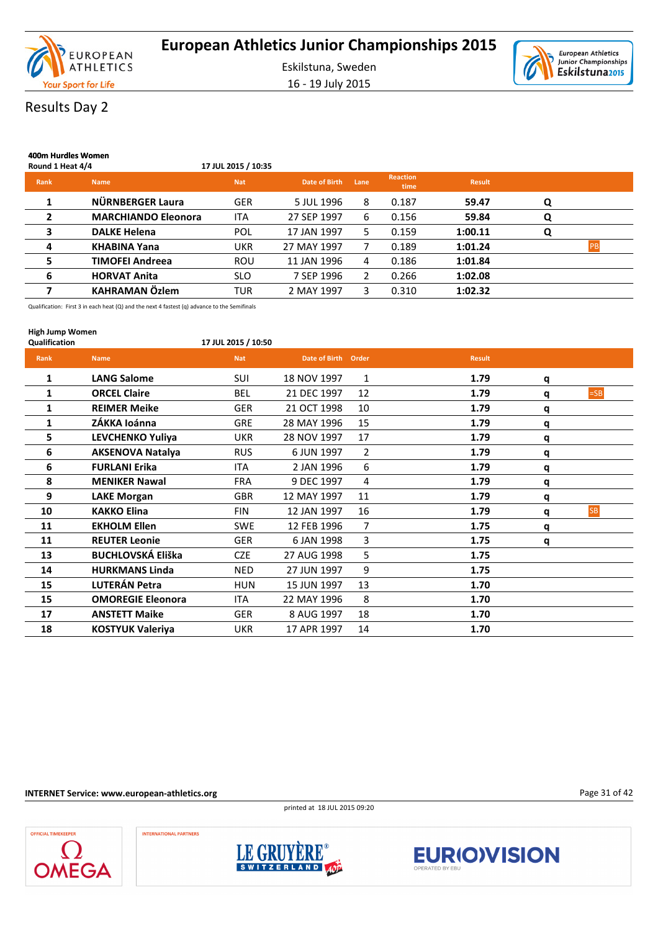

16 - 19 July 2015



# Results Day 2

| 400m Hurdles Women<br>Round 1 Heat 4/4 |                            | 17 JUL 2015 / 10:35 |               |      |                         |               |   |           |
|----------------------------------------|----------------------------|---------------------|---------------|------|-------------------------|---------------|---|-----------|
| Rank                                   | <b>Name</b>                | <b>Nat</b>          | Date of Birth | Lane | <b>Reaction</b><br>time | <b>Result</b> |   |           |
| 1                                      | NÜRNBERGER Laura           | <b>GER</b>          | 5 JUL 1996    | 8    | 0.187                   | 59.47         | Q |           |
| $\overline{2}$                         | <b>MARCHIANDO Eleonora</b> | <b>ITA</b>          | 27 SEP 1997   | 6    | 0.156                   | 59.84         | Q |           |
| 3                                      | <b>DALKE Helena</b>        | POL                 | 17 JAN 1997   | 5.   | 0.159                   | 1:00.11       | Q |           |
| 4                                      | <b>KHABINA Yana</b>        | <b>UKR</b>          | 27 MAY 1997   |      | 0.189                   | 1:01.24       |   | <b>PB</b> |
| 5                                      | <b>TIMOFEI Andreea</b>     | <b>ROU</b>          | 11 JAN 1996   | 4    | 0.186                   | 1:01.84       |   |           |
| 6                                      | <b>HORVAT Anita</b>        | <b>SLO</b>          | 7 SEP 1996    | 2    | 0.266                   | 1:02.08       |   |           |
|                                        | <b>KAHRAMAN Özlem</b>      | <b>TUR</b>          | 2 MAY 1997    | 3.   | 0.310                   | 1:02.32       |   |           |

Qualification: First 3 in each heat (Q) and the next 4 fastest (q) advance to the Semifinals

| <b>High Jump Women</b><br><b>Qualification</b> |                          | 17 JUL 2015 / 10:50 |                     |                |               |   |           |
|------------------------------------------------|--------------------------|---------------------|---------------------|----------------|---------------|---|-----------|
| Rank                                           | <b>Name</b>              | <b>Nat</b>          | Date of Birth Order |                | <b>Result</b> |   |           |
| 1                                              | <b>LANG Salome</b>       | <b>SUI</b>          | 18 NOV 1997         | $\mathbf{1}$   | 1.79          | q |           |
| 1                                              | <b>ORCEL Claire</b>      | <b>BEL</b>          | 21 DEC 1997         | 12             | 1.79          | q | $=SB$     |
| 1                                              | <b>REIMER Meike</b>      | <b>GER</b>          | 21 OCT 1998         | 10             | 1.79          | q |           |
| 1                                              | ZÁKKA loánna             | <b>GRE</b>          | 28 MAY 1996         | 15             | 1.79          | q |           |
| 5                                              | LEVCHENKO Yuliya         | <b>UKR</b>          | 28 NOV 1997         | 17             | 1.79          | q |           |
| 6                                              | <b>AKSENOVA Natalya</b>  | <b>RUS</b>          | 6 JUN 1997          | $\overline{2}$ | 1.79          | q |           |
| 6                                              | <b>FURLANI Erika</b>     | ITA                 | 2 JAN 1996          | 6              | 1.79          | q |           |
| 8                                              | <b>MENIKER Nawal</b>     | <b>FRA</b>          | 9 DEC 1997          | 4              | 1.79          | q |           |
| 9                                              | <b>LAKE Morgan</b>       | <b>GBR</b>          | 12 MAY 1997         | 11             | 1.79          | q |           |
| 10                                             | <b>KAKKO Elina</b>       | <b>FIN</b>          | 12 JAN 1997         | 16             | 1.79          | q | <b>SB</b> |
| 11                                             | <b>EKHOLM Ellen</b>      | <b>SWE</b>          | 12 FEB 1996         | $\overline{7}$ | 1.75          | q |           |
| 11                                             | <b>REUTER Leonie</b>     | <b>GER</b>          | 6 JAN 1998          | 3              | 1.75          | q |           |
| 13                                             | <b>BUCHLOVSKÁ Eliška</b> | <b>CZE</b>          | 27 AUG 1998         | 5              | 1.75          |   |           |
| 14                                             | <b>HURKMANS Linda</b>    | <b>NED</b>          | 27 JUN 1997         | 9              | 1.75          |   |           |
| 15                                             | LUTERÁN Petra            | <b>HUN</b>          | 15 JUN 1997         | 13             | 1.70          |   |           |
| 15                                             | <b>OMOREGIE Eleonora</b> | <b>ITA</b>          | 22 MAY 1996         | 8              | 1.70          |   |           |
| 17                                             | <b>ANSTETT Maike</b>     | <b>GER</b>          | 8 AUG 1997          | 18             | 1.70          |   |           |
| 18                                             | <b>KOSTYUK Valeriya</b>  | <b>UKR</b>          | 17 APR 1997         | 14             | 1.70          |   |           |

**INTERNET Service: www.european-athletics.org**

printed at 18 JUL 2015 09:20









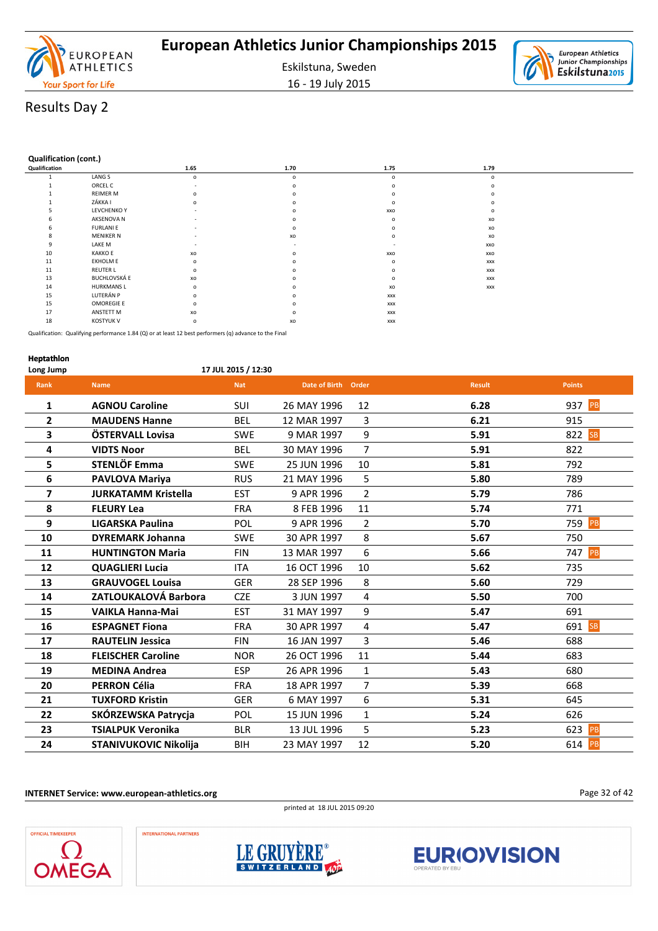

Eskilstuna, Sweden 16 - 19 July 2015

European Athletics ð Junior Championships Eskilstuna<sub>2015</sub>

# Results Day 2

#### **Qualification (cont.)**

| Qualification |                     | 1.65           | 1.70     | 1.75       | 1.79       |  |
|---------------|---------------------|----------------|----------|------------|------------|--|
|               | LANG S              | $\mathsf{o}\,$ | $\Omega$ | $\Omega$   | $\circ$    |  |
|               | ORCEL C             |                |          |            | $\circ$    |  |
|               | <b>REIMER M</b>     | $\circ$        |          |            | $\Omega$   |  |
|               | ZÁKKA I             | $\circ$        |          |            | $\Omega$   |  |
|               | LEVCHENKO Y         |                |          | XXO        | $\circ$    |  |
|               | AKSENOVA N          |                |          | $\Omega$   | XO         |  |
|               | <b>FURLANI E</b>    |                |          |            | XO         |  |
|               | <b>MENIKER N</b>    |                | XO       | n          | XO         |  |
|               | LAKE M              |                |          |            | XXO        |  |
| 10            | <b>KAKKO E</b>      | xo             |          | XXO        | XXO        |  |
| 11            | EKHOLM E            | $\mathsf{o}\,$ |          | $\Omega$   | <b>XXX</b> |  |
| 11            | <b>REUTER L</b>     | $\mathsf{o}\,$ |          |            | <b>XXX</b> |  |
| 13            | <b>BUCHLOVSKÁ E</b> | xo             |          |            | <b>XXX</b> |  |
| 14            | <b>HURKMANS L</b>   | $\circ$        |          | xo         | <b>XXX</b> |  |
| 15            | LUTERÁN P           | $\mathsf{o}\,$ |          | <b>XXX</b> |            |  |
| 15            | <b>OMOREGIE E</b>   | $\circ$        |          | <b>XXX</b> |            |  |
| 17            | ANSTETT M           | xo             |          | <b>XXX</b> |            |  |
| 18            | <b>KOSTYUK V</b>    | o              | xo       | <b>XXX</b> |            |  |

Qualification: Qualifying performance 1.84 (Q) or at least 12 best performers (q) advance to the Final

#### **Heptathlon**

**Long Jump 17 JUL 2015 / 12:30**

| Rank           | <b>Name</b>                  | <b>Nat</b> | Date of Birth Order |                | <b>Result</b> | <b>Points</b>    |
|----------------|------------------------------|------------|---------------------|----------------|---------------|------------------|
| $\mathbf{1}$   | <b>AGNOU Caroline</b>        | SUI        | 26 MAY 1996         | 12             | 6.28          | 937 PB           |
| $\overline{2}$ | <b>MAUDENS Hanne</b>         | <b>BEL</b> | 12 MAR 1997         | 3              | 6.21          | 915              |
| 3              | ÖSTERVALL Lovisa             | <b>SWE</b> | 9 MAR 1997          | 9              | 5.91          | 822 SB           |
| 4              | <b>VIDTS Noor</b>            | <b>BEL</b> | 30 MAY 1996         | $\overline{7}$ | 5.91          | 822              |
| 5              | STENLÖF Emma                 | <b>SWE</b> | 25 JUN 1996         | 10             | 5.81          | 792              |
| 6              | PAVLOVA Mariya               | <b>RUS</b> | 21 MAY 1996         | 5              | 5.80          | 789              |
| 7              | <b>JURKATAMM Kristella</b>   | <b>EST</b> | 9 APR 1996          | $\overline{2}$ | 5.79          | 786              |
| 8              | <b>FLEURY Lea</b>            | <b>FRA</b> | 8 FEB 1996          | 11             | 5.74          | 771              |
| 9              | <b>LIGARSKA Paulina</b>      | POL        | 9 APR 1996          | $\overline{2}$ | 5.70          | 759 PB           |
| 10             | <b>DYREMARK Johanna</b>      | <b>SWE</b> | 30 APR 1997         | 8              | 5.67          | 750              |
| 11             | <b>HUNTINGTON Maria</b>      | <b>FIN</b> | 13 MAR 1997         | 6              | 5.66          | 747 PB           |
| 12             | <b>QUAGLIERI Lucia</b>       | <b>ITA</b> | 16 OCT 1996         | 10             | 5.62          | 735              |
| 13             | <b>GRAUVOGEL Louisa</b>      | <b>GER</b> | 28 SEP 1996         | 8              | 5.60          | 729              |
| 14             | ZATLOUKALOVÁ Barbora         | <b>CZE</b> | 3 JUN 1997          | 4              | 5.50          | 700              |
| 15             | <b>VAIKLA Hanna-Mai</b>      | <b>EST</b> | 31 MAY 1997         | 9              | 5.47          | 691              |
| 16             | <b>ESPAGNET Fiona</b>        | <b>FRA</b> | 30 APR 1997         | 4              | 5.47          | 691<br><b>SB</b> |
| 17             | <b>RAUTELIN Jessica</b>      | <b>FIN</b> | 16 JAN 1997         | 3              | 5.46          | 688              |
| 18             | <b>FLEISCHER Caroline</b>    | <b>NOR</b> | 26 OCT 1996         | 11             | 5.44          | 683              |
| 19             | <b>MEDINA Andrea</b>         | <b>ESP</b> | 26 APR 1996         | $\mathbf{1}$   | 5.43          | 680              |
| 20             | <b>PERRON Célia</b>          | <b>FRA</b> | 18 APR 1997         | $\overline{7}$ | 5.39          | 668              |
| 21             | <b>TUXFORD Kristin</b>       | <b>GER</b> | 6 MAY 1997          | 6              | 5.31          | 645              |
| 22             | SKÓRZEWSKA Patrycja          | POL        | 15 JUN 1996         | $\mathbf{1}$   | 5.24          | 626              |
| 23             | <b>TSIALPUK Veronika</b>     | <b>BLR</b> | 13 JUL 1996         | 5              | 5.23          | 623<br>PB        |
| 24             | <b>STANIVUKOVIC Nikolija</b> | <b>BIH</b> | 23 MAY 1997         | 12             | 5.20          | 614 PB           |

**INTERNET Service: www.european-athletics.org**

printed at 18 JUL 2015 09:20

Page 32 of 42





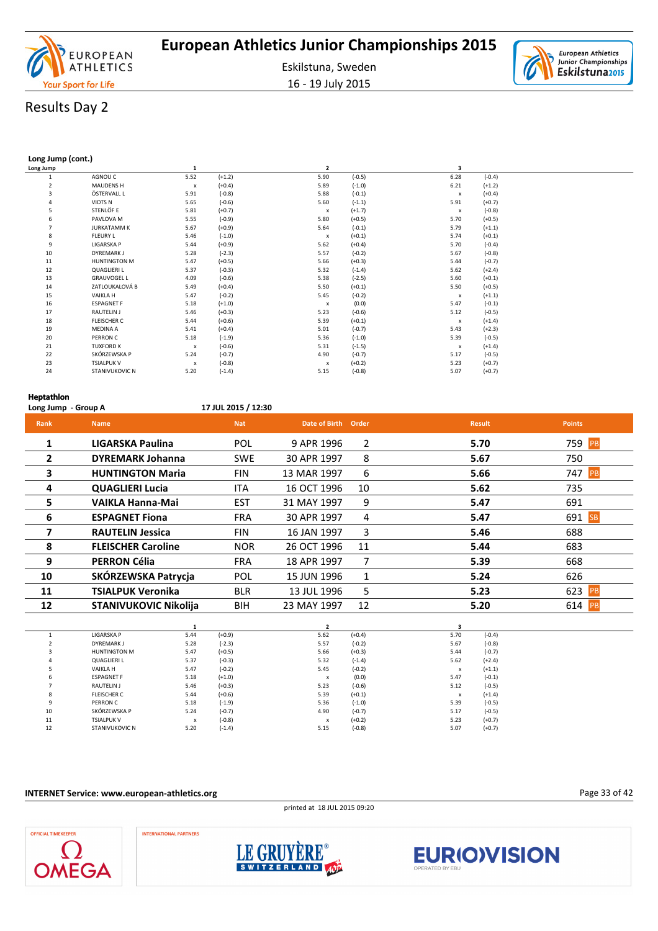

16 - 19 July 2015

# Results Day 2

#### **Long Jump (cont.)**

l,

| Long Jump      |                       | $\mathbf{1}$              |          | $\overline{2}$            |          | 3                         |          |  |
|----------------|-----------------------|---------------------------|----------|---------------------------|----------|---------------------------|----------|--|
|                | AGNOU C               | 5.52                      | $(+1.2)$ | 5.90                      | $(-0.5)$ | 6.28                      | $(-0.4)$ |  |
| $\overline{2}$ | MAUDENS H             | x                         | $(+0.4)$ | 5.89                      | $(-1.0)$ | 6.21                      | $(+1.2)$ |  |
| 3              | ÖSTERVALL L           | 5.91                      | $(-0.8)$ | 5.88                      | $(-0.1)$ | $\boldsymbol{\mathsf{x}}$ | $(+0.4)$ |  |
| $\overline{4}$ | <b>VIDTS N</b>        | 5.65                      | $(-0.6)$ | 5.60                      | $(-1.1)$ | 5.91                      | $(+0.7)$ |  |
| 5              | STENLÖF E             | 5.81                      | $(+0.7)$ | $\boldsymbol{\mathsf{x}}$ | $(+1.7)$ | $\boldsymbol{\mathsf{x}}$ | $(-0.8)$ |  |
| 6              | PAVLOVA M             | 5.55                      | $(-0.9)$ | 5.80                      | $(+0.5)$ | 5.70                      | $(+0.5)$ |  |
| $\overline{7}$ | <b>JURKATAMM K</b>    | 5.67                      | $(+0.9)$ | 5.64                      | $(-0.1)$ | 5.79                      | $(+1.1)$ |  |
| 8              | <b>FLEURY L</b>       | 5.46                      | $(-1.0)$ | $\boldsymbol{\mathsf{x}}$ | $(+0.1)$ | 5.74                      | $(+0.1)$ |  |
| 9              | LIGARSKA P            | 5.44                      | $(+0.9)$ | 5.62                      | $(+0.4)$ | 5.70                      | $(-0.4)$ |  |
| 10             | DYREMARK J            | 5.28                      | $(-2.3)$ | 5.57                      | $(-0.2)$ | 5.67                      | $(-0.8)$ |  |
| $11\,$         | HUNTINGTON M          | 5.47                      | $(+0.5)$ | 5.66                      | $(+0.3)$ | 5.44                      | $(-0.7)$ |  |
| 12             | <b>QUAGLIERI L</b>    | 5.37                      | $(-0.3)$ | 5.32                      | $(-1.4)$ | 5.62                      | $(+2.4)$ |  |
| 13             | <b>GRAUVOGEL L</b>    | 4.09                      | $(-0.6)$ | 5.38                      | $(-2.5)$ | 5.60                      | $(+0.1)$ |  |
| 14             | ZATLOUKALOVÁ B        | 5.49                      | $(+0.4)$ | 5.50                      | $(+0.1)$ | 5.50                      | $(+0.5)$ |  |
| 15             | VAIKLA H              | 5.47                      | $(-0.2)$ | 5.45                      | $(-0.2)$ | $\boldsymbol{\mathsf{x}}$ | $(+1.1)$ |  |
| 16             | <b>ESPAGNET F</b>     | 5.18                      | $(+1.0)$ | x                         | (0.0)    | 5.47                      | $(-0.1)$ |  |
| 17             | RAUTELIN J            | 5.46                      | $(+0.3)$ | 5.23                      | $(-0.6)$ | 5.12                      | $(-0.5)$ |  |
| 18             | <b>FLEISCHER C</b>    | 5.44                      | $(+0.6)$ | 5.39                      | $(+0.1)$ | $\boldsymbol{\mathsf{x}}$ | $(+1.4)$ |  |
| 19             | <b>MEDINA A</b>       | 5.41                      | $(+0.4)$ | 5.01                      | $(-0.7)$ | 5.43                      | $(+2.3)$ |  |
| 20             | PERRON C              | 5.18                      | $(-1.9)$ | 5.36                      | $(-1.0)$ | 5.39                      | $(-0.5)$ |  |
| 21             | <b>TUXFORD K</b>      | $\boldsymbol{\mathsf{x}}$ | $(-0.6)$ | 5.31                      | $(-1.5)$ | $\boldsymbol{\mathsf{x}}$ | $(+1.4)$ |  |
| 22             | SKÓRZEWSKA P          | 5.24                      | $(-0.7)$ | 4.90                      | $(-0.7)$ | 5.17                      | $(-0.5)$ |  |
| 23             | <b>TSIALPUK V</b>     | x                         | $(-0.8)$ | x                         | $(+0.2)$ | 5.23                      | $(+0.7)$ |  |
| 24             | <b>STANIVUKOVIC N</b> | 5.20                      | $(-1.4)$ | 5.15                      | $(-0.8)$ | 5.07                      | $(+0.7)$ |  |

#### **Heptathlon**

| Long Jump - Group A |                           | 17 JUL 2015 / 12:30 |               |       |               |               |
|---------------------|---------------------------|---------------------|---------------|-------|---------------|---------------|
| Rank                | <b>Name</b>               | <b>Nat</b>          | Date of Birth | Order | <b>Result</b> | <b>Points</b> |
| $\mathbf{1}$        | LIGARSKA Paulina          | <b>POL</b>          | 9 APR 1996    | 2     | 5.70          | 759 PB        |
| $\mathbf{2}$        | <b>DYREMARK Johanna</b>   | <b>SWE</b>          | 30 APR 1997   | 8     | 5.67          | 750           |
| 3                   | <b>HUNTINGTON Maria</b>   | <b>FIN</b>          | 13 MAR 1997   | 6     | 5.66          | 747<br>PB     |
| 4                   | <b>QUAGLIERI Lucia</b>    | ITA                 | 16 OCT 1996   | 10    | 5.62          | 735           |
| 5.                  | <b>VAIKLA Hanna-Mai</b>   | <b>EST</b>          | 31 MAY 1997   | 9     | 5.47          | 691           |
| 6                   | <b>ESPAGNET Fiona</b>     | <b>FRA</b>          | 30 APR 1997   | 4     | 5.47          | 691 SB        |
| 7                   | <b>RAUTELIN Jessica</b>   | <b>FIN</b>          | 16 JAN 1997   | 3     | 5.46          | 688           |
| 8                   | <b>FLEISCHER Caroline</b> | <b>NOR</b>          | 26 OCT 1996   | 11    | 5.44          | 683           |
| 9                   | <b>PERRON Célia</b>       | <b>FRA</b>          | 18 APR 1997   | 7     | 5.39          | 668           |
| 10                  | SKÓRZEWSKA Patrycja       | POL                 | 15 JUN 1996   | 1     | 5.24          | 626           |
| 11                  | <b>TSIALPUK Veronika</b>  | <b>BLR</b>          | 13 JUL 1996   | 5     | 5.23          | 623 PB        |
| 12                  | STANIVUKOVIC Nikolija     | <b>BIH</b>          | 23 MAY 1997   | 12    | 5.20          | 614<br>PB     |
|                     |                           |                     |               |       |               |               |

|    | <b>LIGARSKA P</b>     | 5.44 | $(+0.9)$ | 5.62 | $(+0.4)$ | 5.70                      | $(-0.4)$ |  |
|----|-----------------------|------|----------|------|----------|---------------------------|----------|--|
|    | <b>DYREMARK J</b>     | 5.28 | $(-2.3)$ | 5.57 | $(-0.2)$ | 5.67                      | $(-0.8)$ |  |
|    | <b>HUNTINGTON M</b>   | 5.47 | $(+0.5)$ | 5.66 | $(+0.3)$ | 5.44                      | $(-0.7)$ |  |
|    | <b>QUAGLIERI L</b>    | 5.37 | $(-0.3)$ | 5.32 | $(-1.4)$ | 5.62                      | $(+2.4)$ |  |
|    | <b>VAIKLAH</b>        | 5.47 | $(-0.2)$ | 5.45 | $(-0.2)$ | X                         | $(+1.1)$ |  |
|    | <b>ESPAGNET F</b>     | 5.18 | $(+1.0)$ | X    | (0.0)    | 5.47                      | $(-0.1)$ |  |
|    | RAUTELIN J            | 5.46 | $(+0.3)$ | 5.23 | $(-0.6)$ | 5.12                      | $(-0.5)$ |  |
|    | <b>FLEISCHER C</b>    | 5.44 | $(+0.6)$ | 5.39 | $(+0.1)$ | $\boldsymbol{\mathsf{x}}$ | $(+1.4)$ |  |
| ۰  | PERRON C              | 5.18 | $(-1.9)$ | 5.36 | $(-1.0)$ | 5.39                      | $(-0.5)$ |  |
| 10 | SKÓRZEWSKA P          | 5.24 | $(-0.7)$ | 4.90 | $(-0.7)$ | 5.17                      | $(-0.5)$ |  |
| 11 | <b>TSIALPUK V</b>     | x    | $(-0.8)$ | X    | $(+0.2)$ | 5.23                      | $(+0.7)$ |  |
| 12 | <b>STANIVUKOVIC N</b> | 5.20 | $(-1.4)$ | 5.15 | $(-0.8)$ | 5.07                      | $(+0.7)$ |  |

#### **INTERNET Service: www.european-athletics.org**

printed at 18 JUL 2015 09:20

Page 33 of 42







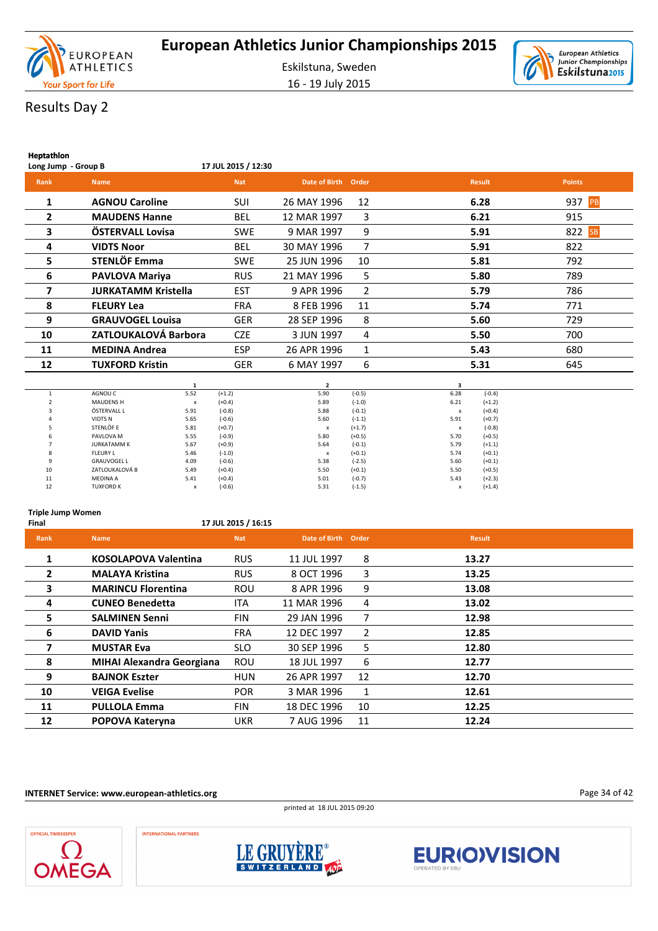



# Results Day 2

**Heptathlon**

| <br>Long Jump - Group B |                            | 17 JUL 2015 / 12:30 |                     |                |               |               |
|-------------------------|----------------------------|---------------------|---------------------|----------------|---------------|---------------|
| Rank                    | <b>Name</b>                | <b>Nat</b>          | Date of Birth Order |                | <b>Result</b> | <b>Points</b> |
| 1                       | <b>AGNOU Caroline</b>      | <b>SUI</b>          | 26 MAY 1996         | 12             | 6.28          | 937 PB        |
| $\mathbf{2}$            | <b>MAUDENS Hanne</b>       | <b>BEL</b>          | 12 MAR 1997         | 3              | 6.21          | 915           |
| 3                       | ÖSTERVALL Lovisa           | <b>SWE</b>          | 9 MAR 1997          | 9              | 5.91          | 822 SB        |
| 4                       | <b>VIDTS Noor</b>          | <b>BEL</b>          | 30 MAY 1996         | 7              | 5.91          | 822           |
| 5                       | STENLÖF Emma               | <b>SWE</b>          | 25 JUN 1996         | 10             | 5.81          | 792           |
| 6                       | PAVLOVA Mariya             | <b>RUS</b>          | 21 MAY 1996         | 5              | 5.80          | 789           |
| 7                       | <b>JURKATAMM Kristella</b> | <b>EST</b>          | 9 APR 1996          | $\overline{2}$ | 5.79          | 786           |
| 8                       | <b>FLEURY Lea</b>          | <b>FRA</b>          | 8 FEB 1996          | 11             | 5.74          | 771           |
| 9                       | <b>GRAUVOGEL Louisa</b>    | <b>GER</b>          | 28 SEP 1996         | 8              | 5.60          | 729           |
| 10                      | ZATLOUKALOVÁ Barbora       | <b>CZE</b>          | 3 JUN 1997          | 4              | 5.50          | 700           |
| 11                      | <b>MEDINA Andrea</b>       | <b>ESP</b>          | 26 APR 1996         | 1              | 5.43          | 680           |
| 12                      | <b>TUXFORD Kristin</b>     | <b>GER</b>          | 6 MAY 1997          | 6              | 5.31          | 645           |
|                         |                            |                     |                     |                |               |               |

|    |                    |      |          | $\overline{2}$ |          | 3    |          |
|----|--------------------|------|----------|----------------|----------|------|----------|
|    | AGNOU C            | 5.52 | $(+1.2)$ | 5.90           | $(-0.5)$ | 6.28 | $(-0.4)$ |
|    | <b>MAUDENS H</b>   | x    | $(+0.4)$ | 5.89           | $(-1.0)$ | 6.21 | $(+1.2)$ |
| 3  | ÖSTERVALL L        | 5.91 | $(-0.8)$ | 5.88           | $(-0.1)$ | X    | $(+0.4)$ |
| 4  | <b>VIDTS N</b>     | 5.65 | $(-0.6)$ | 5.60           | $(-1.1)$ | 5.91 | $(+0.7)$ |
|    | STENLÖF E          | 5.81 | $(+0.7)$ | x              | $(+1.7)$ | X    | $(-0.8)$ |
| 6  | PAVLOVA M          | 5.55 | $(-0.9)$ | 5.80           | $(+0.5)$ | 5.70 | $(+0.5)$ |
|    | <b>JURKATAMM K</b> | 5.67 | $(+0.9)$ | 5.64           | $(-0.1)$ | 5.79 | $(+1.1)$ |
| 8  | <b>FLEURY L</b>    | 5.46 | $(-1.0)$ | X              | $(+0.1)$ | 5.74 | $(+0.1)$ |
| 9  | <b>GRAUVOGEL L</b> | 4.09 | $(-0.6)$ | 5.38           | $(-2.5)$ | 5.60 | $(+0.1)$ |
| 10 | ZATLOUKALOVÁ B     | 5.49 | $(+0.4)$ | 5.50           | $(+0.1)$ | 5.50 | $(+0.5)$ |
| 11 | <b>MEDINA A</b>    | 5.41 | $(+0.4)$ | 5.01           | $(-0.7)$ | 5.43 | $(+2.3)$ |
| 12 | <b>TUXFORD K</b>   | x    | $(-0.6)$ | 5.31           | $(-1.5)$ | X    | $(+1.4)$ |

#### **Triple Jump Women**

**Final 17 JUL 2015 / 16:15**

| Rank         | <b>Name</b>                      | <b>Nat</b> | Date of Birth Order |                | <b>Result</b> |
|--------------|----------------------------------|------------|---------------------|----------------|---------------|
| 1            | <b>KOSOLAPOVA Valentina</b>      | <b>RUS</b> | 11 JUL 1997         | 8              | 13.27         |
| $\mathbf{2}$ | <b>MALAYA Kristina</b>           | <b>RUS</b> | 8 OCT 1996          | 3              | 13.25         |
| 3            | <b>MARINCU Florentina</b>        | <b>ROU</b> | 8 APR 1996          | 9              | 13.08         |
| 4            | <b>CUNEO Benedetta</b>           | <b>ITA</b> | 11 MAR 1996         | 4              | 13.02         |
| 5            | <b>SALMINEN Senni</b>            | <b>FIN</b> | 29 JAN 1996         | 7              | 12.98         |
| 6            | <b>DAVID Yanis</b>               | <b>FRA</b> | 12 DEC 1997         | $\overline{2}$ | 12.85         |
|              | <b>MUSTAR Eva</b>                | <b>SLO</b> | 30 SEP 1996         | 5              | 12.80         |
| 8            | <b>MIHAI Alexandra Georgiana</b> | <b>ROU</b> | 18 JUL 1997         | 6              | 12.77         |
| 9            | <b>BAJNOK Eszter</b>             | <b>HUN</b> | 26 APR 1997         | 12             | 12.70         |
| 10           | <b>VEIGA Evelise</b>             | <b>POR</b> | 3 MAR 1996          | 1              | 12.61         |
| 11           | <b>PULLOLA Emma</b>              | <b>FIN</b> | 18 DEC 1996         | 10             | 12.25         |
| 12           | POPOVA Kateryna                  | <b>UKR</b> | 7 AUG 1996          | 11             | 12.24         |

**INTERNET Service: www.european-athletics.org**









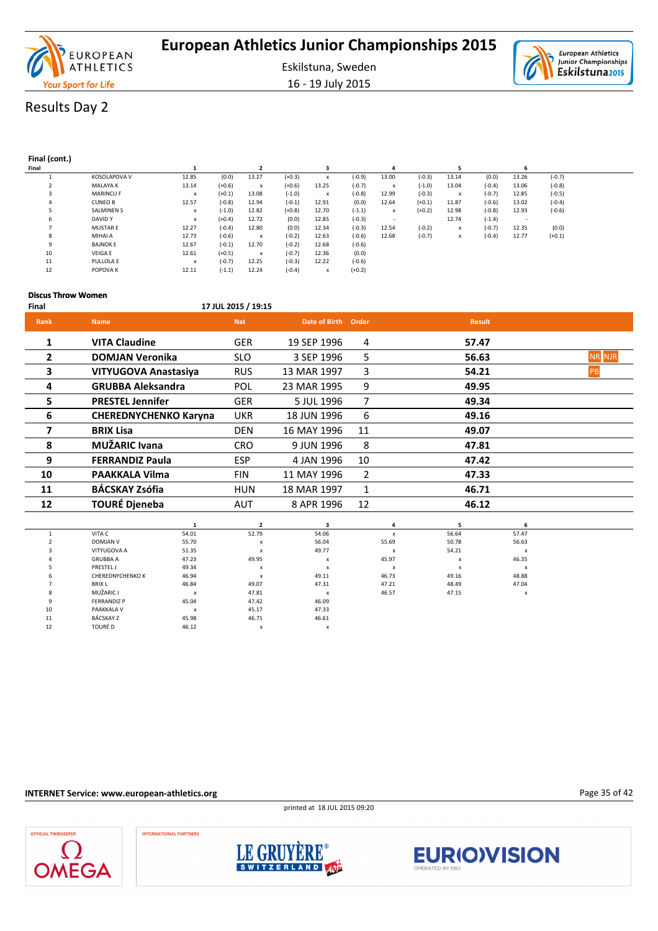



16 - 19 July 2015

# Results Day 2

### **Final (cont.)**

| Final |                     |       |          |       |          |       |          |       |          |       |          | o     |          |  |
|-------|---------------------|-------|----------|-------|----------|-------|----------|-------|----------|-------|----------|-------|----------|--|
|       | <b>KOSOLAPOVA V</b> | 12.85 | (0.0)    | 13.27 | $(+0.3)$ | x     | (-0.9)   | 13.00 | $(-0.3)$ | 13.14 | (0.0)    | 13.26 | $(-0.7)$ |  |
|       | <b>MALAYA K</b>     | 13.14 | $(+0.6)$ | x     | $(+0.6)$ | 13.25 | $(-0.7)$ | x     | $(-1.0)$ | 13.04 | $(-0.4)$ | 13.06 | $(-0.8)$ |  |
|       | <b>MARINCU F</b>    | x     | $(+0.1)$ | 13.08 | $(-1.0)$ | x     | $(-0.8)$ | 12.99 | $(-0.3)$ | x     | $(-0.7)$ | 12.85 | $(-0.5)$ |  |
|       | <b>CUNEO B</b>      | 12.57 | $(-0.8)$ | 12.94 | $(-0.1)$ | 12.91 | (0.0)    | 12.64 | $(+0.1)$ | 11.87 | $(-0.6)$ | 13.02 | $(-0.4)$ |  |
|       | <b>SALMINEN S</b>   | x     | $(-1.0)$ | 12.82 | $(+0.8)$ | 12.70 | $(-1.1)$ | x     | $(+0.2)$ | 12.98 | $(-0.8)$ | 12.93 | $(-0.6)$ |  |
| ь     | <b>DAVID Y</b>      | x     | $(+0.4)$ | 12.72 | (0.0)    | 12.85 | $(-0.3)$ |       |          | 12.74 | $(-1.4)$ | . .   |          |  |
|       | <b>MUSTAR E</b>     | 12.27 | $(-0.4)$ | 12.80 | (0.0)    | 12.34 | $(-0.3)$ | 12.54 | $(-0.2)$ | x     | $(-0.7)$ | 12.35 | (0.0)    |  |
| o     | MIHAI A             | 12.73 | $(-0.6)$ | x     | $(-0.2)$ | 12.63 | $(-0.6)$ | 12.68 | $(-0.7)$ | x     | $(-0.4)$ | 12.77 | $(+0.1)$ |  |
| 9     | <b>BAJNOK E</b>     | 12.67 | $(-0.1)$ | 12.70 | $(-0.2)$ | 12.68 | $(-0.6)$ |       |          |       |          |       |          |  |
| 10    | <b>VEIGA E</b>      | 12.61 | $(+0.5)$ | x     | $(-0.7)$ | 12.36 | (0.0)    |       |          |       |          |       |          |  |
| 11    | PULLOLA E           | X     | $(-0.7)$ | 12.25 | $(-0.3)$ | 12.22 | $(-0.6)$ |       |          |       |          |       |          |  |
| 12    | POPOVA K            | 12.11 | $(-1.1)$ | 12.24 | $(-0.4)$ | x     | $(+0.2)$ |       |          |       |          |       |          |  |

#### **Discus Throw Women**

### **Final 17 JUL 2015 / 19:15**

| <b>Rank</b>    | <b>Name</b>                  | <b>Nat</b> | Date of Birth Order |    | <b>Result</b> |        |
|----------------|------------------------------|------------|---------------------|----|---------------|--------|
| $\mathbf{1}$   | <b>VITA Claudine</b>         | <b>GER</b> | 19 SEP 1996         | 4  | 57.47         |        |
| $\overline{2}$ | <b>DOMJAN Veronika</b>       | <b>SLO</b> | 3 SEP 1996          | 5  | 56.63         | NR NJR |
| 3              | VITYUGOVA Anastasiya         | <b>RUS</b> | 13 MAR 1997         | 3  | 54.21         | PB     |
| 4              | <b>GRUBBA Aleksandra</b>     | POL        | 23 MAR 1995         | 9  | 49.95         |        |
| 5              | <b>PRESTEL Jennifer</b>      | <b>GER</b> | 5 JUL 1996          | 7  | 49.34         |        |
| 6              | <b>CHEREDNYCHENKO Karyna</b> | <b>UKR</b> | 18 JUN 1996         | 6  | 49.16         |        |
| 7              | <b>BRIX Lisa</b>             | <b>DEN</b> | 16 MAY 1996         | 11 | 49.07         |        |
| 8              | <b>MUŽARIC Ivana</b>         | <b>CRO</b> | 9 JUN 1996          | 8  | 47.81         |        |
| 9              | <b>FERRANDIZ Paula</b>       | <b>ESP</b> | 4 JAN 1996          | 10 | 47.42         |        |
| 10             | <b>PAAKKALA Vilma</b>        | <b>FIN</b> | 11 MAY 1996         | 2  | 47.33         |        |
| 11             | <b>BÁCSKAY Zsófia</b>        | <b>HUN</b> | 18 MAR 1997         | 1  | 46.71         |        |
| 12             | <b>TOURÉ Djeneba</b>         | <b>AUT</b> | 8 APR 1996          | 12 | 46.12         |        |
|                |                              |            |                     |    |               |        |

|    | VITA C                  | 54.01                     | 52.79                     | 54.06        |                           | 56.64                     | 57.47                     |
|----|-------------------------|---------------------------|---------------------------|--------------|---------------------------|---------------------------|---------------------------|
|    | <b>DOMJAN V</b>         | 55.70                     | $\boldsymbol{\mathsf{x}}$ | 56.04        | 55.69                     | 50.78                     | 56.63                     |
|    | VITYUGOVA A             | 51.35                     | $\boldsymbol{\mathsf{x}}$ | 49.77        | $\boldsymbol{\mathsf{x}}$ | 54.21                     | $\boldsymbol{\mathsf{x}}$ |
|    | <b>GRUBBA A</b>         | 47.23                     | 49.95                     | x            | 45.97                     | $\mathsf{x}$              | 46.35                     |
|    | <b>PRESTEL J</b>        | 49.34                     | $\boldsymbol{\mathsf{x}}$ | $\mathbf{x}$ |                           | $\boldsymbol{\mathsf{x}}$ | $\boldsymbol{\mathsf{x}}$ |
|    | <b>CHEREDNYCHENKO K</b> | 46.94                     | $\boldsymbol{\mathsf{x}}$ | 49.11        | 46.73                     | 49.16                     | 48.88                     |
|    | <b>BRIX L</b>           | 46.84                     | 49.07                     | 47.31        | 47.21                     | 48.49                     | 47.04                     |
| 8  | MUŽARIC I               | $\boldsymbol{\mathsf{x}}$ | 47.81                     | X            | 46.57                     | 47.15                     | $\boldsymbol{\mathsf{x}}$ |
| q  | <b>FERRANDIZ P</b>      | 45.04                     | 47.42                     | 46.09        |                           |                           |                           |
| 10 | PAAKKALA V              | $\boldsymbol{\mathsf{x}}$ | 45.17                     | 47.33        |                           |                           |                           |
| 11 | BÁCSKAY Z               | 45.98                     | 46.71                     | 46.61        |                           |                           |                           |
| 12 | TOURÉ D                 | 46.12                     | х                         | v            |                           |                           |                           |

### **INTERNET Service: www.european-athletics.org**

printed at 18 JUL 2015 09:20

Page 35 of 42





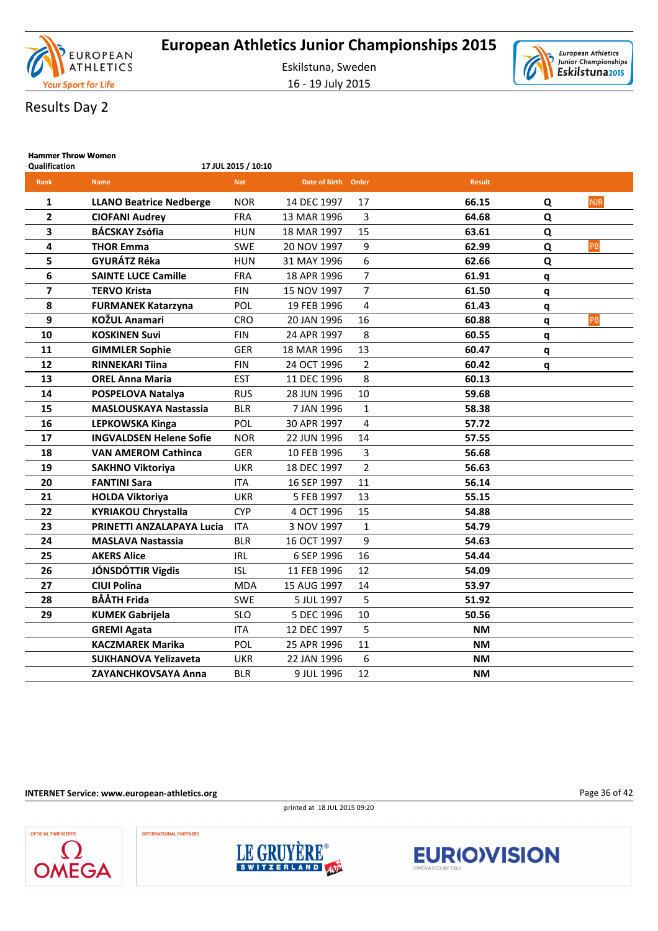

16 - 19 July 2015



### Results Day 2

| <b>Hammer Throw Women</b><br><b>Qualification</b> |                                | 17 JUL 2015 / 10:10 |                     |                |               |   |            |
|---------------------------------------------------|--------------------------------|---------------------|---------------------|----------------|---------------|---|------------|
| Rank                                              | <b>Name</b>                    | <b>Nat</b>          | Date of Birth Order |                | <b>Result</b> |   |            |
|                                                   |                                |                     |                     |                |               |   |            |
| 1                                                 | <b>LLANO Beatrice Nedberge</b> | <b>NOR</b>          | 14 DEC 1997         | 17             | 66.15         | Q | <b>NJR</b> |
| $\overline{\mathbf{2}}$                           | <b>CIOFANI Audrey</b>          | <b>FRA</b>          | 13 MAR 1996         | 3              | 64.68         | Q |            |
| 3                                                 | <b>BÁCSKAY Zsófia</b>          | <b>HUN</b>          | 18 MAR 1997         | 15             | 63.61         | Q |            |
| 4                                                 | <b>THOR Emma</b>               | <b>SWE</b>          | 20 NOV 1997         | 9              | 62.99         | Q | PB         |
| 5                                                 | <b>GYURÁTZ Réka</b>            | <b>HUN</b>          | 31 MAY 1996         | 6              | 62.66         | Q |            |
| 6                                                 | <b>SAINTE LUCE Camille</b>     | <b>FRA</b>          | 18 APR 1996         | 7              | 61.91         | q |            |
| 7                                                 | <b>TERVO Krista</b>            | <b>FIN</b>          | 15 NOV 1997         | 7              | 61.50         | q |            |
| 8                                                 | <b>FURMANEK Katarzyna</b>      | <b>POL</b>          | 19 FEB 1996         | 4              | 61.43         | q |            |
| 9                                                 | <b>KOŽUL Anamari</b>           | <b>CRO</b>          | 20 JAN 1996         | 16             | 60.88         | q | PB         |
| 10                                                | <b>KOSKINEN Suvi</b>           | <b>FIN</b>          | 24 APR 1997         | 8              | 60.55         | q |            |
| 11                                                | <b>GIMMLER Sophie</b>          | <b>GER</b>          | 18 MAR 1996         | 13             | 60.47         | q |            |
| 12                                                | <b>RINNEKARI Tiina</b>         | <b>FIN</b>          | 24 OCT 1996         | $\overline{2}$ | 60.42         | q |            |
| 13                                                | <b>OREL Anna Maria</b>         | <b>EST</b>          | 11 DEC 1996         | 8              | 60.13         |   |            |
| 14                                                | POSPELOVA Natalya              | <b>RUS</b>          | 28 JUN 1996         | 10             | 59.68         |   |            |
| 15                                                | <b>MASLOUSKAYA Nastassia</b>   | <b>BLR</b>          | 7 JAN 1996          | $\mathbf{1}$   | 58.38         |   |            |
| 16                                                | <b>LEPKOWSKA Kinga</b>         | POL                 | 30 APR 1997         | 4              | 57.72         |   |            |
| 17                                                | <b>INGVALDSEN Helene Sofie</b> | <b>NOR</b>          | 22 JUN 1996         | 14             | 57.55         |   |            |
| 18                                                | <b>VAN AMEROM Cathinca</b>     | GER                 | 10 FEB 1996         | 3              | 56.68         |   |            |
| 19                                                | <b>SAKHNO Viktoriya</b>        | <b>UKR</b>          | 18 DEC 1997         | $\overline{2}$ | 56.63         |   |            |
| 20                                                | <b>FANTINI Sara</b>            | <b>ITA</b>          | 16 SEP 1997         | 11             | 56.14         |   |            |
| 21                                                | <b>HOLDA Viktoriya</b>         | <b>UKR</b>          | 5 FEB 1997          | 13             | 55.15         |   |            |
| 22                                                | <b>KYRIAKOU Chrystalla</b>     | <b>CYP</b>          | 4 OCT 1996          | 15             | 54.88         |   |            |
| 23                                                | PRINETTI ANZALAPAYA Lucia      | <b>ITA</b>          | 3 NOV 1997          | $\mathbf{1}$   | 54.79         |   |            |
| 24                                                | <b>MASLAVA Nastassia</b>       | <b>BLR</b>          | 16 OCT 1997         | 9              | 54.63         |   |            |
| 25                                                | <b>AKERS Alice</b>             | <b>IRL</b>          | 6 SEP 1996          | 16             | 54.44         |   |            |
| 26                                                | JÓNSDÓTTIR Vigdis              | <b>ISL</b>          | 11 FEB 1996         | 12             | 54.09         |   |            |
| 27                                                | <b>CIUI Polina</b>             | <b>MDA</b>          | 15 AUG 1997         | 14             | 53.97         |   |            |
| 28                                                | <b>BÅÅTH Frida</b>             | <b>SWE</b>          | 5 JUL 1997          | 5              | 51.92         |   |            |
| 29                                                | <b>KUMEK Gabrijela</b>         | <b>SLO</b>          | 5 DEC 1996          | 10             | 50.56         |   |            |
|                                                   | <b>GREMI Agata</b>             | <b>ITA</b>          | 12 DEC 1997         | 5              | <b>NM</b>     |   |            |
|                                                   | <b>KACZMAREK Marika</b>        | POL                 | 25 APR 1996         | 11             | <b>NM</b>     |   |            |
|                                                   | <b>SUKHANOVA Yelizaveta</b>    | <b>UKR</b>          | 22 JAN 1996         | 6              | <b>NM</b>     |   |            |
|                                                   | <b>ZAYANCHKOVSAYA Anna</b>     | <b>BLR</b>          | 9 JUL 1996          | 12             | <b>NM</b>     |   |            |

**INTERNET Service: www.european-athletics.org**

**INTERNATIONAL PARTNERS** 



Page 36 of 42





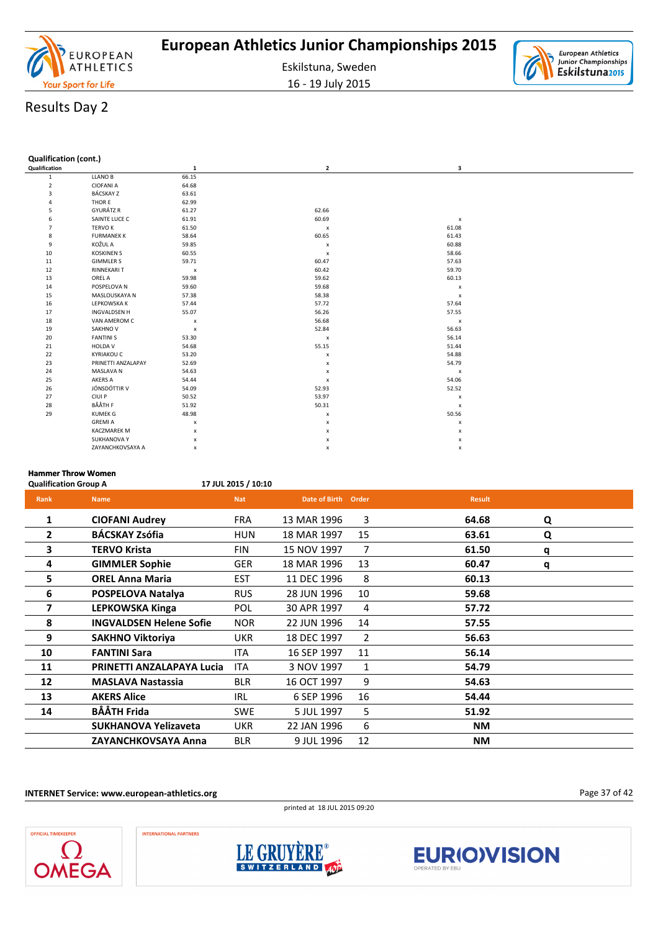

16 - 19 July 2015



| <b>Qualification (cont.)</b> |  |
|------------------------------|--|
|                              |  |

| Qualification  |                     | $\mathbf{1}$              | 2                         | 3              |  |
|----------------|---------------------|---------------------------|---------------------------|----------------|--|
| $\mathbf{1}$   | <b>LLANO B</b>      | 66.15                     |                           |                |  |
| $\overline{2}$ | <b>CIOFANI A</b>    | 64.68                     |                           |                |  |
| 3              | <b>BÁCSKAY Z</b>    | 63.61                     |                           |                |  |
| Δ              | THOR E              | 62.99                     |                           |                |  |
| 5              | GYURÁTZ R           | 61.27                     | 62.66                     |                |  |
| 6              | SAINTE LUCE C       | 61.91                     | 60.69                     | $\pmb{\times}$ |  |
| $\overline{7}$ | <b>TERVO K</b>      | 61.50                     | $\boldsymbol{\mathsf{x}}$ | 61.08          |  |
| 8              | <b>FURMANEK K</b>   | 58.64                     | 60.65                     | 61.43          |  |
| 9              | KOŽUL A             | 59.85                     | $\pmb{\times}$            | 60.88          |  |
| 10             | <b>KOSKINEN S</b>   | 60.55                     | $\pmb{\times}$            | 58.66          |  |
| 11             | <b>GIMMLER S</b>    | 59.71                     | 60.47                     | 57.63          |  |
| 12             | <b>RINNEKARI T</b>  | $\boldsymbol{\mathsf{x}}$ | 60.42                     | 59.70          |  |
| 13             | OREL A              | 59.98                     | 59.62                     | 60.13          |  |
| 14             | POSPELOVA N         | 59.60                     | 59.68                     | $\pmb{\chi}$   |  |
| 15             | MASLOUSKAYA N       | 57.38                     | 58.38                     | $\pmb{\times}$ |  |
| 16             | LEPKOWSKA K         | 57.44                     | 57.72                     | 57.64          |  |
| 17             | <b>INGVALDSEN H</b> | 55.07                     | 56.26                     | 57.55          |  |
| 18             | VAN AMEROM C        | $\pmb{\mathsf{x}}$        | 56.68                     | $\pmb{\times}$ |  |
| 19             | SAKHNO V            | $\boldsymbol{\mathsf{x}}$ | 52.84                     | 56.63          |  |
| 20             | <b>FANTINI S</b>    | 53.30                     | $\pmb{\times}$            | 56.14          |  |
| 21             | HOLDA V             | 54.68                     | 55.15                     | 51.44          |  |
| 22             | <b>KYRIAKOU C</b>   | 53.20                     | $\pmb{\times}$            | 54.88          |  |
| 23             | PRINETTI ANZALAPAY  | 52.69                     | x                         | 54.79          |  |
| 24             | MASLAVA N           | 54.63                     | x                         | $\pmb{\times}$ |  |
| 25             | AKERS A             | 54.44                     | $\pmb{\times}$            | 54.06          |  |
| 26             | JÓNSDÓTTIR V        | 54.09                     | 52.93                     | 52.52          |  |
| 27             | CIUI P              | 50.52                     | 53.97                     | $\pmb{\chi}$   |  |
| 28             | BÅÅTH F             | 51.92                     | 50.31                     | $\pmb{\times}$ |  |
| 29             | <b>KUMEK G</b>      | 48.98                     | $\pmb{\times}$            | 50.56          |  |
|                | <b>GREMIA</b>       | x                         | x                         | x              |  |
|                | <b>KACZMAREK M</b>  | x                         | x                         | x              |  |
|                | SUKHANOVA Y         | $\pmb{\times}$            | x                         | x              |  |
|                | ZAYANCHKOVSAYA A    | x                         | x                         | x              |  |

### **Hammer Throw Women**

**Qualification Group A 17 JUL 2015 / 10:10**

| Rank           | <b>Name</b>                    | <b>Nat</b> | <b>Date of Birth</b> | Order          | <b>Result</b> |   |
|----------------|--------------------------------|------------|----------------------|----------------|---------------|---|
| 1              | <b>CIOFANI Audrey</b>          | <b>FRA</b> | 13 MAR 1996          | 3              | 64.68         | Q |
| $\overline{2}$ | <b>BÁCSKAY Zsófia</b>          | HUN        | 18 MAR 1997          | 15             | 63.61         | Q |
| 3              | <b>TERVO Krista</b>            | <b>FIN</b> | 15 NOV 1997          | 7              | 61.50         | q |
| 4              | <b>GIMMLER Sophie</b>          | <b>GER</b> | 18 MAR 1996          | 13             | 60.47         | q |
| 5              | <b>OREL Anna Maria</b>         | <b>EST</b> | 11 DEC 1996          | 8              | 60.13         |   |
| 6              | <b>POSPELOVA Natalya</b>       | <b>RUS</b> | 28 JUN 1996          | 10             | 59.68         |   |
| 7              | <b>LEPKOWSKA Kinga</b>         | POL        | 30 APR 1997          | 4              | 57.72         |   |
| 8              | <b>INGVALDSEN Helene Sofie</b> | <b>NOR</b> | 22 JUN 1996          | 14             | 57.55         |   |
| 9              | <b>SAKHNO Viktoriya</b>        | <b>UKR</b> | 18 DEC 1997          | $\overline{2}$ | 56.63         |   |
| 10             | <b>FANTINI Sara</b>            | <b>ITA</b> | 16 SEP 1997          | 11             | 56.14         |   |
| 11             | PRINETTI ANZALAPAYA Lucia      | <b>ITA</b> | 3 NOV 1997           | 1              | 54.79         |   |
| 12             | <b>MASLAVA Nastassia</b>       | <b>BLR</b> | 16 OCT 1997          | 9              | 54.63         |   |
| 13             | <b>AKERS Alice</b>             | <b>IRL</b> | 6 SEP 1996           | 16             | 54.44         |   |
| 14             | <b>BÅÅTH Frida</b>             | <b>SWE</b> | 5 JUL 1997           | 5              | 51.92         |   |
|                | <b>SUKHANOVA Yelizaveta</b>    | <b>UKR</b> | 22 JAN 1996          | 6              | ΝM            |   |
|                | ZAYANCHKOVSAYA Anna            | <b>BLR</b> | 9 JUL 1996           | 12             | ΝM            |   |

**INTERNET Service: www.european-athletics.org**



Page 37 of 42







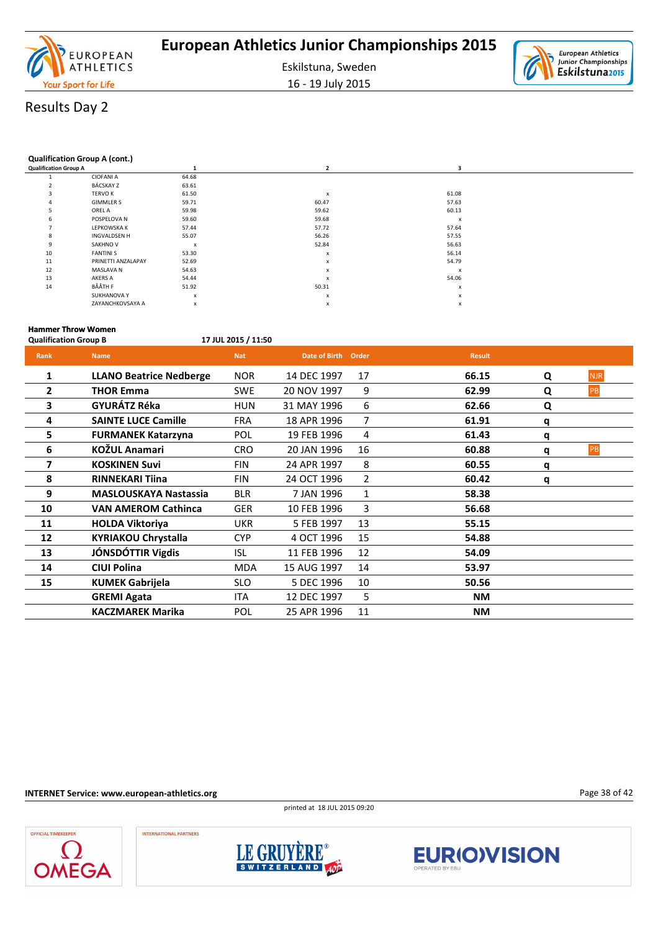

16 - 19 July 2015



### Results Day 2

#### **Qualification Group A (cont.)**

| <b>Qualification Group A</b> |                    |                           |                           | э                |  |
|------------------------------|--------------------|---------------------------|---------------------------|------------------|--|
|                              | <b>CIOFANI A</b>   | 64.68                     |                           |                  |  |
|                              | BÁCSKAY Z          | 63.61                     |                           |                  |  |
| 3                            | <b>TERVO K</b>     | 61.50                     | $\boldsymbol{\mathsf{x}}$ | 61.08            |  |
|                              | <b>GIMMLER S</b>   | 59.71                     | 60.47                     | 57.63            |  |
|                              | OREL A             | 59.98                     | 59.62                     | 60.13            |  |
| 6                            | POSPELOVA N        | 59.60                     | 59.68                     | x                |  |
|                              | LEPKOWSKA K        | 57.44                     | 57.72                     | 57.64            |  |
| 8                            | INGVALDSEN H       | 55.07                     | 56.26                     | 57.55            |  |
| 9                            | <b>SAKHNO V</b>    | $\boldsymbol{\mathsf{x}}$ | 52.84                     | 56.63            |  |
| 10                           | <b>FANTINI S</b>   | 53.30                     | $\boldsymbol{x}$          | 56.14            |  |
| 11                           | PRINETTI ANZALAPAY | 52.69                     | $\boldsymbol{\mathsf{x}}$ | 54.79            |  |
| 12                           | MASLAVA N          | 54.63                     | $\boldsymbol{\mathsf{x}}$ | $\boldsymbol{x}$ |  |
| 13                           | AKERS A            | 54.44                     | $\boldsymbol{\mathsf{x}}$ | 54.06            |  |
| 14                           | BÅÅTH F            | 51.92                     | 50.31                     | x                |  |
|                              | <b>SUKHANOVA Y</b> | $\boldsymbol{x}$          | X                         | x                |  |
|                              | ZAYANCHKOVSAYA A   | $\boldsymbol{\mathsf{x}}$ | $\boldsymbol{\mathsf{x}}$ | x                |  |
|                              |                    |                           |                           |                  |  |

#### **Hammer Throw Women Qualification Group B 17 JUL 2015 / 11:50**

| Rank           | <b>Name</b>                    | <b>Nat</b> | Date of Birth Order |                | <b>Result</b> |   |            |
|----------------|--------------------------------|------------|---------------------|----------------|---------------|---|------------|
| $\mathbf{1}$   | <b>LLANO Beatrice Nedberge</b> | <b>NOR</b> | 14 DEC 1997         | 17             | 66.15         | Q | <b>NJR</b> |
| $\overline{2}$ | <b>THOR Emma</b>               | <b>SWE</b> | 20 NOV 1997         | 9              | 62.99         | Q | PB         |
| 3              | GYURÁTZ Réka                   | <b>HUN</b> | 31 MAY 1996         | 6              | 62.66         | Q |            |
| 4              | <b>SAINTE LUCE Camille</b>     | <b>FRA</b> | 18 APR 1996         | 7              | 61.91         | q |            |
| 5              | <b>FURMANEK Katarzyna</b>      | POL        | 19 FEB 1996         | 4              | 61.43         | q |            |
| 6              | KOŽUL Anamari                  | <b>CRO</b> | 20 JAN 1996         | 16             | 60.88         | q | <b>PB</b>  |
| 7              | <b>KOSKINEN Suvi</b>           | <b>FIN</b> | 24 APR 1997         | 8              | 60.55         | q |            |
| 8              | <b>RINNEKARI Tiina</b>         | <b>FIN</b> | 24 OCT 1996         | $\overline{2}$ | 60.42         | q |            |
| 9              | <b>MASLOUSKAYA Nastassia</b>   | <b>BLR</b> | 7 JAN 1996          | 1              | 58.38         |   |            |
| 10             | <b>VAN AMEROM Cathinca</b>     | <b>GER</b> | 10 FEB 1996         | 3              | 56.68         |   |            |
| 11             | <b>HOLDA Viktoriya</b>         | <b>UKR</b> | 5 FEB 1997          | 13             | 55.15         |   |            |
| 12             | <b>KYRIAKOU Chrystalla</b>     | <b>CYP</b> | 4 OCT 1996          | 15             | 54.88         |   |            |
| 13             | JÓNSDÓTTIR Vigdis              | ISL        | 11 FEB 1996         | 12             | 54.09         |   |            |
| 14             | <b>CIUI Polina</b>             | <b>MDA</b> | 15 AUG 1997         | 14             | 53.97         |   |            |
| 15             | <b>KUMEK Gabrijela</b>         | <b>SLO</b> | 5 DEC 1996          | 10             | 50.56         |   |            |
|                | <b>GREMI Agata</b>             | ITA        | 12 DEC 1997         | 5              | <b>NM</b>     |   |            |
|                | <b>KACZMAREK Marika</b>        | POL        | 25 APR 1996         | 11             | NΜ            |   |            |

#### **INTERNET Service: www.european-athletics.org**

printed at 18 JUL 2015 09:20







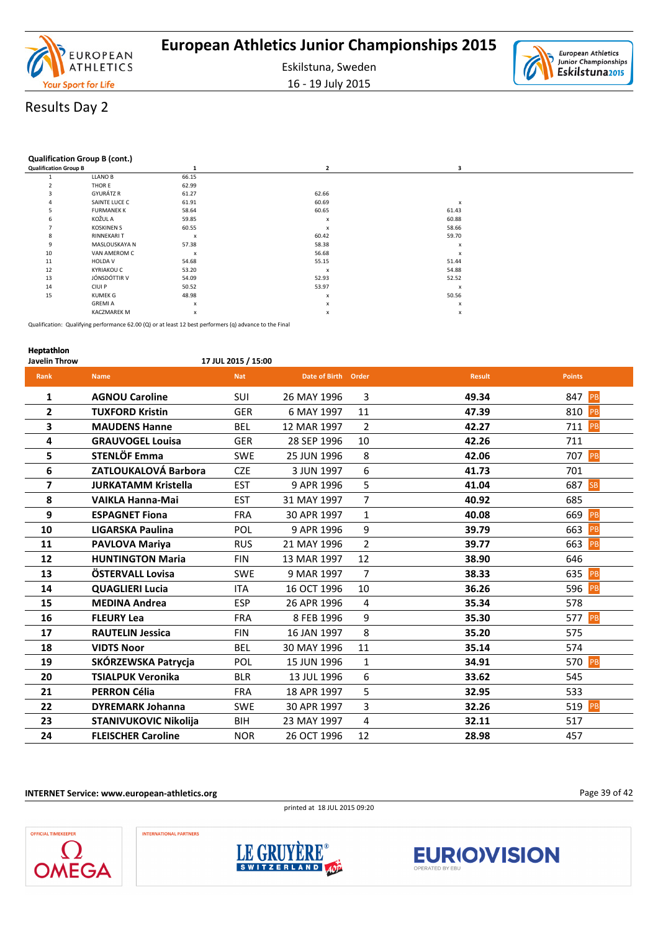

16 - 19 July 2015



#### **Qualification Group B (cont.)**

| <b>Qualification Group B</b> |                    | 1                         |                  | 3                         |
|------------------------------|--------------------|---------------------------|------------------|---------------------------|
|                              | LLANO B            | 66.15                     |                  |                           |
| $\overline{2}$               | THOR E             | 62.99                     |                  |                           |
| 3                            | GYURÁTZ R          | 61.27                     | 62.66            |                           |
| 4                            | SAINTE LUCE C      | 61.91                     | 60.69            | x                         |
| 5                            | <b>FURMANEK K</b>  | 58.64                     | 60.65            | 61.43                     |
| 6                            | KOŽUL A            | 59.85                     | x                | 60.88                     |
| $\overline{ }$               | <b>KOSKINEN S</b>  | 60.55                     | X                | 58.66                     |
| 8                            | <b>RINNEKARI T</b> | $\boldsymbol{\mathsf{x}}$ | 60.42            | 59.70                     |
| 9                            | MASLOUSKAYA N      | 57.38                     | 58.38            | x                         |
| 10                           | VAN AMEROM C       | $\boldsymbol{\mathsf{x}}$ | 56.68            | X                         |
| 11                           | <b>HOLDA V</b>     | 54.68                     | 55.15            | 51.44                     |
| 12                           | <b>KYRIAKOU C</b>  | 53.20                     | $\boldsymbol{x}$ | 54.88                     |
| 13                           | JÓNSDÓTTIR V       | 54.09                     | 52.93            | 52.52                     |
| 14                           | CIUI P             | 50.52                     | 53.97            | $\boldsymbol{\mathsf{x}}$ |
| 15                           | KUMEK G            | 48.98                     | x                | 50.56                     |
|                              | <b>GREMIA</b>      | X                         | x                | X                         |
|                              | <b>KACZMAREK M</b> | $\boldsymbol{\mathsf{x}}$ | x                | x                         |

Qualification: Qualifying performance 62.00 (Q) or at least 12 best performers (q) advance to the Final

### **Heptathlon Javelin Throw 17 JUL 2015 / 15:00 Rank Name Nat Date of Birth Order Result Points 1 AGNOU Caroline** SUI 26 MAY 1996 3 **49.34** 847 PB **2 TUXFORD Kristin** GER 6 MAY 1997 11 **47.39** 810 PB **3 MAUDENS Hanne** BEL 12 MAR 1997 2 **42.27** 711 PB **4 GRAUVOGEL Louisa** GER 28 SEP 1996 10 **42.26** 711 **5 STENLÖF Emma** SWE 25 JUN 1996 8 **42.06** 707 PB **6 ZATLOUKALOVÁ Barbora** CZE 3 JUN 1997 6 **41.73** 701 **7 JURKATAMM Kristella** EST 9 APR 1996 5 **41.04** 687 **8 VAIKLA Hanna-Mai** EST 31 MAY 1997 7 **40.92** 685 **9 ESPAGNET Fiona** FRA 30 APR 1997 1 **40.08** 669 PB **10 LIGARSKA Paulina** POL 9 APR 1996 9 **39.79** 663 PB **11 PAVLOVA Mariya** RUS 21 MAY 1996 2 **39.77** 663 PB **12 HUNTINGTON Maria** FIN 13 MAR 1997 12 **38.90** 646 **13 ÖSTERVALL Lovisa** SWE 9 MAR 1997 7 **38.33** 635 PB **14 QUAGLIERI Lucia** ITA 16 OCT 1996 10 **36.26** 596 PB **15 MEDINA Andrea** ESP 26 APR 1996 4 **35.34** 578 **16 FLEURY Lea** FRA 8 FEB 1996 9 **35.30** 577 PB **17 RAUTELIN Jessica** FIN 16 JAN 1997 8 **35.20** 575 **18 VIDTS Noor** BEL 30 MAY 1996 11 **35.14** 574 **19 SKÓRZEWSKA Patrycja** POL 15 JUN 1996 1 **34.91** 570 **20 TSIALPUK Veronika** BLR 13 JUL 1996 6 **33.62** 545 **21 PERRON Célia** FRA 18 APR 1997 5 **32.95** 533 **22 DYREMARK Johanna** SWE 30 APR 1997 3 **32.26** 519 PB **23 STANIVUKOVIC Nikolija** BIH 23 MAY 1997 4 **32.11** 517 **24 FLEISCHER Caroline** NOR 26 OCT 1996 12 **28.98** 457

**INTERNET Service: www.european-athletics.org**











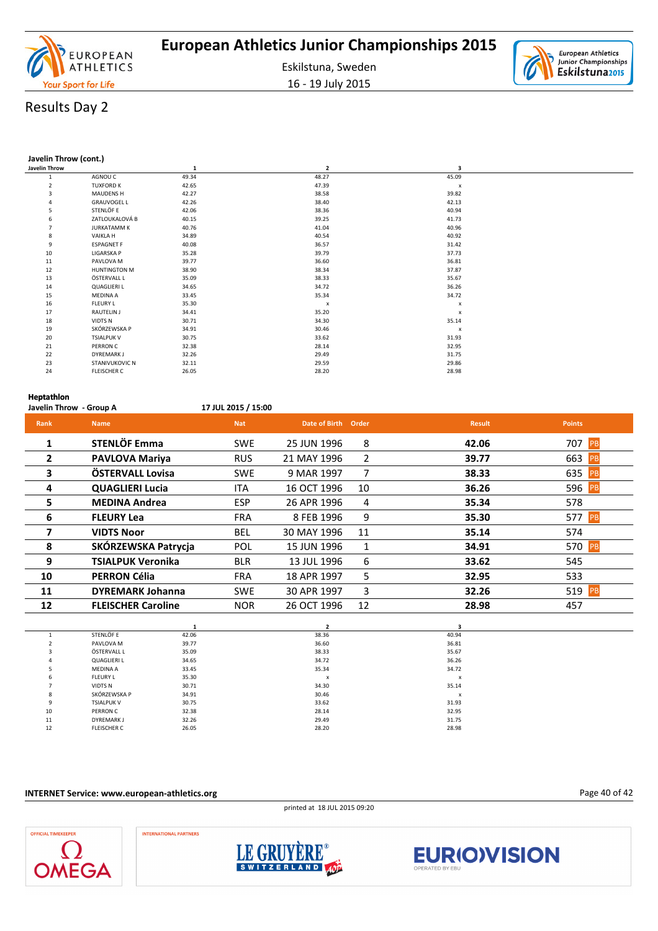

16 - 19 July 2015

# Results Day 2

#### **Javelin Throw (cont.)**

| Javelin Throw  |                     | $\mathbf{1}$ | $\overline{\mathbf{2}}$ | з              |  |
|----------------|---------------------|--------------|-------------------------|----------------|--|
|                | AGNOU C             | 49.34        | 48.27                   | 45.09          |  |
| $\overline{2}$ | <b>TUXFORD K</b>    | 42.65        | 47.39                   | $\pmb{\times}$ |  |
| 3              | <b>MAUDENS H</b>    | 42.27        | 38.58                   | 39.82          |  |
|                | <b>GRAUVOGEL L</b>  | 42.26        | 38.40                   | 42.13          |  |
| 5              | STENLÖF E           | 42.06        | 38.36                   | 40.94          |  |
| 6              | ZATLOUKALOVÁ B      | 40.15        | 39.25                   | 41.73          |  |
| $\overline{7}$ | <b>JURKATAMM K</b>  | 40.76        | 41.04                   | 40.96          |  |
| 8              | <b>VAIKLAH</b>      | 34.89        | 40.54                   | 40.92          |  |
| 9              | <b>ESPAGNET F</b>   | 40.08        | 36.57                   | 31.42          |  |
| 10             | LIGARSKA P          | 35.28        | 39.79                   | 37.73          |  |
| 11             | PAVLOVA M           | 39.77        | 36.60                   | 36.81          |  |
| 12             | <b>HUNTINGTON M</b> | 38.90        | 38.34                   | 37.87          |  |
| 13             | ÖSTERVALL L         | 35.09        | 38.33                   | 35.67          |  |
| 14             | <b>QUAGLIERI L</b>  | 34.65        | 34.72                   | 36.26          |  |
| 15             | <b>MEDINA A</b>     | 33.45        | 35.34                   | 34.72          |  |
| 16             | <b>FLEURY L</b>     | 35.30        | $\pmb{\times}$          | x              |  |
| 17             | <b>RAUTELIN J</b>   | 34.41        | 35.20                   | x              |  |
| 18             | VIDTS N             | 30.71        | 34.30                   | 35.14          |  |
| 19             | SKÓRZEWSKA P        | 34.91        | 30.46                   | x              |  |
| 20             | <b>TSIALPUK V</b>   | 30.75        | 33.62                   | 31.93          |  |
| 21             | PERRON C            | 32.38        | 28.14                   | 32.95          |  |
| 22             | <b>DYREMARK J</b>   | 32.26        | 29.49                   | 31.75          |  |
| 23             | STANIVUKOVIC N      | 32.11        | 29.59                   | 29.86          |  |
| 24             | <b>FLEISCHER C</b>  | 26.05        | 28.20                   | 28.98          |  |
|                |                     |              |                         |                |  |

#### **Heptathlon**

| Javelin Throw - Group A |                           | 17 JUL 2015 / 15:00 |                     |                |               |                   |
|-------------------------|---------------------------|---------------------|---------------------|----------------|---------------|-------------------|
| Rank                    | <b>Name</b>               | <b>Nat</b>          | Date of Birth Order |                | <b>Result</b> | <b>Points</b>     |
| 1                       | <b>STENLÖF Emma</b>       | <b>SWE</b>          | 25 JUN 1996         | 8              | 42.06         | 707 PB            |
| $\mathbf{2}$            | <b>PAVLOVA Mariya</b>     | <b>RUS</b>          | 21 MAY 1996         | $\overline{2}$ | 39.77         | 663<br><b>PB</b>  |
| 3                       | ÖSTERVALL Lovisa          | <b>SWE</b>          | 9 MAR 1997          | 7              | 38.33         | 635<br><b>IPB</b> |
| 4                       | <b>QUAGLIERI Lucia</b>    | <b>ITA</b>          | 16 OCT 1996         | 10             | 36.26         | 596 PB            |
| 5.                      | <b>MEDINA Andrea</b>      | <b>ESP</b>          | 26 APR 1996         | 4              | 35.34         | 578               |
| 6                       | <b>FLEURY Lea</b>         | <b>FRA</b>          | 8 FEB 1996          | 9              | 35.30         | 577 PB            |
| 7                       | <b>VIDTS Noor</b>         | <b>BEL</b>          | 30 MAY 1996         | 11             | 35.14         | 574               |
| 8                       | SKÓRZEWSKA Patrycja       | <b>POL</b>          | 15 JUN 1996         | 1              | 34.91         | 570 PB            |
| 9                       | <b>TSIALPUK Veronika</b>  | <b>BLR</b>          | 13 JUL 1996         | 6              | 33.62         | 545               |
| 10                      | <b>PERRON Célia</b>       | <b>FRA</b>          | 18 APR 1997         | 5              | 32.95         | 533               |
| 11                      | <b>DYREMARK Johanna</b>   | <b>SWE</b>          | 30 APR 1997         | 3              | 32.26         | 519 PB            |
| 12                      | <b>FLEISCHER Caroline</b> | <b>NOR</b>          | 26 OCT 1996         | 12             | 28.98         | 457               |
|                         |                           |                     |                     |                |               |                   |

|                | STENLÖF E          | 42.06 | 38.36 | 40.94 |
|----------------|--------------------|-------|-------|-------|
| $\overline{2}$ | PAVLOVA M          | 39.77 | 36.60 | 36.81 |
| 3              | ÖSTERVALL L        | 35.09 | 38.33 | 35.67 |
| 4              | <b>QUAGLIERI L</b> | 34.65 | 34.72 | 36.26 |
|                | <b>MEDINA A</b>    | 33.45 | 35.34 | 34.72 |
| 6              | <b>FLEURY L</b>    | 35.30 | x     | x     |
| 7              | <b>VIDTS N</b>     | 30.71 | 34.30 | 35.14 |
| 8              | SKÓRZEWSKA P       | 34.91 | 30.46 | X     |
| 9              | <b>TSIALPUK V</b>  | 30.75 | 33.62 | 31.93 |
| 10             | PERRON C           | 32.38 | 28.14 | 32.95 |
| 11             | <b>DYREMARK J</b>  | 32.26 | 29.49 | 31.75 |
| 12             | <b>FLEISCHER C</b> | 26.05 | 28.20 | 28.98 |
|                |                    |       |       |       |

#### **INTERNET Service: www.european-athletics.org**

printed at 18 JUL 2015 09:20

Page 40 of 42







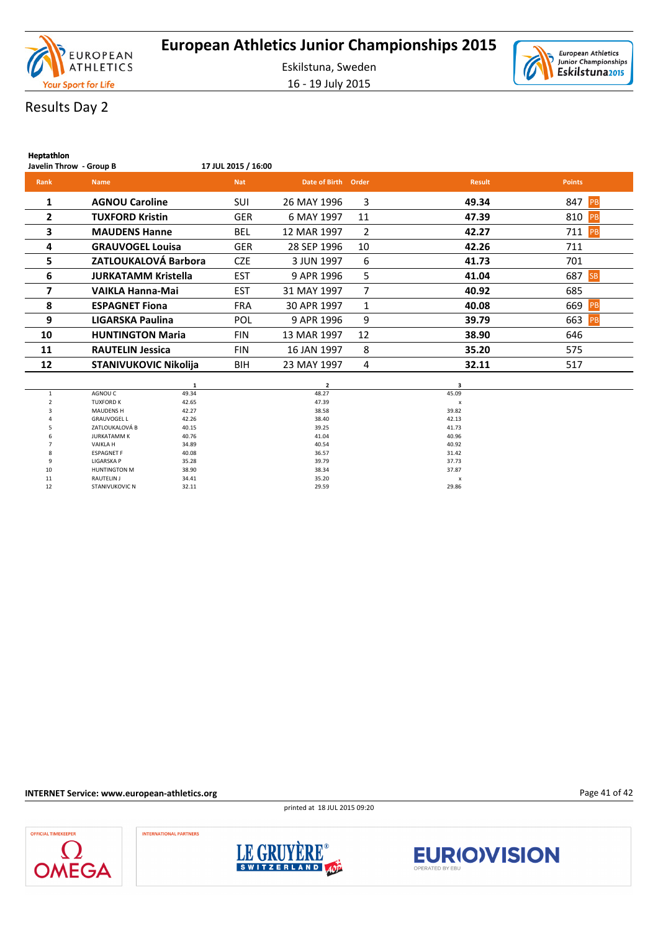



# Results Day 2

| Heptathlon              |                              |                     |               |       |               |                  |
|-------------------------|------------------------------|---------------------|---------------|-------|---------------|------------------|
| Javelin Throw - Group B |                              | 17 JUL 2015 / 16:00 |               |       |               |                  |
| Rank                    | <b>Name</b>                  | <b>Nat</b>          | Date of Birth | Order | <b>Result</b> | <b>Points</b>    |
| 1                       | <b>AGNOU Caroline</b>        | SUI                 | 26 MAY 1996   | 3     | 49.34         | 847 PB           |
| $\overline{2}$          | <b>TUXFORD Kristin</b>       | <b>GER</b>          | 6 MAY 1997    | 11    | 47.39         | 810<br><b>PB</b> |
| 3                       | <b>MAUDENS Hanne</b>         | <b>BEL</b>          | 12 MAR 1997   | 2     | 42.27         | 711<br>PB        |
| 4                       | <b>GRAUVOGEL Louisa</b>      | <b>GER</b>          | 28 SEP 1996   | 10    | 42.26         | 711              |
| 5.                      | ZATLOUKALOVÁ Barbora         | <b>CZE</b>          | 3 JUN 1997    | 6     | 41.73         | 701              |
| 6                       | <b>JURKATAMM Kristella</b>   | <b>EST</b>          | 9 APR 1996    | 5     | 41.04         | 687<br><b>SB</b> |
| 7                       | VAIKLA Hanna-Mai             | <b>EST</b>          | 31 MAY 1997   | 7     | 40.92         | 685              |
| 8                       | <b>ESPAGNET Fiona</b>        | <b>FRA</b>          | 30 APR 1997   | 1     | 40.08         | 669<br>PB        |
| 9                       | LIGARSKA Paulina             | POL                 | 9 APR 1996    | 9     | 39.79         | 663<br>PB        |
| 10                      | <b>HUNTINGTON Maria</b>      | <b>FIN</b>          | 13 MAR 1997   | 12    | 38.90         | 646              |
| 11                      | <b>RAUTELIN Jessica</b>      | <b>FIN</b>          | 16 JAN 1997   | 8     | 35.20         | 575              |
| 12                      | <b>STANIVUKOVIC Nikolija</b> | <b>BIH</b>          | 23 MAY 1997   | 4     | 32.11         | 517              |
|                         |                              |                     |               |       |               |                  |

|    |                       |       | ,     |       |
|----|-----------------------|-------|-------|-------|
|    | AGNOU C               | 49.34 | 48.27 | 45.09 |
|    | <b>TUXFORD K</b>      | 42.65 | 47.39 | X     |
| 3  | <b>MAUDENS H</b>      | 42.27 | 38.58 | 39.82 |
| 4  | <b>GRAUVOGEL L</b>    | 42.26 | 38.40 | 42.13 |
| 5  | ZATLOUKALOVÁ B        | 40.15 | 39.25 | 41.73 |
| 6  | <b>JURKATAMM K</b>    | 40.76 | 41.04 | 40.96 |
|    | <b>VAIKLAH</b>        | 34.89 | 40.54 | 40.92 |
| 8  | <b>ESPAGNET F</b>     | 40.08 | 36.57 | 31.42 |
| 9  | <b>LIGARSKA P</b>     | 35.28 | 39.79 | 37.73 |
| 10 | <b>HUNTINGTON M</b>   | 38.90 | 38.34 | 37.87 |
| 11 | RAUTELIN J            | 34.41 | 35.20 | X     |
| 12 | <b>STANIVUKOVIC N</b> | 32.11 | 29.59 | 29.86 |

**INTERNET Service: www.european-athletics.org**

printed at 18 JUL 2015 09:20









Page 41 of 42